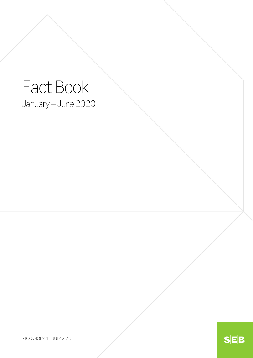# Fact Book January – June 2020

STOCKHOLM 15 JULY 2020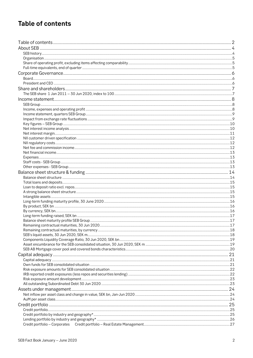## **Table of contents**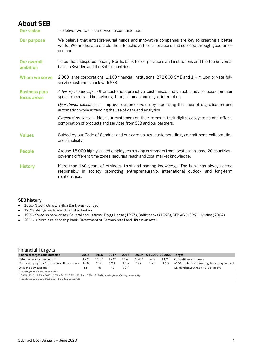### **About SEB**

**Our vision** To deliver world-class service to our customers.

- **Our purpose** We believe that entrepreneurial minds and innovative companies are key to creating a better world. We are here to enable them to achieve their aspirations and succeed through good times and bad.
- **Our overall ambition** To be the undisputed leading Nordic bank for corporations and institutions and the top universal bank in Sweden and the Baltic countries.
- **Whom we serve** 2,000 large corporations, 1,100 financial institutions, 272,000 SME and 1,4 million private fullservice customers bank with SEB.
- **Business plan focus areas** *Advisory leadership* – Offer customers proactive, customised and valuable advice, based on their specific needs and behaviours, through human and digital interaction.
	- *Operational excellence* Improve customer value by increasing the pace of digitalisation and automation while extending the use of data and analytics.

*Extended presence* – Meet our customers on their terms in their digital ecosystems and offer a combination of products and services from SEB and our partners.

- **Values** Guided by our Code of Conduct and our core values: customers first, commitment, collaboration and simplicity.
- People Around 15,000 highly skilled employees serving customers from locations in some 20 countries covering different time zones, securing reach and local market knowledge.
- **History** More than 160 years of business, trust and sharing knowledge. The bank has always acted responsibly in society promoting entrepreneurship, international outlook and long-term relationships.

#### **SEB history**

- 1856- Stockholms Enskilda Bank was founded
- 1972- Merger with Skandinaviska Banken
- 1990- Swedish bank crises. Several acquisitions: Trygg Hansa (1997), Baltic banks (1998), SEB AG (1999), Ukraine (2004)
- 2011- A Nordic relationship bank. Divestment of German retail and Ukrainian retail

#### Financial Targets

| <b>Financial targets and outcome</b>                  | 2015 | 2016     | 2017       | 2018     |                   |      | 2019 Q1 2020 Q2 2020 Target |                                                   |
|-------------------------------------------------------|------|----------|------------|----------|-------------------|------|-----------------------------|---------------------------------------------------|
| Return on equity (per cent) $^{1)}$                   | 12.2 | $11.3^2$ | $12.9^{2}$ | $13.4^2$ | 13.8 <sup>2</sup> | 6.0  |                             | 11.2 $^2$ Competitive with peers                  |
| Common Equity Tier 1 ratio (Basel III, per cent)      | 18.8 | 18.8     | 19.4       | 17.6     | 17.6              | 16.8 | 17.8                        | $\sim$ 150bps buffer above regulatory requirement |
| Dividend pay-out ratio <sup>1)</sup>                  | 66   | 75       | 70         | 70 °     |                   |      |                             | Dividend payout ratio 40% or above                |
| <sup>1)</sup> Excluding items affecting comparability |      |          |            |          |                   |      |                             |                                                   |

2) 7.8% in 2016, 11.7% in 2017, 16.3% in 2018, 13.7% in 2019 and 8.7% in Q2 2020 including items affecting comparability

3) Excluding extra ordinary DPS, inclusive the latter pay-out 76%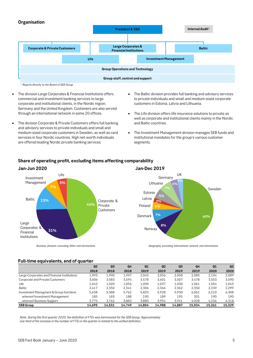#### **Organisation**



- The division Large Corporates & Financial Institutions offers commercial and investment banking services to large corporate and institutional clients, in the Nordic region, Germany and the United Kingdom. Customers are also served through an international network in some 20 offices.
- The division Corporate & Private Customers offers full banking and advisory services to private individuals and small and medium-sized corporate customers in Sweden, as well as card services in four Nordic countries. High net-worth individuals are offered leading Nordic private banking services.
- The Baltic division provides full banking and advisory services to private individuals and small and medium-sized corporate customers in Estonia, Latvia and Lithuania.
- The Life division offers life insurance solutions to private as well as corporate and institutional clients mainly in the Nordic and Baltic countries.
- The Investment Management division manages SEB funds and institutional mandates for the group's various customer segments.



#### **Share of operating profit, excluding items affecting comparability**

### **Jan-Jun 2020 Jan-Dec 2019**



*Business divisions excluding Other and eliminations. Geography excluding International network and eliminations.*

#### **Full-time equivalents, end of quarter**

|                                             | Q <sub>2</sub> | Q <sub>3</sub> | Q <sub>4</sub> | Q1     | Q <sub>2</sub> | Q <sub>3</sub> | Q4     | Q1     | Q2     |
|---------------------------------------------|----------------|----------------|----------------|--------|----------------|----------------|--------|--------|--------|
|                                             | 2018           | 2018           | 2018           | 2019   | 2019           | 2019           | 2019   | 2020   | 2020   |
| Large Corporates and Financial Institutions | 1.993          | 1.990          | 1.997          | 2.045  | 2.056          | 2.058          | 2.085  | 2.104  | 2.089  |
| Corporate and Private Customers             | 3.606          | 3.583          | 3.594          | 3.578  | 3.601          | 3,507          | 3.478  | 3.553  | 3,590  |
| Life                                        | 1,042          | 1,020          | 1,056          | 1,050  | 1,037          | 1,030          | 1,061  | 1,054  | 1,043  |
| Baltic                                      | 2.417          | 2.350          | 2.341          | 2.306  | 2.366          | 2,362          | 2.350  | 2.339  | 2.299  |
| Investment Managment & Group functions      | 5.638          | 5.588          | 5.762          | 5.825  | 5.928          | 5.930          | 6.061  | 6.210  | 6.308  |
| whereof Investment Management               | 185            | 183            | 188            | 190    | 189            | 195            | 201    | 190    | 190    |
| whereof Business Support                    | 3.775          | 3.762          | 3.883          | 3.880  | 3.954          | 3.941          | 4.028  | 4.236  | 4,318  |
| <b>SEB Group</b>                            | 14.695         | 14.531         | 14.749         | 14.804 | 14.988         | 14.887         | 15.034 | 15.261 | 15.329 |

*Note: During the first quarter 2020, the definition of FTEs was harmonized for the SEB Group. Approximately one third of the increase in the number of FTEs in the quarter is related to the unified definition.*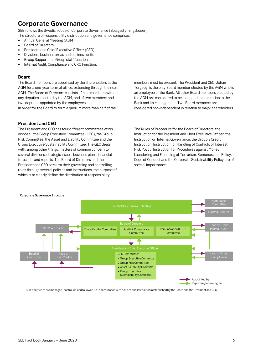### **Corporate Governance**

SEB follows the Swedish Code of Corporate Governance (Bolagsstyrningskoden).

The structure of responsibility distribution and governance comprises:

- Annual General Meeting (AGM)
- Board of Directors
- President and Chief Executive Officer (CEO)
- Divisions, business areas and business units
- Group Support and Group staff functions
- Internal Audit, Compliance and CRO Function.

#### **Board**

The Board members are appointed by the shareholders at the AGM for a one-year term of office, extending through the next AGM. The Board of Directors consists of nine members without any deputies, elected by the AGM, and of two members and two deputies appointed by the employees. In order for the Board to form a quorum more than half of the

**President and CEO**

The President and CEO has four different committees at his disposal; the Group Executive Committee (GEC), the Group Risk Committee, the Asset and Liability Committee and the Group Executive Sustainability Committee. The GEC deals with, among other things, matters of common concern to several divisions, strategic issues, business plans, financial forecasts and reports. The Board of Directors and the President and CEO perform their governing and controlling roles through several policies and instructions, the purpose of which is to clearly define the distribution of responsibility.

members must be present. The President and CEO, Johan Torgeby, is the only Board member elected by the AGM who is an employee of the Bank. All other Board members elected by the AGM are considered to be independent in relation to the Bank and its Management. Two Board members are considered non-independent in relation to major shareholders.

The Rules of Procedure for the Board of Directors, the Instruction for the President and Chief Executive Officer, the Instruction on Internal Governance, the Group's Credit Instruction, Instruction for Handling of Conflicts of Interest, Risk Policy, Instruction for Procedures against Money Laundering and Financing of Terrorism, Remuneration Policy, Code of Conduct and the Corporate Sustainability Policy are of special importannce

#### **Corporate Governance Structure**



SEB's activities are managed, controlled and followed up in accordance with policies and instructions established by the Board and the President and CEO.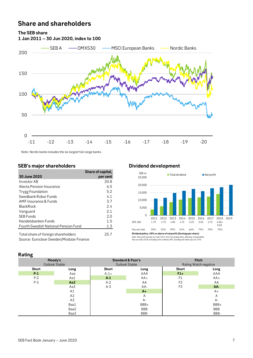### **Share and shareholders**

**1 Jan 2011 – 30 Jun 2020, index to 100**

**The SEB share**



Note: Nordic banks includes the six largest full-range banks.

#### **SEB's major shareholders Dividend development**

|                                                                                 | Share of capital, |
|---------------------------------------------------------------------------------|-------------------|
| 30 June 2020                                                                    | per cent          |
| Investor AB                                                                     | 20.8              |
| Alecta Pension Insurance                                                        | 6.5               |
| <b>Trygg Foundation</b>                                                         | 5.2               |
| Swedbank Robur Funds                                                            | 4.1               |
| AMF Insurance & Funds                                                           | 3.7               |
| <b>BlackRock</b>                                                                | 2.4               |
| Vanguard                                                                        | 2.1               |
| <b>SEB Funds</b>                                                                | 2.0               |
| Handelsbanken Funds                                                             | 1.5               |
| <b>Fourth Swedish National Pension Fund</b>                                     | 1.3               |
| Total share of foreign shareholders<br>Source: Euroclear Sweden/Modular Finance | 25.7              |



**Dividend policy: 40% or above of net profit (Earnings per share)** *Note: Net profit and pay-out ratio 2014-2019 excluding items affecting comparability. Pay-out ratio 2018 excluding extra ordinary DPS, including the latter pay-out 76%.*

#### **Rating**

| nanns |                |              |                              |                |                       |
|-------|----------------|--------------|------------------------------|----------------|-----------------------|
|       | Moody's        |              | <b>Standard &amp; Poor's</b> |                | <b>Fitch</b>          |
|       | Outlook Stable |              | Outlook Stable               |                | Rating Watch negative |
| Short | Long           | <b>Short</b> | Long                         | Short          | Long                  |
| $P-1$ | Aaa            | $A - 1 +$    | AAA                          | $F1+$          | AAA                   |
| $P-2$ | Aa1            | $A-1$        | $AA+$                        | F <sub>1</sub> | $AA+$                 |
| $P-3$ | Aa2            | $A-2$        | AA                           | F <sub>2</sub> | AA                    |
|       | Aa3            | $A-3$        | AA-                          | F3             | AA-                   |
|       | A1             |              | $A+$                         |                | A+                    |
|       | A2             |              | A                            |                | A                     |
|       | A3             |              | A-                           |                | А-                    |
|       | Baa1           |              | BBB+                         |                | BBB+                  |
|       | Baa2           |              | <b>BBB</b>                   |                | <b>BBB</b>            |
|       | Baa3           |              | BBB-                         |                | BBB-                  |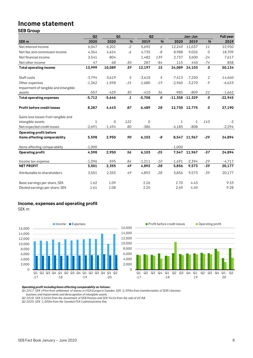## **Income statement**

#### **SEB Group**

|                                       | Q2          | Q1          |                  | Q2       |       |                    | Jan-Jun       |                | <b>Full year</b> |
|---------------------------------------|-------------|-------------|------------------|----------|-------|--------------------|---------------|----------------|------------------|
| SEK <sub>m</sub>                      | 2020        | 2020        | %                | 2019     | $\%$  | 2020               | 2019          | %              | 2019             |
| Net interest income                   | 6,047       | 6,201       | $-2$             | 5,692    | 6     | 12,249             | 11,037        | 11             | 22,950           |
| Net fee and commission income         | 4,364       | 4,624       | $-6$             | 4,735    | -8    | 8,988              | 9,026         | 0              | 18,709           |
| Net financial income                  | 3,541       | $-804$      |                  | 1,482    | 139   | 2,737              | 3,600         | $-24$          | 7,617            |
| Net other income                      | 47          | 68          | $-30$            | 287      | $-84$ | 115                | 440           | $-74$          | 858              |
| <b>Total operating income</b>         | 13,999      | 10,089      | 39               | 12,197   | 15    | 24,089             | 24,103        | 0              | 50,134           |
| Staff costs                           | $-3,794$    | $-3,619$    | 5                | $-3,618$ | 5     | $-7,413$           | $-7,250$      | $\overline{2}$ | $-14,660$        |
| Other expenses                        | $-1,362$    | $-1,598$    | $-15$            | $-1,680$ | $-19$ | $-2,960$           | $-3,270$      | -9             | $-6,623$         |
| impairment of tangible and intangible |             |             |                  |          |       |                    |               |                |                  |
| assets                                | $-557$      | $-429$      | 30               | $-410$   | 36    | $-985$             | $-809$        | 22             | $-1,662$         |
| <b>Total operating expenses</b>       | $-5,712$    | $-5,646$    | $\boldsymbol{1}$ | $-5,708$ | 0     | $-11,358 - 11,329$ |               | 0              | $-22,945$        |
| Profit before credit losses           | 8,287       | 4,443       | 87               | 6,489    | 28    |                    | 12,730 12,775 | 0              | 27,190           |
| Gains less losses from tangible and   |             |             |                  |          |       |                    |               |                |                  |
| intangible assets                     | $\mathbf 1$ | $\mathbf 0$ | 122              | 0        |       | 1                  | $\mathbf{1}$  | 143            | $-2$             |
| Net expected credit losses            | $-2,691$    | $-1,494$    | 80               | $-386$   |       | $-4,185$           | $-808$        |                | $-2,294$         |
| Operating profit before               |             |             |                  |          |       |                    |               |                |                  |
| items affecting comparability         | 5,598       | 2,950       | 90               | 6,103    | -8    | 8,547              | 11,967        | $-29$          | 24,894           |
| Items affecting comparability         | $-1,000$    |             |                  |          |       | $-1,000$           |               |                |                  |
| <b>Operating profit</b>               | 4,598       | 2,950       | 56               | 6,103    | $-25$ | 7,547              | 11,967        | $-37$          | 24,894           |
| Income tax expense                    | $-1,096$    | $-595$      | 84               | $-1,211$ | $-10$ | $-1,691$           | $-2,394$      | $-29$          | $-4,717$         |
| <b>NET PROFIT</b>                     | 3,501       | 2,355       | 49               | 4,892    | $-28$ | 5,856              | 9,573         | $-39$          | 20,177           |
| Attributable to shareholders          | 3,501       | 2,355       | 49               | 4,892    | $-28$ | 5,856              | 9,573         | $-39$          | 20,177           |
| Basic earnings per share, SEK         | 1.62        | 1.09        |                  | 2.26     |       | 2.70               | 4.43          |                | 9.33             |
| Diluted earnings per share, SEK       | 1.61        | 1.08        |                  | 2.25     |       | 2.69               | 4.40          |                | 9.28             |

### **Income, expenses and operating profit**

SEK m





#### *Operating profit including items affecting comparability as follows:*

*Q4 2017: SEK 494m from settlement of shares in VISA Europe in Sweden, SEK -2,390m from transformation of SEB's German business and impairments and derecognition of intangible assets.*

*Q2 2018: SEK 3,565m from the divestment of SEB Pension and SEK 941m from the sale of UC AB.*

*Q2 2020: SEK -1,000m from the Swedish FSA's administrative fine.*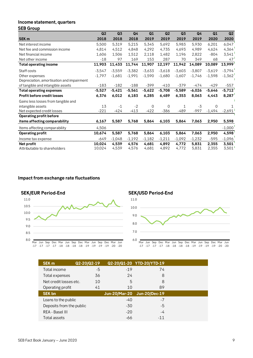#### **Income statement, quarters**

| <b>SEB Group</b>                           |                  |                |                |                |                |                |                |                |                |
|--------------------------------------------|------------------|----------------|----------------|----------------|----------------|----------------|----------------|----------------|----------------|
|                                            | Q2               | Q <sub>3</sub> | Q <sub>4</sub> | Q1             | Q2             | Q <sub>3</sub> | Q <sub>4</sub> | Q1             | Q2             |
| <b>SEK m</b>                               | 2018             | 2018           | 2018           | 2019           | 2019           | 2019           | 2019           | 2020           | 2020           |
| Net interest income                        | 5,500            | 5,319          | 5,215          | 5,345          | 5,692          | 5,983          | 5,930          | 6,201          | 6,047          |
| Net fee and commission income              | 4,814            | 4,512          | 4,848          | 4,292          | 4,735          | 4,693          | 4,989          | 4,624          | 4,364          |
| Net financial income                       | 1,606            | 1,506          | 1,512          | 2,118          | 1,482          | 1,196          | 2,822          | $-804$         | 3,541          |
| Net other income                           | $-18$            | 97             | 169            | 153            | 287            | 70             | 349            | 68             | 47             |
| <b>Total operating income</b>              | 11,903           | 11,433         | 11,744         | 11,907         | 12,197         | 11,942         | 14,089         | 10,089         | 13,999         |
| Staff costs                                | $-3,547$         | $-3,559$       | $-3,382$       | $-3,633$       | $-3,618$       | $-3,603$       | $-3,807$       | $-3,619$       | $-3,794$       |
| Other expenses                             | $-1,797$         | $-1,681$       | $-1,991$       | $-1,590$       | $-1,680$       | $-1,607$       | $-1,746$       | $-1,598$       | $-1,362$       |
| Depreciation, amortisation and impairment  |                  |                |                |                |                |                |                |                |                |
| of tangible and intangible assets          | $-183$           | $-182$         | $-188$         | $-399$         | $-410$         | $-379$         | $-474$         | $-429$         | $-557$         |
| <b>Total operating expenses</b>            | $-5,527$         | $-5,421$       | $-5,561$       | $-5,622$       | $-5,708$       | $-5,589$       | $-6,026$       | $-5,646$       | $-5,712$       |
| <b>Profit before credit losses</b>         | 6,376            | 6,012          | 6,183          | 6,285          | 6,489          | 6,353          | 8,063          | 4,443          | 8,287          |
| Gains less losses from tangible and        |                  |                |                |                |                |                |                |                |                |
| intangible assets                          | 13               | $-1$           | $-2$           | $\mathbf 0$    | 0              | 1              | $-3$           | 0              |                |
| Net expected credit losses                 | $-221$           | $-424$         | $-413$         | $-422$         | $-386$         | $-489$         | -997           | $-1,494$       | $-2,691$       |
| <b>Operating profit before</b>             |                  |                |                |                |                |                |                |                |                |
| items affecting comparability              | 6,167            | 5,587          | 5,768          | 5,864          | 6,103          | 5,864          | 7,063          | 2,950          | 5,598          |
| Items affecting comparability              | 4,506            |                |                |                |                |                |                |                | $-1,000$       |
| <b>Operating profit</b>                    | 10,674           | 5,587          | 5,768          | 5,864          | 6,103          | 5,864          | 7,063          | 2,950          | 4,598          |
| Income tax expense                         | $-649$           | $-1,048$       | $-1,192$       | $-1,182$       | $-1,211$       | $-1,092$       | $-1,232$       | $-595$         | $-1,096$       |
| Net profit<br>Attributable to shareholders | 10,024<br>10,024 | 4,539<br>4,539 | 4,576<br>4,576 | 4,681<br>4,681 | 4,892<br>4,892 | 4,772<br>4,772 | 5,831<br>5,831 | 2,355<br>2,355 | 3,501<br>3,501 |

#### **Impact from exchange rate fluctuations**





| SEK <sub>m</sub>         | Q2-20/Q2-19 |       | Q2-20/Q1-20 YTD-20/YTD-19   |  |
|--------------------------|-------------|-------|-----------------------------|--|
| Total income             | -5          | $-19$ | 74                          |  |
| Total expenses           | 36          | 24    | 8                           |  |
| Net credit losses etc.   | 10          | 5     | 8                           |  |
| Operating profit         | 41          | 10    | 89                          |  |
| <b>SEK bn</b>            |             |       | Jun-20/Mar-20 Jun-20/Dec-19 |  |
|                          |             |       |                             |  |
| Loans to the public      |             | $-40$ | -7                          |  |
| Deposits from the public |             | -30   | -5                          |  |
| REA - Basel III          |             | $-20$ | -4                          |  |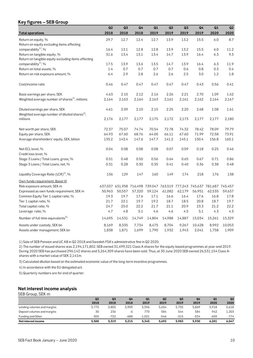#### **Key figures – SEB Group**

|                                                                                             | Q2     | Q3     | Q <sub>4</sub> | Q1                                                                      | Q2     | Q <sub>3</sub> | Q <sub>4</sub> | Q1      | Q2     |
|---------------------------------------------------------------------------------------------|--------|--------|----------------|-------------------------------------------------------------------------|--------|----------------|----------------|---------|--------|
| <b>Total operations</b>                                                                     | 2018   | 2018   | 2018           | 2019                                                                    | 2019   | 2019           | 2019           | 2020    | 2020   |
| Return on equity, %                                                                         | 29.7   | 12.7   | 12.4           | 12.7                                                                    | 13.9   | 13.2           | 15.5           | 6.0     | 8.7    |
| Return on equity excluding items affecting                                                  |        |        |                |                                                                         |        |                |                |         |        |
| comparability <sup>1</sup> , %                                                              | 16.4   | 13.1   | 12.8           | 12.8                                                                    | 13.9   | 13.2           | 15.5           | 6.0     | 11.2   |
| Return on tangible equity, %                                                                | 31.6   | 13.4   | 13.1           | 13.4                                                                    | 14.7   | 13.9           | 16.4           | 6.3     | 9.3    |
| Return on tangible equity excluding items affecting                                         |        |        |                |                                                                         |        |                |                |         |        |
| comparability <sup>1</sup> , %                                                              | 17.5   | 13.9   | 13.6           | 13.5                                                                    | 14.7   | 13.9           | 16.4           | 6.3     | 11.9   |
| Return on total assets, %                                                                   | 1.4    | 0.7    | 0.7            | 0.7                                                                     | 0.7    | 0.6            | 0.8            | 0.3     | 0.4    |
| Return on risk exposure amount, %                                                           | 6.4    | 2.9    | 2.8            | 2.6                                                                     | 2.6    | 2.5            | 3.0            | $1.2\,$ | 1.8    |
| Cost/income ratio                                                                           | 0.46   | 0.47   | 0.47           | 0.47                                                                    | 0.47   | 0.47           | 0.43           | 0.56    | 0.41   |
| Basic earnings per share, SEK                                                               | 4.63   | 2.10   | 2.12           | 2.16                                                                    | 2.26   | 2.21           | 2.70           | 1.09    | 1.62   |
| Weighted average number of shares <sup>2)</sup> , millions                                  | 2,164  | 2,163  | 2,164          | 2,163                                                                   | 2,161  | 2,161          | 2,162          | 2,164   | 2,167  |
| Diluted earnings per share, SEK<br>Weighted average number of diluted shares <sup>3</sup> , | 4.61   | 2.09   | 2.10           | 2.15                                                                    | 2.25   | 2.20           | 2.68           | 1.08    | 1.61   |
| millions                                                                                    | 2,176  | 2,177  | 2,177          | 2,175                                                                   | 2,172  | 2,173          | 2,177          | 2,177   | 2,180  |
| Net worth per share, SEK                                                                    | 72.37  | 75.07  | 74.74          | 70.54                                                                   | 72.78  | 74.32          | 78.42          | 78.09   | 79.79  |
| Equity per share, SEK                                                                       | 64.93  | 67.60  | 68.76          | 64.00                                                                   | 66.11  | 67.60          | 71.99          | 72.58   | 73.91  |
| Average shareholders' equity, SEK, billion                                                  | 135.2  | 143.4  | 147.6          | 147.7                                                                   | 141.2  | 145.1          | 150.4          | 156.8   | 160.1  |
| Net ECL level, %<br>Credit loss level, %                                                    | 0.04   | 0.08   | 0.08           | 0.08                                                                    | 0.07   | 0.09           | 0.18           | 0.25    | 0.46   |
| Stage 3 Loans / Total Loans, gross, %                                                       | 0.51   | 0.48   | 0.50           | 0.56                                                                    | 0.64   | 0.65           | 0.67           | 0.71    | 0.86   |
| Stage 3 Loans / Total Loans, net, %                                                         | 0.31   | 0.28   | 0.30           | 0.35                                                                    | 0.41   | 0.40           | 0.36           | 0.38    | 0.48   |
| Liquidity Coverage Ratio (LCR) <sup>4)</sup> , %                                            | 136    | 129    | 147            | 160                                                                     | 149    | 174            | 218            | 176     | 138    |
| Own funds requirement, Basel III                                                            |        |        |                |                                                                         |        |                |                |         |        |
| Risk exposure amount, SEK m                                                                 |        |        |                | 637,037 631,958 716,498 739,047 763,519 777,243 745,637 781,687 745,457 |        |                |                |         |        |
| Expressed as own funds requirement, SEK m                                                   | 50,963 | 50,557 | 57,320         | 59,124                                                                  | 61,082 | 62,179         | 56,951         | 62,535  | 59,637 |
| Common Equity Tier 1 capital ratio, %                                                       | 19.3   | 19.7   | 17.6           | 17.1                                                                    | 16.6   | 16.4           | 17.6           | 16.8    | 17.8   |
| Tier 1 capital ratio, %                                                                     | 21.7   | 22.1   | 19.7           | 19.2                                                                    | 18.7   | 18.5           | 20.8           | 18.7    | 19.7   |
| Total capital ratio, %                                                                      | 24.7   | 25.0   | 22.2           | 21.7                                                                    | 21.1   | 20.9           | 23.3           | 21.2    | 22.2   |
| Leverage ratio, %                                                                           | 4.7    | 4.8    | 5.1            | 4.6                                                                     | 4.6    | 4.5            | 5.1            | 4.3     | 4.3    |
| Number of full time equivalents <sup>5)</sup>                                               | 14,695 | 14,531 | 14,749         | 14,804                                                                  | 14,988 | 14,887         | 15,034         | 15,261  | 15,329 |
| Assets under custody, SEK bn                                                                | 8,169  | 8,335  | 7,734          | 8,475                                                                   | 8,704  | 9,267          | 10,428         | 8,992   | 10,053 |
| Assets under management, SEK bn                                                             | 1,838  | 1,871  | 1,699          | 1,790                                                                   | 1,932  | 1,943          | 2,041          | 1,758   | 1,909  |

1) Sale of SEB Pension and UC AB in Q2 2018 and Swedish FSA's administrative fine in Q2 2020.

2) The number of issued shares was 2,194,171,802. SEB owned 31,499,321 Class A shares for the equity based programmes at year-end 2019. During 2020 SEB has purchased 296,142 shares and 5,264,309 shares have been sold. Thus, at 30 June 2020 SEB owned 26,531,154 Class Ashares with a market value of SEK 2,141m.

3) Calculated dilution based on the estimated economic value of the long-term incentive programmes.

4) In accordance with the EU delegated act.

5) Quarterly numbers are for end of quarter.

#### **Net interest income analysis**

#### SEB Group, SEK m

|                             | Q <sub>2</sub> | Q <sub>3</sub> | Q <sub>4</sub> | Q1       | Q <sub>2</sub> | Q3     | Q4     | Q1     | Q <sub>2</sub> |
|-----------------------------|----------------|----------------|----------------|----------|----------------|--------|--------|--------|----------------|
|                             | 2018           | 2018           | 2018           | 2019     | 2019           | 2019   | 2019   | 2020   | 2020           |
| Lending volumes and margins | 5.775          | 5.805          | 5.909          | 5.596    | 5.654          | 5.755  | 5.869  | 5.918  | 5,618          |
| Deposit volumes and margins | 30             | 236            | -6             | 770      | 584            | 544    | 584    | 942    | 1,203          |
| Funding and Other           | $-305$         | $-722$         | -688           | $-1.021$ | $-546$         | $-315$ | $-524$ | $-659$ | $-774$         |
| Net interest income         | 5.500          | 5.319          | 5.215          | 5.345    | 5.692          | 5.983  | 5.930  | 6.201  | 6,047          |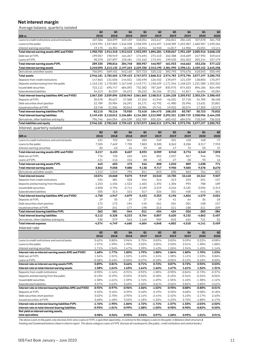### **Net interest margin**

Average balance, quarterly isolated

|                                                                                 | Q <sub>2</sub>       | Q <sub>3</sub>       | Q4                 | Q1                                                                                                   | Q <sub>2</sub>       | Q3                 | Q4                   | Q1                  | Q <sub>2</sub>       |
|---------------------------------------------------------------------------------|----------------------|----------------------|--------------------|------------------------------------------------------------------------------------------------------|----------------------|--------------------|----------------------|---------------------|----------------------|
| SEK <sub>m</sub>                                                                | 2018                 | 2018                 | 2018               | 2019                                                                                                 | 2019                 | 2019               | 2019                 | 2020                | 2020                 |
| Loans to credit institutions and central banks                                  | 407,586              | 360,099              | 349,459            | 348,054                                                                                              | 263,647              | 256,861            | 284,465              | 307,878             | 364,758              |
| Loans to the public                                                             | 1,523,994            |                      |                    | 1,537,869 1,546,558 1,558,395 1,615,697 1,648,389 1,652,087 1,682,987 1,690,266                      |                      |                    |                      |                     |                      |
| Interest-earning securities                                                     | 19,175               | 16,351               | 16,498             | 16,944                                                                                               | 16,940               | 14,817             | 14,906               | 15,051              | 13,111               |
| Total interest-earning assets AMC and FVOCI<br>Debt sec at FVPL                 |                      | 190,919              |                    | 1,950,755 1,914,318 1,912,515 1,923,393 1,896,284 1,920,067 1,951,459 2,005,916 2,068,135<br>174,694 |                      |                    | 245,609              |                     |                      |
| Loans at FVPL                                                                   | 199,057<br>90,278    | 107,897              | 164,267<br>120,481 | 131,262                                                                                              | 274,415<br>172,491   | 262,388<br>199,535 | 201,053              | 247,992<br>205,244  | 349,643<br>227,479   |
| Total interest-earning assets FVPL                                              | 289,335              | 298,816              | 284,748            | 305,957                                                                                              | 446,907              | 461,923            | 446,662              | 453,236             | 577,122              |
| Total interest earning assets                                                   |                      |                      |                    | 2,240,090 2,213,135 2,197,263 2,229,350 2,343,190 2,381,990 2,398,121 2,459,152 2,645,258            |                      |                    |                      |                     |                      |
| Derivatives and other assets                                                    | 706,091              | 569,431              | 542,160            | 537,723                                                                                              | 525,122              | 592,793            | 575,676              | 618,045             | 555,496              |
| <b>Total assets</b>                                                             |                      |                      |                    | 2,946,181 2,782,565 2,739,423 2,767,073 2,868,312 2,974,783 2,973,796                                |                      |                    |                      | 3,077,197 3,200,753 |                      |
| Deposits from credit institutions                                               | 147.863              | 131,036              | 144,551            | 150.490                                                                                              | 126,452              | 139,697            | 121,339              | 138,805             | 170,297              |
| Deposits and borrowing from the public                                          |                      |                      |                    | 1,163,132 1,178,583 1,167,648 1,143,771 1,158,639 1,171,346 1,168,223 1,221,588 1,353,332            |                      |                    |                      |                     |                      |
| Issued debt securities                                                          | 722,112              | 695,747              | 684,092            | 732,382                                                                                              | 787,269              | 835,975            | 874,553              | 896,186             | 824,490              |
| Subordinated liabilities                                                        | 34,213               | 34,529               | 34,672             | 35,222                                                                                               | 36,156               | 37,211             | 41,817               | 46,654              | 40,284               |
| Total interest-bearing liabilities AMC and FVOCI                                |                      |                      |                    | 2,067,320 2,039,896 2,030,963 2,061,865 2,108,515 2,184,228 2,205,932 2,303,234 2,388,403            |                      |                    |                      |                     |                      |
| Deposits at FVPL                                                                | 35,578               | 30,627               | 27,588             | 27,263                                                                                               | 41,940               | 46,201             | 37,718               | 24,789              | 38,458               |
| Debt securities short position<br>Issued securities at FVPL                     | 22,789<br>23,748     | 25,984<br>21,506     | 26,291<br>20,042   | 26,171<br>18,984                                                                                     | 42,792<br>19,741     | 41,980<br>19,922   | 25,996<br>20,074     | 13,631<br>17,303    | 23,801<br>13,573     |
| Total interest-bearing liabilities FVPL                                         | 82,115               | 78,116               | 73,920             | 72,418                                                                                               | 104,473              | 108,103            | 83,787               | 55,723              | 75,832               |
| <b>Total interest bearing liabilities</b>                                       |                      |                      |                    | 2,149,435 2,118,012 2,104,884 2,134,283 2,212,989 2,292,331 2,289,719 2,358,956 2,464,235            |                      |                    |                      |                     |                      |
| Derivatives, other liabilities and equity                                       | 796.746              | 664,554              | 634,539            | 632,789                                                                                              | 655,324              | 682,452            | 684,076              | 718,240             | 736,518              |
| <b>Total liabilities and equity</b>                                             |                      |                      |                    | 2,946,181 2,782,565 2,739,423 2,767,073 2,868,312 2,974,783 2,973,796 3,077,197                      |                      |                    |                      |                     | 3,200,753            |
| Interest, quarterly isolated                                                    |                      |                      |                    |                                                                                                      |                      |                    |                      |                     |                      |
|                                                                                 | Q <sub>2</sub>       | Q3                   | Q4                 | Q1                                                                                                   | Q <sub>2</sub>       | Q3                 | Q4                   | Q1                  | Q <sub>2</sub>       |
| SEK <sub>m</sub>                                                                | 2018                 | 2018                 | 2018               | 2019                                                                                                 | 2019                 | 2019               | 2019                 | 2020                | 2020                 |
| Loans to credit institutions and central banks                                  | 631                  | 722                  | 841                | 650                                                                                                  | 549                  | 531                | 418                  | 168                 | $-71$                |
| Loans to the public                                                             | 7,505                | 7,669                | 7,705              | 7,883                                                                                                | 8,300                | 8,362              | 8,286                | 8,317               | 7,933                |
| Interest-earning securities                                                     | 82                   | 63                   | 61                 | 59                                                                                                   | 60                   | 47                 | 72                   | 55                  | 37                   |
| Total interest-earning assets AMC and FVOCI                                     | 8,217                | 8,455                | 8,607              | 8,592                                                                                                | 8,909                | 8,940              | 8,776                | 8,540               | 7,898                |
| Debt sec at FVPL<br>Loans at FVPL                                               | 776<br>$-131$        | 720                  | 625                | 634                                                                                                  | 852<br>-45           | 1,037              | 867                  | 946<br>93           | 755                  |
| Total interest-earning assets FVPL                                              | 645                  | $-116$<br>603        | $-152$<br>473      | -88<br>546                                                                                           | 808                  | $-27$<br>1,010     | $-58$<br>809         | 1,038               | 16<br>771            |
| Total interest earning assets                                                   | 8,862                | 9,058                | 9,080              | 9,138                                                                                                | 9,717                | 9,950              | 9,585                | 9,578               | 8,670                |
| Derivatives and other assets                                                    | 1,212                | 1,010                | 795                | 811                                                                                                  | 823                  | 835                | 863                  | 764                 | 837                  |
| Total interest income                                                           | 10,074               | 10,068               | 9,875              | 9,949                                                                                                | 10,540               | 10,785             | 10,448               | 10,342              | 9,507                |
| Deposits from credit institutions                                               | $-334$               | $-381$               | $-328$             | $-346$                                                                                               | $-316$               | $-313$             | $-253$               | $-251$              | $-157$               |
| Deposits and borrowing from the public                                          | $-1,253$             | $-1,456$             | $-1,522$           | $-1,602$                                                                                             | $-1,392$             | $-1,306$           | $-993$               | $-788$              | $-189$               |
| Issued debt securities                                                          | $-2,858$             | $-2,796$             | $-2,714$           | $-3,189$                                                                                             | $-3,319$             | $-3,246$           | $-3,181$             | $-3,096$            | $-2,313$             |
| Subordinated liabilities                                                        | $-305$               | $-313$               | $-315$             | $-317$                                                                                               | -326                 | $-331$             | $-400$               | -443                | -364                 |
| Total interest-bearing liabilities AMC and FVOCI                                | $-4,750$             | -4,947               | $-4,879$           | $-5,453$                                                                                             | $-5,353$             | $-5,196$           | -4,826               | $-4,579$            | $-3,024$             |
| Deposits at FVPL                                                                | 29<br>$-172$         | 35<br>$-175$         | 27<br>$-194$       | 27<br>$-140$                                                                                         | 19<br>$-261$         | 41<br>$-254$       | 64<br>$-201$         | 36<br>$-108$        | $-18$<br>$-157$      |
| Debt securities short position<br>Issued securities at FVPL                     | $-219$               | $-241$               | $-177$             | $-198$                                                                                               | $-213$               | $-211$             | $-188$               | $-211$              | $-209$               |
| Total interest-bearing liabilities FVPL                                         | $-362$               | $-381$               | -344               | $-311$                                                                                               | -454                 | -424               | $-326$               | $-283$              | -384                 |
| <b>Total interest bearing liabilities</b>                                       | $-5,112$             | $-5,328$             | $-5,223$           | $-5,764$                                                                                             | $-5,807$             | $-5,620$           | $-5,152$             | $-4,862$            | $-3,407$             |
| Derivatives, other liabilities and equity                                       | 538                  | 579                  | 563                | 1,160                                                                                                | 959                  | 818                | 634                  | 721                 | $-52$                |
| <b>Total interest expense</b>                                                   | $-4,574$             | $-4,749$             | $-4,660$           | $-4,604$                                                                                             | $-4,848$             | -4,802             | -4,518               | $-4,141$            | -3,459               |
| Interest rate                                                                   |                      |                      |                    |                                                                                                      |                      |                    |                      |                     |                      |
|                                                                                 | Q <sub>2</sub>       | Q3                   | Q4                 | Q1                                                                                                   | Q2                   | Q3                 | Q4                   | Q1                  | Q2                   |
|                                                                                 | 2018                 | 2018                 | 2018               | 2019                                                                                                 | 2019                 | 2019               | 2019                 | 2020                | 2020                 |
| Loans to credit institutions and central banks                                  | 0.62%                | 0.80%                | 0.96%              | 0.75%                                                                                                | 0.83%                | 0.83%              | 0.59%                | 0.22%               | $-0.08%$             |
| Loans to the public                                                             | 1.97%                | 1.99%                | 1.99%              | 2.02%                                                                                                | 2.05%                | 2.03%              | 2.01%                | 1.98%               | 1.88%                |
| Interest-earning securities                                                     | 1.71%                | 1.54%                | 1.47%              | 1.39%                                                                                                | 1.43%                | 1.26%              | 1.94%                | 1.45%               | 1.14%                |
| Interest rate on interest-earning assets AMC and FVOCI                          | 1.68%                | 1.77%                | 1.80%              | 1.79%                                                                                                | 1.88%                | 1.86%              | 1.80%                | 1.70%               | 1.53%                |
| Debt sec at FVPL<br>Loans at FVPL                                               | 1.56%<br>$-0.58%$    | 1.51%<br>$-0.43%$    | 1.52%<br>$-0.50%$  | 1.45%<br>$-0.27%$                                                                                    | 1.24%<br>$-0.10%$    | 1.58%<br>$-0.05%$  | 1.41%<br>$-0.12%$    | 1.53%<br>0.18%      | 0.86%<br>0.03%       |
| Interest rate on interest-earning assets FVPL                                   | 0.89%                | 0.81%                | 0.66%              | 0.71%                                                                                                | 0.72%                | 0.87%              | 0.72%                | 0.92%               | 0.53%                |
| Interest rate on total interest-earning assets                                  | 1.58%                | 1.64%                | 1.65%              | 1.64%                                                                                                | 1.66%                | 1.67%              | 1.61%                | 1.56%               | 1.31%                |
| Deposits from credit institutions                                               | $-0.90%$             | $-1.16%$             | $-0.91%$           | $-0.92%$                                                                                             | $-1.00\%$            | $-0.90%$           | $-0.84%$             | $-0.72%$            | $-0.37\%$            |
| Deposits and borrowing from the public                                          | $-0.43%$             | $-0.49%$             | $-0.52%$           | $-0.56%$                                                                                             | $-0.48%$             | $-0.45%$           | $-0.34%$             | $-0.26%$            | $-0.06%$             |
| Issued debt securities                                                          | $-1.58%$             | $-1.61%$             | $-1.59%$           | $-1.74%$                                                                                             | $-1.69%$             | $-1.55%$           | $-1.45%$             | $-1.38%$            | $-1.12%$             |
| Subordinated liabilities                                                        | $-3.57%$             | $-3.63%$             | -3.63%             | $-3.60%$                                                                                             | $-3.61%$             | -3.56%             | $-3.82%$             | $-3.80%$            | $-3.62%$             |
| Interest rate on interest-bearing liabilities AMC and FVOCI                     | $-0.92%$             | $-0.97%$             | -0.96%             | $-1.06%$                                                                                             | $-1.02%$             | -0.95%             | $-0.88%$             | $-0.80%$            | $-0.51%$             |
| Deposits at FVPL                                                                | 0.32%                | 0.46%                | 0.39%              | 0.40%                                                                                                | 0.19%                | 0.35%              | 0.68%                | 0.58%               | $-0.18%$             |
| Debt securities short position                                                  | $-3.02%$             | $-2.70%$             | $-2.95%$           | $-2.14%$                                                                                             | $-2.44%$             | $-2.42%$           | $-3.10%$             | $-3.17%$            | $-2.63%$             |
| Issued securities at FVPL<br>Interest rate on interest-bearing liabilities FVPL | $-3.68%$<br>$-1.76%$ | $-4.48%$<br>$-1.95%$ | $-3.53%$<br>-1.86% | $-4.18%$<br>$-1.72%$                                                                                 | $-4.32%$<br>$-1.74%$ | -4.23%<br>$-1.57%$ | $-3.75%$<br>$-1.55%$ | -4.88%<br>-2.03%    | $-6.17%$<br>$-2.02%$ |
| Interest rate on total interest-bearing liabilities                             | -0.95%               | $-1.01%$             | -0.99%             | $-1.08%$                                                                                             | -1.05%               | -0.98%             | -0.90%               | $-0.82%$            | -0.55%               |
| Net yield on interest-earning assets,                                           |                      |                      |                    |                                                                                                      |                      |                    |                      |                     |                      |
| total operations                                                                | 0.98%                | 0.96%                | 0.95%              | 0.96%                                                                                                | 0.97%                | 1.00%              | 0.99%                | 1.01%               | 0.91%                |

*The above Loans to the public only disclose AmC since Loans at FVPL is specified separately, in contrast to the category Loans to the public in Balance sheet structure & Funding and Condensed balance sheet in interim report. The above category Loans at FVPL disclose all counterparts (the public, credit institutions and central banks).*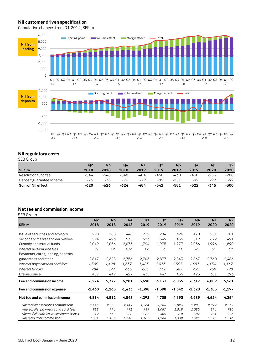#### **NII customer driven specification**

Cumulative changes from Q1 2012, SEK m



#### **NII regulatory costs**

SEB Group

|                          | Q <sub>2</sub> | Q3   | Q4     | Q1    | Q <sub>2</sub> | Q <sub>3</sub> | Q4     | Q <sub>1</sub> | Q2     |
|--------------------------|----------------|------|--------|-------|----------------|----------------|--------|----------------|--------|
| <b>SEK m</b>             | 2018           | 2018 | 2018   | 2019  | 2019           | 2019           | 2019   | 2020           | 2020   |
| Resolution fund fee      | -544           | -548 | $-548$ | -404  | -460           | -430           | -430   | $-253$         | $-208$ |
| Deposit guarantee scheme | -76            | -78  | -76    | $-79$ | -82            | -151           | -92    | $-92$          | $-92$  |
| Sum of NII effect        | $-620$         | -626 | $-624$ | -484  | -542           | $-581$         | $-522$ | -345           | $-300$ |

#### **Net fee and commission income** SEB Group

| JLD UI UUD                                |                |                |                |          |                |                |                |          |                |
|-------------------------------------------|----------------|----------------|----------------|----------|----------------|----------------|----------------|----------|----------------|
|                                           | Q <sub>2</sub> | Q <sub>3</sub> | Q <sub>4</sub> | Q1       | Q <sub>2</sub> | Q <sub>3</sub> | Q <sub>4</sub> | Q1       | Q <sub>2</sub> |
| <b>SEK m</b>                              | 2018           | 2018           | 2018           | 2019     | 2019           | 2019           | 2019           | 2020     | 2020           |
|                                           |                |                |                |          |                |                |                |          |                |
| Issue of securities and advisory          | 298            | 168            | 448            | 232      | 284            | 326            | 470            | 251      | 301            |
| Secondary market and derivatives          | 594            | 496            | 575            | 523      | 549            | 455            | 519            | 622      | 491            |
| Custody and mutual funds                  | 2,049          | 2,036          | 2,075          | 1,794    | 1,975          | 1,977          | 2,036          | 1,996    | 1,890          |
| Whereof performance fees                  | 5              | 12             | 187            | 12       | 56             | 11             | 42             | 51       | 69             |
| Payments, cards, lending, deposits,       |                |                |                |          |                |                |                |          |                |
| guarantees and other                      | 2,847          | 2,628          | 2,756          | 2,705    | 2,877          | 2,843          | 2,867          | 2,760    | 2,486          |
| Whereof payments and card fees            | 1,509          | 1,498          | 1.537          | 1.483    | 1.613          | 1,597          | 1,607          | 1.454    | 1,167          |
| Whereof lending                           | 784            | 577            | 665            | 683      | 737            | 687            | 762            | 769      | 790            |
| Life insurance                            | 487            | 449            | 427            | 435      | 447            | 435            | 425            | 381      | 393            |
| Fee and commission income                 | 6,274          | 5,777          | 6,281          | 5,690    | 6,133          | 6,035          | 6,317          | 6,009    | 5,561          |
| Fee and commission expense                | $-1,460$       | $-1,265$       | $-1,433$       | $-1,398$ | $-1,398$       | $-1,342$       | $-1.328$       | $-1,385$ | -1,197         |
| Net fee and commission income             | 4,814          | 4,512          | 4,848          | 4,292    | 4,735          | 4,693          | 4,989          | 4,624    | 4,364          |
| <b>Whereof Net securities commissions</b> | 2.116          | 2,035          | 2,149          | 1,764    | 2,106          | 2,026          | 2,283          | 2,079    | 2,062          |
| Whereof Net payments and card fees        | 988            | 996            | 971            | 939      | 1,057          | 1,019          | 1,080          | 896      | 710            |
| Whereof Net life insurance commissions    | 349            | 330            | 288            | 282      | 305            | 310            | 302            | 254      | 276            |
| <b>Whereof Other commissions</b>          | 1,361          | 1,150          | 1,440          | 1,307    | 1,266          | 1,338          | 1,325          | 1,395    | 1,316          |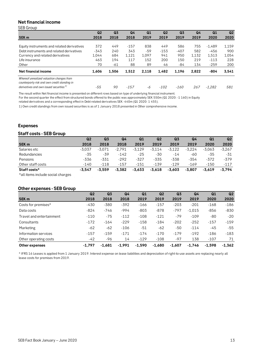#### **Net financial income**

SEB Group

|                                                                                           | Q <sub>2</sub> | Q <sub>3</sub> | Q4     | Q1    | Q <sub>2</sub> | Q <sub>3</sub> | Q4    | Q1       | Q <sub>2</sub> |
|-------------------------------------------------------------------------------------------|----------------|----------------|--------|-------|----------------|----------------|-------|----------|----------------|
| SEK <sub>m</sub>                                                                          | 2018           | 2018           | 2018   | 2019  | 2019           | 2019           | 2019  | 2020     | 2020           |
|                                                                                           |                |                |        |       |                |                |       |          |                |
| Equity instruments and related derivatives                                                | 372            | 449            | $-157$ | 838   | 449            | 586            | 755   | $-1,489$ | 1,159          |
| Debt instruments and related derivatives                                                  | $-343$         | 240            | 343    | -59   | $-153$         | $-407$         | 582   | $-456$   | 900            |
| Currency and related derivatives                                                          | 1,044          | 684            | 1,121  | 1,097 | 941            | 950            | 1,132 | 1,513    | 1,054          |
| Life insurance                                                                            | 463            | 194            | 117    | 152   | 200            | 150            | 219   | $-113$   | 228            |
| Other                                                                                     | 70             | -61            | 88     | 89    | 46             | -84            | 134   | $-259$   | 200            |
| Net financial income                                                                      | 1,606          | 1,506          | 1,512  | 2.118 | 1,482          | 1.196          | 2,822 | -804     | 3,541          |
| Whereof unrealized valuation changes from<br>counterparty risk and own credit standing in |                |                |        |       |                |                |       |          |                |
| derivatives and own issued securities <sup>1)</sup>                                       | -55            | 90             | $-157$ | -6    | $-102$         | $-160$         | 267   | $-1.282$ | 581            |

The result within Net financial income is presented on different rows based on type of underlying financial instrument.

For the second quarter the effect from structured bonds offered to the public was approximately SEK 550m (Q1 2020: -1 160) in Equity

related derivatives and a corresponding effect in Debt related derivatives SEK -440m (Q1 2020: 1 455).

1) Own credit standings from own issued securities is as of 1 January 2018 presented in Other comprehensive income.

#### **Expenses**

#### **Staff costs - SEB Group**

|                   | Q <sub>2</sub> | Q <sub>3</sub> | Q4       | Q1       | Q <sub>2</sub> | Q <sub>3</sub> | Q4       | Q <sub>1</sub> | Q2       |
|-------------------|----------------|----------------|----------|----------|----------------|----------------|----------|----------------|----------|
| <b>SEK m</b>      | 2018           | 2018           | 2018     | 2019     | 2019           | 2019           | 2019     | 2020           | 2020     |
| Salaries etc      | $-3.037$       | $-3.071$       | $-2.791$ | $-3,129$ | $-3,114$       | $-3,122$       | $-3.224$ | $-3.063$       | $-3.267$ |
| Redundancies      | $-35$          | -39            | $-142$   | $-25$    | -30            | $-14$          | -60      | -35            | -31      |
| Pensions          | -336           | $-331$         | $-292$   | $-327$   | $-335$         | $-338$         | $-354$   | $-372$         | -379     |
| Other staff costs | $-140$         | $-118$         | $-157$   | $-151$   | $-139$         | $-129$         | $-169$   | $-150$         | $-117$   |
| Staff costs*      | $-3.547$       | $-3.559$       | $-3.382$ | $-3.633$ | $-3,618$       | $-3.603$       | $-3.807$ | $-3.619$       | $-3.794$ |

 $\mathcal{L}_{\text{max}}$  and  $\mathcal{L}_{\text{max}}$  . The  $\mathcal{L}_{\text{max}}$ 

 $\sim 10$ 

 $\sim 10^{-1}$ 

\*all items include social charges

#### **Other expenses - SEB Group**

|                          | Q <sub>2</sub> | Q <sub>3</sub> | Q <sub>4</sub> | Q1       | Q <sub>2</sub> | Q <sub>3</sub> | Q <sub>4</sub> | Q1       | Q <sub>2</sub> |
|--------------------------|----------------|----------------|----------------|----------|----------------|----------------|----------------|----------|----------------|
| SEK <sub>m</sub>         | 2018           | 2018           | 2018           | 2019     | 2019           | 2019           | 2019           | 2020     | 2020           |
| Costs for premises*      | $-430$         | $-380$         | $-392$         | $-166$   | $-157$         | $-203$         | $-201$         | $-168$   | $-186$         |
| Data costs               | $-824$         | $-746$         | $-994$         | $-803$   | $-878$         | $-797$         | $-1,015$       | $-856$   | $-830$         |
| Travel and entertainment | $-110$         | $-75$          | $-112$         | $-108$   | $-121$         | $-79$          | $-109$         | $-80$    | $-20$          |
| Consultants              | $-172$         | $-164$         | $-229$         | $-158$   | $-184$         | $-202$         | $-252$         | $-157$   | $-159$         |
| Marketing                | $-62$          | $-62$          | $-106$         | $-51$    | $-62$          | $-50$          | $-114$         | -45      | $-55$          |
| Information services     | $-157$         | $-159$         | $-171$         | $-174$   | $-170$         | $-179$         | $-192$         | $-186$   | $-183$         |
| Other operating costs    | $-42$          | -96            | 14             | $-129$   | $-108$         | $-97$          | 138            | $-107$   | 71             |
| Other expenses           | $-1.797$       | $-1.681$       | $-1,991$       | $-1.590$ | $-1,680$       | $-1,607$       | $-1,746$       | $-1.598$ | $-1,362$       |

\* IFRS 16 Leases is applied from 1 January 2019. Interest expense on lease liabilities and depreciation of right-to-use assets are replacing nearly all lease costs for premises from 2019.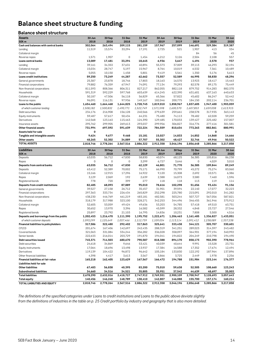## **Balance sheet structure & funding**

#### **Balance sheet structure**

| <b>Assets</b>                                        | 30 Jun             | 30 Sep             | 31 Dec             | 31 Mar             | 30 Jun             | 30 Sep             | 31 Dec             | 31 Mar             | 30 Jun             |
|------------------------------------------------------|--------------------|--------------------|--------------------|--------------------|--------------------|--------------------|--------------------|--------------------|--------------------|
| SEK <sub>m</sub>                                     | 2018               | 2018               | 2018               | 2019               | 2019               | 2019               | 2019               | 2020               | 2020               |
| Cash and balances with central banks                 | 302,064            | 263,494            | 209,115            | 281,159            | 157,967            | 257,099            | 146,691            | 329,384            | 319,387            |
| Lending                                              | 11,519             | 15,574             | 33,294             | 17,191             | 2,725              | 521                | 1,907              | 413                | 334                |
| Collateral margin                                    |                    |                    |                    |                    |                    |                    | 84                 | 56                 | 45                 |
| Reverse repos                                        | 1,571              | 1,907              | 0                  | 1,454              | 4,212              | 3,126              | 2,504              | 2,108              | 557                |
| Loans central banks                                  | 13,089             | 17,481             | 33,294             | 18,645             | 6,936              | 3,647              | 4,494              | 2,578              | 937                |
| Lending                                              | 39,161             | 34,353             | 37,631             | 40,894             | 55,373             | 37,009             | 39,113             | 46,293             | 32,194             |
| Collateral margin                                    | 15,034             | 28,747             | 5,197              | 15,967             | 8,764              | 10,019             | 6,532              | 7,361              | 10,489             |
| Reverse repos                                        | 5,055              | 10,150             | 1,458              | 5,801              | 9,419              | 5,561              | 1,350              | 5,176              | 5,613              |
| Loans credit institutions                            | 59,250             | 73,249             | 44,287             | 62,662             | 73,557             | 52,589             | 46,995             | 58,830             | 48,296             |
| General governments                                  | 25,387             | 23,878             | 18,746             | 17,803             | 18,163             | 16,570             | 13,923             | 18,417             | 15,463             |
| Financial corporations<br>Non-financial corporations | 79,882             | 76,359             | 67,947             | 74,091             | 77,134             | 79,293             | 82,578             | 89,175             | 75,449             |
| Households                                           | 811,593<br>591,319 | 808,366<br>592,229 | 806,311<br>597,768 | 827,217<br>603,639 | 862,055<br>614,245 | 882,118<br>622,390 | 879,752<br>631,601 | 914,283<br>637,163 | 882,370<br>640,633 |
| Collateral margin                                    | 50,187             | 47,506             | 56,118             | 56,829             | 65,366             | 57,822             | 45,602             | 86,247             | 52,442             |
| Reverse repos                                        | 96,091             | 116,131            | 97,936             | 149,167            | 182,046            | 200,775            | 184,150            | 202,114            | 236,701            |
| Loans to the public                                  | 1,654,460          | 1,664,468          | 1,644,825          | 1,728,745          | 1,819,010          | 1,858,967          | 1,837,605          | 1,947,400          | 1,903,059          |
| of which customer lending                            | 1,508,182          | 1,500,832          | 1,490,771          | 1,522,749          | 1,571,598          | 1,600,370          | 1,607,853          | 1,659,038          | 1,613,915          |
| Debt securities                                      | 234,176            | 216,908            | 156,128            | 240,566            | 279,639            | 259,661            | 238,578            | 317,935            | 363,143            |
| Equity instruments                                   | 59,487             | 57,617             | 50,434             | 64,231             | 75,480             | 74,113             | 78,482             | 62,028             | 59,259             |
| Derivatives                                          | 142,568            | 123,163            | 115,463            | 124,390            | 129,485            | 170,033            | 139,427            | 225,482            | 157,007            |
| Insurance assets                                     | 295,762            | 299,905            | 269,613            | 293,037            | 299,956            | 306,827            | 316,776            | 277,416            | 301,581            |
| Other financial assets                               | 731,994            | 697,592            | 591,639            | 722,224            | 784,559            | 810,634            | 773,263            | 882,861            | 880,991            |
| Assets held for sale                                 | 0                  |                    |                    |                    |                    |                    |                    | 0                  |                    |
| Tangible and intangible assets                       | 9,624              | 9,677              | 9,468              | 15,181             | 15,027             | 14,833             | 14,852             | 14,868             | 14,666             |
| Other assets                                         | 48,265             | 52,302             | 34,889             | 57,707             | 55,302             | 48,427             | 32,746             | 49,946             | 50,522             |
| <b>TOTAL ASSETS</b>                                  | 2,818,746          | 2,778,264          | 2,567,516          | 2,886,322          | 2,912,358          | 3,046,196          | 2,856,648          | 3,285,866          | 3,217,858          |
| Liabilities                                          | 30 Jun             | 30 Sep             | 31 Dec             | 31 Mar             | 30 Jun             | 30 Sep             | 31 Dec             | 31 Mar             | 30 Jun             |
| SEK <sub>m</sub>                                     | 2018               | 2018               | 2018               | 2019               | 2019               | 2019               | 2019               | 2020               | 2020               |
| Deposits                                             | 63,035             | 56,712             | 47,830             | 58,830             | 40,074             | 68,125             | 36,385             | 105,816            | 86,238             |
| Repos                                                | 0                  | 0                  | 0                  | 3,299              | 6,727              | 3,646              | 0                  | 4,029              | 3,010              |
| Deposits from central banks                          | 63,035             | 56,712             | 47,830             | 62,129             | 46,801             | 71,770             | 36,385             | 109,844            | 89,249             |
| Deposits                                             | 63,412             | 52,389             | 70,002             | 75,171             | 66,990             | 70,799             | 45,272             | 75,274             | 83,060             |
| Collateral margin                                    | 15,166             | 12,915             | 17,296             | 16,922             | 9,120              | 15,308             | 2,692              | 10,571             | 6,386              |
| Repos                                                | 3,129              | 2,069              | 192                | 2,639              | 2,388              | 16,073             | 3,580              | 7,460              | 1,596              |
| Registered bonds                                     | 778                | 720                | 399                | 277                | 118                | 118                | 113                | 119                | 114                |
| Deposits from credit institutions                    | 82,485             | 68,093             | 87,889             | 95,010             | 78,616             | 102,298            | 51,656             | 93,424             | 91,156             |
| General governments                                  | 39,527             | 27,158             | 26,712             | 35,457             | 31,901             | 39,594             | 22,140             | 17,077             | 32,223             |
| Financial corporations                               | 297,363            | 333,734            | 226,434            | 265,829            | 252,298            | 225,780            | 215,091            | 292,010            | 341,282            |
| Non-financial corporations                           | 438,230            | 446,769            | 461,219            | 483,181            | 482,581            | 503,244            | 507,727            | 567,056            | 587,821            |
| Households                                           | 318,179            | 317,988            | 323,100            | 328,271            | 342,253            | 344,496            | 346,455            | 361,946            | 375,912            |
| Collateral margin                                    | 52,605             | 53,059             | 49,424             | 49,636             | 53,203             | 54,785             | 57,418             | 69,510             | 63,751             |
| Repos                                                | 30,652             | 13,970             | 3,396              | 16,582             | 45,599             | 28,332             | 4,848              | 23,727             | 27,546             |
| Registered bonds                                     | 25,897             | 23,792             | 21,103             | 16,795             | 14,836             | 10,231             | 7,808              | 5,500              | 4,516              |
| Deposits and borrowings from the public              | 1,202,453          | 1,216,470          | 1,111,390          | 1,195,752          | 1,222,671          | 1,206,463          | 1,161,485          | 1,336,827          | 1,433,051          |
| of which customer deposits                           | 1,093,299          | 1,125,649          | 1,037,466          | 1,112,739          | 1,109,034          | 1,113,114          | 1,091,412          | 1,238,089          | 1,337,238          |
| Financial liabilities to policyholders               | 317,586            | 322,480            | 292,402            | 317,863            | 325,641            | 333,438            | 344,121            | 305,707            | 330,601            |
| CP/CD                                                | 201,674            | 167,406            | 142,697            | 242,435            | 288,319            | 341,251            | 289,023            | 314,397            | 243,482            |
| Covered bonds                                        | 321,063            | 331,084            | 334,244            | 356,282            | 336,028            | 358,097            | 364,901            | 377,194            | 340,992            |
| Senior bonds<br>Debt securities issued               | 222,633<br>745,371 | 216,014<br>714,503 | 203,729<br>680,670 | 191,870<br>790,587 | 194,041<br>818,388 | 194,822<br>894,170 | 204,249<br>858,173 | 210,798            | 194,490            |
| Debt securities                                      |                    |                    |                    |                    |                    |                    |                    | 902,390            | 778,964            |
| Equity instruments                                   | 24,618<br>17,064   | 34,869<br>18,696   | 9,646<br>13,498    | 53,421<br>13,937   | 40,039<br>17,384   | 40,644<br>16,588   | 9,991<br>17,352    | 15,528<br>17,674   | 23,731<br>12,494   |
| Derivatives                                          | 119,139            | 104,422            | 96,872             | 96,642             | 105,184            | 133,830            | 122,192            | 187,964            | 137,896            |
| Other financial liabilities                          | 4,398              | 4,417              | 3,613              | 3,567              | 3,866              | 3,725              | 2,449              | 1,978              | 2,256              |
| Financial liabilities at fair value                  | 165,218            | 162,405            | 123,629            | 167,567            | 166,472            | 194,788            | 151,984            | 223,144            | 176,377            |
| Liabilities held for sale                            |                    |                    |                    |                    |                    |                    |                    |                    |                    |
| Other liabilities                                    | 67,483             | 56,838             | 40,395             | 83,200             | 75,010             | 59,638             | 52,505             | 108,660            | 123,243            |
| <b>Subordinated liabilities</b>                      | 34,660             | 34,516             | 34,521             | 35,805             | 35,951             | 37,542             | 44,639             | 48,697             | 35,003             |
| <b>Total liabilities</b>                             | 2,678,290          | 2,632,016          | 2,418,727          | 2,747,912          | 2,769,551          | 2,900,109          | 2,700,947          | 3,128,693          | 3,057,643          |
| Total equity                                         | 140,456            | 146,248            | 148,789            | 138,410            | 142,807            | 146,088            | 155,700            | 157,174            | 160,214            |
| TOTAL LIABILITIES AND EQUITY                         | 2,818,746          | 2,778,264          | 2,567,516          | 2,886,322          | 2,912,358          | 3,046,196          | 2,856,648          | 3,285,866          | 3,217,858          |
|                                                      |                    |                    |                    |                    |                    |                    |                    |                    |                    |

*The definitions of the specified categories under Loans to credit institutions and Loans to the public above deviate slightly from the definitions of industries in the table on p. 25 Credit portfolio by industry and geography that is also more detailed.*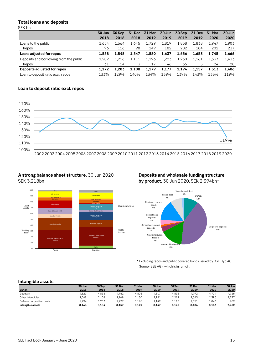#### **Total loans and deposits** SEK bn

|                                        | 30 Jun | 30 Sep | <b>31 Dec</b> | 31 Mar | 30 Jun | 30 Sep | <b>31 Dec</b> | <b>31 Mar</b> | 30 Jun |
|----------------------------------------|--------|--------|---------------|--------|--------|--------|---------------|---------------|--------|
|                                        | 2018   | 2018   | 2018          | 2019   | 2019   | 2019   | 2019          | 2020          | 2020   |
| Loans to the public                    | 1.654  | 1.664  | 1,645         | 1,729  | 1,819  | 1,858  | 1.838         | 1.947         | 1,903  |
| Repos                                  | 96     | 116    | 98            | 149    | 182    | 202    | 184           | 202           | 237    |
| Loans adjusted for repos               | 1.558  | 1.548  | 1.547         | 1,580  | 1,637  | 1.656  | 1.653         | 1.745         | 1,666  |
| Deposits and borrowing from the public | 1,202  | 1.216  | 1,111         | 1,196  | 1,223  | 1,230  | 1,161         | 1.337         | 1,433  |
| Repos                                  | 31     | 14     | 3             | 17     | 46     | 36     | 5             | 24            | 28     |
| Deposits adjusted for repos            | 1.172  | 1.203  | 1.108         | 1.179  | 1,177  | 1.194  | 1.157         | 1.313         | 1,406  |
| Loan to deposit ratio excl. repos      | 133%   | 129%   | 140%          | 134%   | 139%   | 139%   | 143%          | 133%          | 119%   |

#### **Loan to deposit ratio excl. repos**



2002 2003 2004 2005 2006 2007 2008 2009 2010 2011 2012 2013 2014 2015 2016 2017 2018 2019 2020

#### **A strong balance sheet structure,** 30 Jun 2020 **Deposits and wholesale funding structure** SEK 3,218bn **by product,** 30 Jun 2020, SEK 2,394bn\*





\* Excluding repos and public covered bonds issued by DSK Hyp AG (former SEB AG), which is in run-off.

#### **Intangible assets**

|                            | 30 Jun | 30 Sep | 31 Dec | 31 Mar | 30 Jun | 30 Sep | <b>31 Dec</b> | 31 Mar | 30 Jun |
|----------------------------|--------|--------|--------|--------|--------|--------|---------------|--------|--------|
| SEK <sub>m</sub>           | 2018   | 2018   | 2018   | 2019   | 2019   | 2019   | 2019          | 2020   | 2020   |
| Goodwill                   | 4,821  | 4,813  | 4,762  | 4,803  | 4,817  | 4,813  | 4.792         | 4,724  | 4,716  |
| Other intangibles          | 2,048  | 2,108  | 2,168  | 2,150  | 2,181  | 2,219  | 2,343         | 2,395  | 2,277  |
| Deferred acquisition costs | 1.294  | 1.263  | 1,227  | 1.196  | 1.149  | 1.110  | 1.051         | 1.043  | 969    |
| Intangible assets          | 8.163  | 8.184  | 8,157  | 8.149  | 8.147  | 8.142  | 8.186         | 8.163  | 7,962  |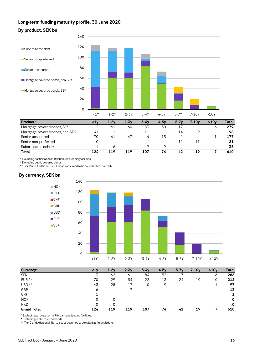### **Long-term funding maturity profile, 30 June 2020**





| Total                           | 124 | 119 | 119 | 107 | 74 | 42 | 1 Q | 610 |
|---------------------------------|-----|-----|-----|-----|----|----|-----|-----|
| Subordinated debt **            |     |     |     |     |    |    |     | 35  |
| Senior non-preferred            |     |     |     |     |    |    |     |     |
| Senior unsecured                | 70  | 41  | 47  | 4   | 13 |    |     | 177 |
| Mortgage covered bonds, non-SEK | 41  |     |     |     |    | 14 |     | 98  |
| Mortgage covered bonds, SEK     |     | 61  | 60  | 83  | 50 |    |     | 279 |
|                                 |     |     |     |     |    |    |     |     |

\* Excluding participation in Riksbankens lending facilities.

\* Excluding public covered bonds.

\*\* Tier 2 and Additional Tier 1 issues assumed to be called at first call date.

#### **By currency, SEK bn**



| Currency*          | $1v$ | $1-2v$ | $2 - 3y$ | $3-4v$ | $4-5v$ | $5-7v$ | $7-10y$ | >10v | Total |
|--------------------|------|--------|----------|--------|--------|--------|---------|------|-------|
| <b>SEK</b>         | 3    | 62     | 61       | 84     | 52     | 17     |         | 6    | 286   |
| $EUR**$            | 70   | 29     | 34       | 22     | 13     | 24     | 19      | 0    | 212   |
| USD <sup>**</sup>  | 43   | 28     | 17       | 0      | 9      |        |         |      | 97    |
| GBP                | Ô    |        |          |        |        |        |         |      | 13    |
| <b>CHF</b>         |      |        |          |        |        |        |         |      |       |
| <b>NOK</b>         | 0    | 0      |          |        |        |        |         |      | 0     |
| <b>HKD</b>         | 0    | 0      |          |        |        |        |         |      | 0     |
| <b>Grand Total</b> | 124  | 119    | 119      | 107    | 74     | 42     | 19      |      | 610   |

\* Excluding participation in Riksbankens lending facilities.

\* Excluding public covered bonds.

\*\* Tier 2 and Additional Tier 1 issues assumed to be called at first call date.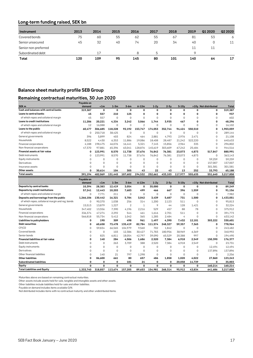### **Long-term funding raised, SEK bn**

| Instrument           | 2013 | 2014 | 2015 | 2016 | 2017 | 2018 | 2019 | Q1 2020 | Q2 2020 |
|----------------------|------|------|------|------|------|------|------|---------|---------|
| Covered bonds        | 75   | 60   | 55   | 62   | 55   | 67   | -81  | 53      | 6       |
| Senior unsecured     | 45   | 32   | 40   | 74   | 20   | 34   | 40   | 0       | 11      |
| Senior non-preferred |      |      |      |      |      |      | 11   | 11      |         |
| Subordinated debt    |      | 17   |      | я    | 5    |      | O    |         |         |
| Total                | 120  | 109  | 95   | 145  | 80   | 101  | 140  | 64      | 17      |

#### **Balance sheet maturity profile SEB Group**

#### **Remaining contractual maturities, 30 Jun 2020**

|                                                  | Payable on  |             |             |                |                |                |             |             |             |                      |           |
|--------------------------------------------------|-------------|-------------|-------------|----------------|----------------|----------------|-------------|-------------|-------------|----------------------|-----------|
| SEK <sub>m</sub>                                 | demand      | < 1m        | $1-3m$      | $3-6m$         | $6 - 12m$      | $1-2y$         | $2-5y$      | $5-10y$     |             | >10y Not distributed | Total     |
| Cash and balances with central banks             | 319,387     | 0           | $\mathbf 0$ | 0              | 0              | 0              | 0           | 0           | 0           | 0                    | 319,387   |
| Loans to central banks                           | 45          | 557         | 210         | 125            | $\mathbf 0$    | 0              | 0           | 0           | 0           | 0                    | 937       |
| of which repos and collateral margin             | 45          | 557         | $\mathbf 0$ | $\mathbf 0$    | $\Omega$       | $\overline{0}$ | $\mathbf 0$ | 0           | $\Omega$    | $\Omega$             | 602       |
| Loans to credit institutions                     | 11.286      | 20.221      | 4.334       | 3.242          | 3,066          | 1.744          | 3.935       | 467         | 0           | 0                    | 48,296    |
| of which repos and collateral margin             | 12          | 16.088      | $\mathbf 0$ | $\Omega$       | $\overline{2}$ | $\Omega$       | $\Omega$    | $\Omega$    | $\Omega$    | $\Omega$             | 16.102    |
| Loans to the public                              | 60.477      | 306,685     | 118,228     | 92.192         | 153,747        | 174,053        | 352,744     | 94.424      | 550,510     | 0                    | 1,903,059 |
| of which repos and collateral margin             | $\mathbf 0$ | 250.718     | 38,425      | $\mathbf 0$    | $\mathbf 0$    | $\overline{0}$ | $\mathbf 0$ | $\Omega$    | $\Omega$    | $\Omega$             | 289,144   |
| General governments                              | 396         | 5,899       | 403         | 824            | 464            | 2,881          | 4,793       | 2,976       | 2.471       | $\Omega$             | 21,108    |
| Households                                       | 8,522       | 4,430       | 6,353       | 11,886         | 19,086         | 18,408         | 28,487      | 21,242      | 522,220     | 0                    | 640,633   |
| Financial corporations                           | 4,188       | 198,475     | 46,076      | 16,441         | 5,321          | 7,145          | 15,856      | 2,964       | 335         | $\Omega$             | 296,802   |
| Non-financial corporations                       | 47,370      | 97,881      | 65,396      | 63,041         | 128,876        | 145,619        | 303,609     | 67,242      | 25,484      | $\Omega$             | 944,516   |
| Financial assets at fair value                   | 0           | 123,991     | 8,570       | 11,738         | 37,676         | 76,842         | 76,381      | 23,073      | 4,873       | 517,847              | 880,991   |
| Debt instruments                                 | $\mathbf 0$ | 123,991     | 8,570       | 11,738         | 37,676         | 76,842         | 76,381      | 23,073      | 4,873       | $\mathbf 0$          | 363,143   |
| Equity instruments                               | $\mathbf 0$ | $\mathbf 0$ | $\mathbf 0$ | $\mathbf 0$    | $\mathbf 0$    | 0              | $\mathbf 0$ | 0           | $\mathbf 0$ | 59.259               | 59,259    |
| Derivatives                                      | $\mathbf 0$ | $\mathbf 0$ | $\mathbf 0$ | $\Omega$       | $\Omega$       | $\Omega$       | $\mathbf 0$ | $\Omega$    | $\Omega$    | 157,007              | 157,007   |
| Insurance assets                                 | $\Omega$    | $\Omega$    | $\mathbf 0$ | $\Omega$       | $\Omega$       | $\overline{0}$ | $\mathbf 0$ | $\Omega$    | $\Omega$    | 301,581              | 301,581   |
| Other assets                                     | 0           | 30.614      | 104         | 305            | 43             | 22             | 43          | 13          | 252         | 33,793               | 65,188    |
| <b>Total assets</b>                              | 391,194     | 482,069     | 131,445     | 107,602        | 194,532        | 252,661        | 433,103     | 117,977     | 555,635     | 551,640              | 3,217,858 |
|                                                  | Payable on  |             |             |                |                |                |             |             |             |                      |           |
|                                                  | demand      | < 1m        | $1-3m$      | $3-6m$         | $6-12m$        | $1-2y$         | $2-5y$      | $5-10y$     | >10v        | Not distributed      | Total     |
| Deposits by central banks                        | 10,394      | 28,383      | 12,419      | 3,054          | 0              | 35,000         | $\mathbf 0$ | $\mathbf 0$ | $\Omega$    | 0                    | 89,249    |
| Deposits by credit institutions                  | 57,241      | 12,443      | 10,203      | 7,683          | 499            | 466            | 667         | 396         | 1,559       | 0                    | 91,156    |
| of which repos and collateral margin             | $\mathbf 0$ | 7,771       | 211         | $\mathbf 0$    | $\mathbf 0$    | 0              | $\mathbf 0$ | $\mathbf 0$ | 0           | 0                    | 7,982     |
| Deposits and borrowings from the public          | 1,266,106   | 130,442     | 16,321      | 5,784          | 3,042          | 3,439          | 5,687       | 731         | 1,500       | 0                    | 1,433,051 |
| of which repos, collateral margin and reg. bonds | $\mathbf 0$ | 90,370      | 1,038       | 256            | 314            | 1,200          | 2,123       | 511         | $\mathbf 0$ | 0                    | 95,813    |
| General governments                              | 15,513      | 13,879      | 1,227       | $\overline{c}$ | $\,1\,$        | 9              | 44          | 128         | 1,421       | 0                    | 32,224    |
| Households                                       | 347,402     | 13,556      | 7.390       | 4,196          | 2.216          | 529            | 457         | 88          | 78          | 0                    | 375,912   |
| Financial corporations                           | 336,374     | 47,274      | 2,292       | 544            | 461            | 1,616          | 2,701       | 511         | $\Omega$    | 0                    | 391,773   |
| Non-financial corporations                       | 566,818     | 55,734      | 5.412       | 1.042          | 365            | 1.285          | 2.484       | 4           | $\Omega$    | $\Omega$             | 633,142   |
| Liabilities to policyholders                     | 0           | 190         | 309         | 498            | 961            | 1,497          | 4,390       | 7,432       | 12,101      | 303,222              | 330,601   |
| <b>Debt securities</b>                           | 0           | 60,658      | 73,478      | 135,419        | 82,784         | 111,574        | 248,327     | 59,357      | 7,365       | 0                    | 778,964   |
| CP/CD                                            | 0           | 59,834      | 66,565      | 104,979        | 9,560          | 702            | 1,842       | $\mathbf 0$ | $\Omega$    | 0                    | 243,482   |
| Covered bonds                                    | $\mathbf 0$ | $\mathbf 0$ | 103         | 12,386         | 30,427         | 71,783         | 180,956     | 38,969      | 6,369       | 0                    | 340,992   |
| Senior bonds                                     | $\mathbf 0$ | 825         | 6,811       | 18,054         | 42,797         | 39,090         | 65,529      | 20,388      | 997         | 0                    | 194,490   |
| Financial liabilities at fair value              | 0           | 140         | 284         | 4,506          | 1,686          | 2,520          | 7,384       | 6,918       | 2,549       | 150,390              | 176,377   |
| Debt instruments                                 | $\Omega$    | $\mathbf 0$ | 263         | 3,709          | 388            | 2,520          | 7,384       | 6,918       | 2,549       | 0                    | 23,731    |
| Equity instruments                               | $\Omega$    | $\Omega$    | $\mathbf 0$ | $\mathbf 0$    | $\mathbf 0$    | 0              | $\mathbf 0$ | 0           | $\Omega$    | 12.494               | 12,494    |
| Derivatives                                      | $\Omega$    | $\Omega$    | $\mathbf 0$ | $\Omega$       | $\Omega$       | $\Omega$       | $\mathbf 0$ | 0           | $\Omega$    | 137,896              | 137,896   |
| Other financial liabilities                      | $\Omega$    | 140         | 21          | 797            | 1.298          | 0              | $\mathbf 0$ | $\Omega$    | $\Omega$    | 0                    | 2,256     |
| Other liabilities                                | 0           | 86.600      | 661         | 80             | 657            | 486            | 1,858       | 1,020       | 4,022       | 27,860               | 123,243   |
| <b>Subordinated liabilities</b>                  | 0           | 0           | 0           | 181            | 24             | 0              | $\mathbf 0$ | 20,058      | 14,739      | 0                    | 35,003    |
| Equity                                           | 0           | $\mathbf 0$ | $\mathbf 0$ | 0              | 0              | 0              | $\mathbf 0$ | 0           | 0           | 160,214              | 160,214   |
| <b>Total Liabilities and Equity</b>              | 1.333.740   | 318.857     | 113.674     | 157.205        | 89.653         | 154.981        | 268.314     | 95.912      | 43.834      | 641.686              | 3,217,858 |

Maturities above are based on remaining contractual maturities.

Other assets include assets held for sale, tangible and intangible assets and other assets.

Other liabilities include liabilities held for sale and other liabilities.

Payable on demand includes items available O/N.

Not distributed includes items with no contractual maturity and other undistributed items.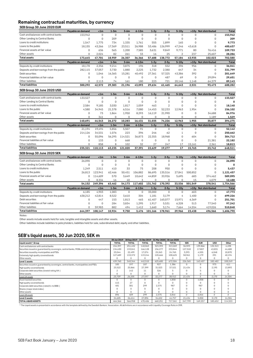#### **Remaining contractual maturities, by currency**

|                                                            | Payable on demand           | < 1m                  | $1-3m$              | $3-6m$             | $6-12m$               | $1-2y$                | $2-5y$                 | $5-10y$               |                | >10y Not distributed             | <b>Total</b>      |
|------------------------------------------------------------|-----------------------------|-----------------------|---------------------|--------------------|-----------------------|-----------------------|------------------------|-----------------------|----------------|----------------------------------|-------------------|
| Cash and balances with central banks                       | 153.942                     | $\mathbf 0$           | $\mathbf 0$         | $\mathbf 0$        | $\mathbf 0$           | $\Omega$              | $\Omega$               | $\Omega$              | $\Omega$       | $\Omega$                         | 153,942           |
| Other Lending to Central Banks                             | $\mathbf 0$                 | $\mathsf{O}\xspace$   | 209                 | $\mathbf 0$        | $\mathbf 0$           | $\mathbf 0$           | $\mathbf 0$            | $\mathsf{O}\xspace$   | 0              | 0                                | 209               |
| Loans to credit institutions                               | 1.547                       | 1.775                 | 734                 | 1,335              | 1,761                 | 555                   | 1.899                  | 165                   | $\Omega$       | $\Omega$                         | 9.773             |
| Loans to the public                                        | 18,155                      | 43,266                | 17,369              | 23,511             | 26,988                | 53,486                | 126,999                | 47,246                | 43,618         | 0                                | 400,637           |
| Financial assets at fair value                             | $\mathbf 0$                 | 636                   | 565                 | 1,200              | 7,585                 | 3,631                 | 9.849                  | 9,771                 | 80             | 76,416                           | 109,733           |
| Other assets                                               | $\mathbf 0$                 | 2,024                 | 82                  | 261                | 33                    | 16                    | 25                     | $\overline{2}$        | 237            | 25,607                           | 28,286            |
| <b>Total assets</b>                                        | 173,645                     | 47,701                | 18,959              | 26,307             | 36,366                | 57,688                | 138,772                | 57,184                | 43,935         | 102,023                          | 702,580           |
|                                                            | Payable on demand           | < 1m                  | $1-3m$              | $3-6m$             | $6-12m$               | $1-2y$                | $2-5v$                 | $5-10y$               |                | >10y Not distributed             | <b>Total</b>      |
| Deposits by credit institutions                            | 18,178                      | 2,356                 | 9,214               | 3,875              | 196                   | 318                   | 552                    | 396                   | 956            | $\Omega$                         | 36,041            |
| Deposits and borrowings from the public                    | 282,115                     | 37,057                | 3,730               | 1,880              | 2,225                 | 1,732                 | 2,380                  | 647                   | 34             | 0                                | 331,799           |
| Debt securities                                            | $\mathbf 0$                 | 1,046                 | 16,365              | 15,281             | 40,492                | 27,361                | 57,325                 | 43,386                | 392            | $\Omega$                         | 201,649           |
| Financial liabilities at fair value                        | $\mathbf 0$                 | 0                     | $\mathsf{O}\xspace$ | $\mathbf 0$        | $\mathbf 0$           | $\mathbf 0$           | 487                    | 69                    | $\mathbf 0$    | 29,094                           | 29,651            |
| Other liabilities                                          | $\Omega$                    | 2,113                 | 74                  | 161                | 180                   | 223                   | 721                    | 20,146                | 1,148          | 64,379                           | 89,143            |
| <b>Total liabilities</b>                                   | 300,292                     | 42,572                | 29.383              | 21,196             | 43,093                | 29,634                | 61,465                 | 64,643                | 2,531          | 93,473                           | 688,282           |
| SEB Group 30 June 2020 USD                                 |                             |                       |                     |                    |                       |                       |                        |                       |                |                                  |                   |
|                                                            | Payable on demand           | < 1m                  | $1-3m$              | $3-6m$             | $6-12m$               | $1-2v$                | $2-5v$                 | $5-10y$               |                | >10y Not distributed             | <b>Total</b>      |
| Cash and balances with central banks                       | 133,527                     | $\mathbf 0$           | 0                   | $\overline{0}$     | $\mathbf 0$           | $\mathbf 0$           | $\mathbf 0$            | $\mathbf 0$           | $\overline{0}$ | $\Omega$                         | 133,527           |
| Other Lending to Central Banks                             | 0                           | $\mathsf 0$           | $\mathsf{O}\xspace$ | $\mathbf 0$        | $\mathbf 0$           | $\mathbf 0$           | $\mathbf 0$            | $\mathbf 0$           | $\overline{0}$ | 0                                | 0                 |
| Loans to credit institutions                               | 2,584                       | 9,185                 | 3,030               | 1,817              | 1,059                 | 463                   | $\overline{2}$         | $\mathbf 0$           | $\overline{O}$ | 0                                | 18,140            |
| Loans to the public                                        | 4,580                       | 34,945                | 21,378              | 6,516              | 7,080                 | 14,453                | 52,233                 | 12,963                | 1,954          | 0                                | 156,102           |
| Financial assets at fair value                             | $\mathbf 0$                 | 73                    | 1,864               | 1,950              | 8,293                 | 16.119                | 21.990                 | $\mathbf 0$           | $\mathbf 0$    | 34,688                           | 84,976            |
|                                                            |                             |                       |                     |                    |                       |                       |                        |                       |                |                                  |                   |
| Other assets                                               | $\mathbf 0$                 | 341                   | 0                   | $\Omega$           | $\mathbf 0$           | 0                     | $\mathbf 0$            | $\mathbf 0$           | 0              | 1,189                            |                   |
| <b>Total assets</b>                                        | 140.691                     | 44,543                | 26,272              | 10,283             | 16,431                | 31.035                | 74,226                 | 12,963                | 1,955          | 35.877                           | 1,529<br>394,275  |
|                                                            |                             |                       |                     | $3-6m$             |                       | $1-2v$                | $2-5y$                 | $5-10y$               |                |                                  | <b>Total</b>      |
| Deposits by credit institutions                            | Payable on demand<br>21,194 | < 1m<br>19,494        | $1-3m$<br>5,856     | 5,507              | $6-12m$<br>91         | $\mathbf 0$           | $\mathbf 0$            | $\mathbf 0$           | $\overline{O}$ | >10y Not distributed<br>$\Omega$ | 52,142            |
| Deposits and borrowings from the public                    | 214,126                     | 34,531                | 1,076               | 223                | 396                   | 246                   | 62                     | $\mathbf{1}$          | $\mathbf 0$    | 0                                | 250,662           |
| Debt securities                                            | $\mathbf 0$                 | 55,096                | 56,295              | 114,521            |                       |                       | 18.968                 | $\mathbf 0$           | 604            | $\Omega$                         | 304,712           |
| Financial liabilities at fair value                        | 0                           | 133                   | $\mathsf{O}\xspace$ | 668                | 36,873<br>$\mathbf 0$ | 22,355<br>$\mathbf 0$ | $\mathbf 0$            | $\mathbf 0$           | $\mathbf 0$    | 21,381                           | 22,182            |
| Other liabilities                                          | 0                           | 858                   | 8                   | 102                | 32                    | 27                    | 247                    | 17                    | 15,161         | 2,361                            | 18,813            |
| <b>Total liabilities</b>                                   | 235,321                     | 110,113               | 63,235              | 121,020            | 37,391                | 22,629                | 19,277                 | 17                    | 15,765         | 23,742                           | 648,511           |
|                                                            |                             |                       |                     |                    |                       |                       |                        |                       |                |                                  |                   |
| SEB Group 30 June 2020 SEK                                 |                             |                       |                     |                    |                       |                       |                        |                       |                |                                  |                   |
| Cash and balances with central banks                       | Payable on demand           | < 1m                  | $1-3m$              | $3-6m$             | $6-12m$               | $1-2y$                | $2-5y$                 | $5-10y$               | >10v           | Not distributed                  | <b>Total</b>      |
|                                                            | 26,090                      | $\mathbf 0$           | $\mathbf 0$         | $\mathbf 0$        | $\mathbf 0$           | $\mathbf 0$           | $\mathbf 0$            | $\mathbf 0$           | $\overline{0}$ | 0                                | 26,090            |
| Other Lending to Central Banks                             | $\mathbf 0$                 | $\mathbf 0$           | $\overline{0}$      | $\mathbf 0$        | $\mathbf 0$           | $\mathbf 0$           | $\mathbf 0$            | $\mathbf 0$           | $\overline{0}$ | $\Omega$                         | 0                 |
| Loans to credit institutions                               | 1,249                       | 2,511                 | 410                 | 33                 | 75                    | 208                   | 950                    | $\mathbf{0}$          | $\Omega$       | $\mathbf 0$                      | 5,437             |
| Loans to the public                                        | 26,813                      | 123,941               | 62,466              | 50,451             | 106,882               | 86,695                | 135,516                | 27,841                | 500,852        | 0                                | 1,121,457         |
| Financial assets at fair value                             | $\mathbf 0$                 | 114,609               | 570                 | 3,649              | 10,642                | 44,859                | 33,926                 | 5,695                 | 683            | 374,462                          | 589,095           |
| Other assets<br><b>Total assets</b>                        | $\mathbf 0$<br>54,152       | 8,334<br>249,396      | 16<br>63,462        | 40<br>54,173       | 3<br>117,602          | 0<br>131,762          | $\mathbf 0$<br>170,392 | $\mathbf 0$<br>33.536 | 15<br>501.549  | 4,079<br>378,541                 | 12,488            |
|                                                            |                             |                       |                     |                    |                       |                       |                        |                       |                |                                  | 1,754,566         |
|                                                            | Payable on demand           | < 1m                  | $1-3m$              | $3-6m$<br>$\Omega$ | $6-12m$               | $1-2y$                | $2-5y$                 | $5-10y$<br>$\Omega$   |                | >10y Not distributed<br>$\Omega$ | <b>Total</b>      |
| Deposits by credit institutions                            | 6,185                       | 4,903                 | 1,083               |                    | $\mathbf 0$           | 35,000                | $\mathbf 0$            |                       | 603            |                                  | 47,773            |
| Deposits and borrowings from the public<br>Debt securities | 638,212                     | 42,814                | 8,522               | 3,610              | 304                   | 1,181                 | 3,179                  | 4                     | 1,400          | 0<br>$\Omega$                    | 699,226           |
|                                                            | $\mathbf 0$                 | 447                   | 153                 | 1,813              | 465                   | 61,407                | 165,077                | 15,971                | 6,369          |                                  | 251,701           |
| Financial liabilities at fair value<br>Other liabilities   | $\mathbf 0$<br>$\Omega$     | $\mathbf 0$<br>59.983 | 284<br>882          | 3,834<br>494       | 1,295<br>1.412        | 1,917<br>1,660        | 5,531<br>5.174         | 6,328<br>7,664        | 513<br>14,554  | 77,540<br>419.026                | 97,242<br>510,848 |

Notes:

Other assets include assets held for sale, tangible and intangible assets and other assets.

Other liabilities include liabilities to policyholders, liabilities held for sale, subordinated debt, equity and other liabilities.

#### **SEB's liquid assets, 30 Jun 2020, SEK m**

|                                                                                                    | 30 Jun 2019  |              | 30 Sep 2019 31 Dec 2019 | 31 Mar 2020 30 Jun 2020 |              |            |            |            |          |
|----------------------------------------------------------------------------------------------------|--------------|--------------|-------------------------|-------------------------|--------------|------------|------------|------------|----------|
| Liquid assets*, Group                                                                              | <b>TOTAL</b> | <b>TOTAL</b> | <b>TOTAL</b>            | <b>TOTAL</b>            | <b>TOTAL</b> | <b>SEK</b> | <b>EUR</b> | <b>USD</b> | Other    |
| Cash and balances with central banks                                                               | 154,397      | 251,432      | 140,063                 | 323,393                 | 313,269      | 36,593     | 139.866    | 132,313    | 4.498    |
| Securities issued or guaranteed by sovereigns, central banks, MDBs and international organisations | 134,630      | 133.041      | 166,128                 | 156,277                 | 233,844      | 127,518    | 17.807     | 43,831     | 44,688   |
| Securities issued by municipalites and PSEs                                                        | 23,044       | 22,499       | 17,074                  | 25,263                  | 24,765       | 3,293      | 4,555      | 6,048      | 10,870   |
| Extremely high quality covered bonds                                                               | 127,689      | 133,372      | 119.244                 | 120,666                 | 100,625      | 58,961     | 1,179      | 291        | 40,194   |
| Other assets                                                                                       | 0            | $\Omega$     | 0                       | 0                       | $\Omega$     |            | $\Omega$   | 0          | $\Omega$ |
| Level 1 assets                                                                                     | 439,760      | 540,344      | 442,510                 | 625,600                 | 672,504      | 226,365    | 163,407    | 182,482    | 100,249  |
| Securities issued or guaranteed by sovereigns, central banks, municipalities and PSEs              | 185          | 197          | 187                     | 927                     | 1.386        | 0          | $\Omega$   | 975        | 411      |
| High quality covered bonds                                                                         | 23,522       | 25.866       | 27,399                  | 31,023                  | 37.521       | 21.434     | $\Omega$   | 2,195      | 13,893   |
| Corporate debt securities (lowest rating AA-)                                                      |              | 142          | 11                      | 326                     |              |            |            | 0          |          |
| Other assets                                                                                       | $\Omega$     | $\Omega$     | O                       | $\Omega$                | $\Omega$     |            | $\Omega$   | 0          | $\Omega$ |
| Level 2A assets                                                                                    | 23.709       | 26,205       | 27,597                  | 32.277                  | 38.912       | 21.434     | 5          | 3,170      | 14,304   |
| Asset-backed securities                                                                            | 0            | $\Omega$     | $\Omega$                | $\Omega$                | 4,858        |            | 4,858      | $\Omega$   | 0        |
| High quality covered bonds                                                                         | 415          | 27           | 0                       | $\Omega$                |              |            |            | U          |          |
| Corporate debt securities (rated A+ to BBB-)                                                       | 481          | 381          | 299                     | 2,375                   | 987          |            | 987        | 0          |          |
| Shares (major stock index)                                                                         | 0            | $\Omega$     | 0                       | 0                       | $\Omega$     |            | $\Omega$   | 0          |          |
| Other assets                                                                                       | $\Omega$     | $\Omega$     | 0                       | $\Omega$                | $\Omega$     |            | $\Omega$   | 0          | 0        |
| Level 2B assets                                                                                    | 896          | 409          | 299                     | 2.375                   | 5.846        | 0          | 5,846      | $\theta$   | 0        |
| Level 2 assets                                                                                     | 24,605       | 26,614       | 27,896                  | 34,652                  | 44,757       | 21,434     | 5,850      | 3,170      | 14,304   |
| <b>TOTAL LIQUID ASSETS</b>                                                                         | 464,366      | 566,958      | 470.406                 | 660,251                 | 717,261      | 247,799    | 169,257    | 185,652    | 114,553  |

\* The Liquid assets is presented in accordance with the template defined by the Swedish Bankers' Association. All definitions are in accordance with Liquidity Coverage Ratio in CRR.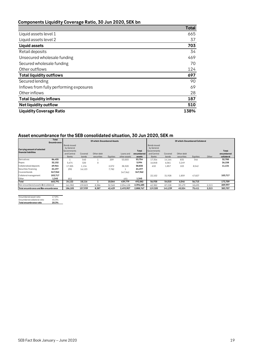### **Components Liquidity Coverage Ratio, 30 Jun 2020, SEK bn**

|                                         | Total |
|-----------------------------------------|-------|
| Liquid assets level 1                   | 665   |
| Liquid assets level 2                   | 37    |
| <b>Liquid assets</b>                    | 703   |
| Retail deposits                         | 34    |
| Unsecured wholesale funding             | 469   |
| Secured wholesale funding               | 70    |
| Other outflows                          | 124   |
| <b>Total liquidity outflows</b>         | 697   |
| Secured lending                         | 90    |
| Inflows from fully performing exposures | 69    |
| Other inflows                           | 28    |
| <b>Total liquidity inflows</b>          | 187   |
| <b>Net liquidity outflow</b>            | 510   |
| <b>Liquidity Coverage Ratio</b>         | 138%  |

#### **Asset encumbrance for the SEB consolidated situation, 30 Jun 2020, SEK m**

|                                        | Total<br>Encumbrance |                            |         | Of which: Encumbered Assets |          |              |                     |                            |         | Of which: Encumbered Collateral |                 |       |                     |
|----------------------------------------|----------------------|----------------------------|---------|-----------------------------|----------|--------------|---------------------|----------------------------|---------|---------------------------------|-----------------|-------|---------------------|
| <b>Carrying amount of selected</b>     |                      | Bonds issued<br>by General |         |                             |          |              |                     | Bonds issued<br>by General |         |                                 |                 |       |                     |
| financial liabilities                  |                      | Governments<br>and Central | Covered | Other debt                  |          | Loans and    | Total<br>encumbered | Governments<br>and Central | Covered | Other debt                      |                 |       | Total<br>encumbered |
|                                        |                      | Banks                      | bonds   | securities                  | Equities | other assets | assets              | Banks                      | bonds   | securities                      | <b>Equities</b> | Other | collateral          |
| Derivatives                            | 86,455               |                            | 540     |                             | 209      | 53.003       | 53,754              | 17.356                     | 14.164  | 835                             | 346             |       | 32,700              |
| Repos                                  | 32,152               | 5.674                      | 320     | 0                           |          |              | 5,994               | 16.848                     | 6.061   | 3,249                           |                 |       | 26,158              |
| Collateralised deposits                | 69.964               | 17.305                     | 1,134   |                             | 2,072    | 38.320       | 58,830              | 632                        | 1,857   | 103                             | 8,542           |       | 11,134              |
| Securities financing                   | 24,197               | 290                        | 16,123  |                             | 7,782    |              | 24,197              |                            |         |                                 |                 |       |                     |
| Covered bonds                          | 347,962              |                            |         |                             |          | 347.962      | 347,962             |                            |         |                                 |                 |       |                     |
| Collateral management                  | 103,717              |                            |         |                             |          |              |                     | 22,102                     | 31,928  | 1,859                           | 47,827          |       | 103,717             |
| Other                                  | 1,345                | 852                        |         |                             |          | 493          | 1,345               |                            |         |                                 |                 |       |                     |
| Total                                  | 665.791              | 24,122                     | 18.116  |                             | 10.064   | 439.779      | 492.082             | 56.938                     | 54.010  | 6,046                           | 56,715          |       | 173,709             |
| Non-encumbered assets and collateral   |                      | 161,982                    | 139.823 | 8,386                       | 32,365   | 2.054.128    | 2,396,685           | 62,382                     | 87.228  | 39,479                          | 18,695          | 2,213 | 209,997             |
| Total encumbrance and flon-encumbrance |                      | 186,105                    | 157,939 | 8,387                       | 42,429   | 2,493,907    | 2,888,767           | 119,320                    | 141,239 | 45,524                          | 75,411          | 2,213 | 383,707             |

| Encumbered asset ratio      | 17.0% |
|-----------------------------|-------|
| Encumbered collateral ratio | 45.3% |
| Total encumbrance ratio     | 20.3% |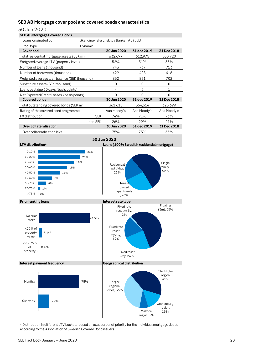#### **SEB AB Mortgage cover pool and covered bonds characteristics**

#### 30 Jun 2020

| <b>SEB AB Mortgage Covered Bonds</b>         |            |                                         |                                           |                 |
|----------------------------------------------|------------|-----------------------------------------|-------------------------------------------|-----------------|
| Loans originated by                          |            | Skandinaviska Enskilda Banken AB (publ) |                                           |                 |
| Pool type                                    | Dynamic    |                                         |                                           |                 |
| Cover pool                                   |            | 30 Jun 2020                             | 31 dec 2019                               | 31 Dec 2018     |
| Total residential mortgage assets (SEK m)    |            | 632,697                                 | 612,975                                   | 500,720         |
| Weighted average LTV (property level)        |            | 52%                                     | 51%                                       | 53%             |
| Number of loans (thousand)                   |            | 743                                     | 737                                       | 713             |
| Number of borrowers (thousand)               |            | 429                                     | 428                                       | 418             |
| Weighted average loan balance (SEK thousand) |            | 852                                     | 831                                       | 702             |
| Substitute assets (SEK thousand)             |            | 0                                       | 0                                         | 0               |
| Loans past due 60 days (basis points)        |            | 4                                       | 5                                         | 1               |
| Net Expected Credit Losses (basis points)    |            | $\Omega$                                | $\Omega$                                  | $\Omega$        |
| <b>Covered bonds</b>                         |            | 30 Jun 2020                             | 31 dec 2019                               | 31 Dec 2018     |
| Total outstanding covered bonds (SEK m)      |            | 361,615                                 | 354,614                                   | 323,699         |
| Rating of the covered bond programme         |            | Aaa Moody's                             | Aaa Moody's                               | Aaa Moody's     |
| FX distribution                              | <b>SEK</b> | 74%                                     | 71%                                       | 73%             |
|                                              | non-SEK    | 26%                                     | 29%                                       | 27%             |
| <b>Over collateralisation</b>                |            | 30 Jun 2020                             | 31 dec 2019                               | 31 Dec 2018     |
| Over collateralisation level                 |            | 75%                                     | 73%                                       | 55%             |
|                                              |            | 30 Jun 2020                             |                                           |                 |
| LTV distribution*                            |            |                                         | Loans (100% Swedish residential mortgage) |                 |
|                                              |            |                                         |                                           |                 |
| $0 - 10%$                                    | 23%        |                                         |                                           |                 |
| 10-20%                                       | 21%        |                                         |                                           |                 |
| 20-30%                                       | 18%        | Residential                             |                                           | Single          |
| 30-40%<br>15%                                |            | apt bldgs,<br>$\sim$ $\sim$ $\sim$      |                                           | , family<br>52% |





**Tenant** owned

, 26%

Floating (3m), 55%

Stockholm region, 41%

Gothenburg region,<br>15%

#### **Interest payment frequency CONSIDER ALCORDING THE CONSIDERED ATT Geographical distribution**

5.1%

No prior ranks

<25% of property value >25<75% of property…

0.4%



\* Distribution in different LTV buckets based on exact order of priority for the individual mortgage deeds according to the Association of Swedish Covered Bond issuers.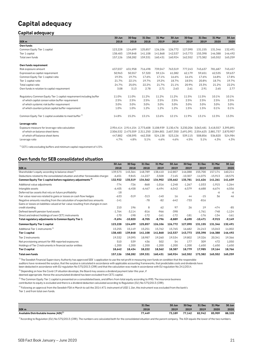### **Capital adequacy**

#### **Capital adequacy**

|                                                                      | 30 Jun  | 30 Sep                                                      | 31 Dec  | 31 Mar  | 30 Jun  | 30 Sep  | 31 Dec  | 31 Mar                                                                                    | 30 Jun  |
|----------------------------------------------------------------------|---------|-------------------------------------------------------------|---------|---------|---------|---------|---------|-------------------------------------------------------------------------------------------|---------|
| SEK <sub>m</sub>                                                     | 2018    | 2018                                                        | 2018    | 2019    | 2019    | 2019    | 2019    | 2020                                                                                      | 2020    |
| Own funds                                                            |         |                                                             |         |         |         |         |         |                                                                                           |         |
| Common Equity Tier 1 capital                                         | 123,228 | 124,699                                                     | 125,857 | 126,106 | 126,772 | 127,090 | 131,155 | 131,346                                                                                   | 132,491 |
| Tier 1 capital                                                       | 138.483 | 139.848                                                     | 141.108 | 141.868 | 142,537 | 143.773 | 155.398 | 146.388                                                                                   | 146,492 |
| Total own funds                                                      | 157,126 | 158,282                                                     | 159,331 | 160,431 | 160,924 | 162,552 | 173,382 | 165,552                                                                                   | 165,259 |
| Own funds requirement                                                |         |                                                             |         |         |         |         |         |                                                                                           |         |
| Risk exposure amount                                                 | 637.037 | 631,958                                                     | 716,498 | 739,047 | 763,519 | 777,243 | 745,637 | 781,687                                                                                   | 745,457 |
| Expressed as capital requirement                                     | 50.963  | 50,557                                                      | 57,320  | 59,124  | 61,082  | 62,179  | 59,651  | 62,535                                                                                    | 59,637  |
| Common Equity Tier 1 capital ratio                                   | 19.3%   | 19.7%                                                       | 17.6%   | 17.1%   | 16.6%   | 16.4%   | 17.6%   | 16.8%                                                                                     | 17.8%   |
| Tier 1 capital ratio                                                 | 21.7%   | 22.1%                                                       | 19.7%   | 19.2%   | 18.7%   | 18.5%   | 20.8%   | 18.7%                                                                                     | 19.7%   |
| Total capital ratio                                                  | 24.7%   | 25.0%                                                       | 22.2%   | 21.7%   | 21.1%   | 20.9%   | 23.3%   | 21.2%                                                                                     | 22.2%   |
| Own funds in relation to capital requirement                         | 3.08    | 3.13                                                        | 2.78    | 2.71    | 2.63    | 2.61    | 2.91    | 2.65                                                                                      | 2.77    |
| Regulatory Common Equity Tier 1 capital requirement including buffer | 11.0%   | 11.0%                                                       | 11.2%   | 11.2%   | 11.2%   | 11.5%   | 11.5%   | 10.1%                                                                                     | 10.1%   |
| of which capital conservation buffer requirement                     | 2.5%    | 2.5%                                                        | 2.5%    | 2.5%    | 2.5%    | 2.5%    | 2.5%    | 2.5%                                                                                      | 2.5%    |
| of which systemic risk buffer requirement                            | 3.0%    | 3.0%                                                        | 3.0%    | 3.0%    | 3.0%    | 3.0%    | 3.0%    | 3.0%                                                                                      | 3.0%    |
| of which countercyclical capital buffer requirement                  | 1.0%    | 1.0%                                                        | 1.2%    | 1.2%    | 1.2%    | 1.5%    | 1.5%    | 0.1%                                                                                      | 0.1%    |
| Common Equity Tier 1 capital available to meet buffer <sup>1)</sup>  | 14.8%   | 15.2%                                                       | 13.1%   | 12.6%   | 12.1%   | 11.9%   | 13.1%   | 12.3%                                                                                     | 13.3%   |
| Leverage ratio                                                       |         |                                                             |         |         |         |         |         |                                                                                           |         |
| Exposure measure for leverage ratio calculation                      |         |                                                             |         |         |         |         |         | 2,954,414 2,914,154 2,773,608 3,108,939 3,130,476 3,230,206 3,063,481 3,418,557 3,395,891 |         |
| of which on balance sheet items                                      |         | 2,506,532 2,475,559 2,311,250 2,584,801 2,607,350 2,691,091 |         |         |         |         |         | 2,554,625 2,881,737 2,870,907                                                             |         |
| of which off balance sheet items                                     | 447.882 | 438,595                                                     | 462,358 | 524,138 | 523,126 | 539,115 | 508.856 | 536.820                                                                                   | 524,984 |
| Leverage ratio                                                       | 4.7%    | 4.8%                                                        | 5.1%    | 4.6%    | 4.6%    | 4.5%    | 5.1%    | 4.3%                                                                                      | 4.3%    |

 $1)$  CET1 ratio excluding buffers and minimum capital requirement of 4.5%.

#### **Own funds for SEB consolidated situation**

|                                                                                   | 30 Jun   | 30 Sep    | 31 Dec    | 31 Mar   | 30 Jun   | 30 Sep    | 31 Dec    | 31 Mar    | 30 Jun    |
|-----------------------------------------------------------------------------------|----------|-----------|-----------|----------|----------|-----------|-----------|-----------|-----------|
| SEK <sub>m</sub>                                                                  | 2018     | 2018      | 2018      | 2019     | 2019     | 2019      | 2019      | 2020      | 2020      |
| Shareholder's equity according to balance sheet <sup>1)</sup>                     | 139,573  | 145,364   | 148,789   | 138,410  | 142,807  | 146,088   | 155,700   | 157,174   | 160,214   |
| Deductions related to the consolidated situation and other foreseeable charges    | $-6,651$ | $-9,845$  | $-14,227$ | $-3,508$ | $-7,145$ | $-10,307$ | $-14,075$ | $-15,913$ | $-18,575$ |
| Common Equity Tier 1 capital before regulatory adjustments <sup>3)</sup>          | 132,922  | 135,519   | 134.562   | 134,902  | 135,662  | 135,781   | 141,626   | 141,261   | 141,639   |
| Additional value adjustments                                                      | $-774$   | $-726$    | $-868$    | $-1,016$ | $-1,248$ | $-1,267$  | $-1,033$  | $-1,915$  | $-1,264$  |
| Intangible assets                                                                 | $-6,405$ | $-6,458$  | $-6,467$  | $-6,494$ | $-6,542$ | $-6,579$  | $-6,688$  | $-6,674$  | $-6,556$  |
| Deferred tax assets that rely on future profitability                             | $-18$    |           |           |          |          |           |           | -6        | -6        |
| Fair value reserves related to gains or losses on cash flow hedges                | $-633$   | $-519$    | $-313$    | $-140$   | 16       | 44        | $-15$     | 36        | 46        |
| Negative amounts resulting from the calculation of expected loss amounts          | $-141$   |           | $-78$     | $-82$    | $-642$   | $-733$    | $-816$    |           |           |
| Gains or losses on liabilities valued at fair value resulting from changes in own |          |           |           |          |          |           |           |           |           |
| credit standing                                                                   | 210      | 196       | 8         | 62       | 97       | 26        | 19        | $-474$    | $-85$     |
| Defined-benefit pension fund assets                                               | $-1.764$ | $-3,114$  | $-816$    | $-966$   | $-398$   |           | $-1,761$  | $-748$    | $-1,124$  |
| Direct and indirect holdings of own CET1 instruments                              | $-170$   | $-198$    | $-172$    | $-161$   | $-172$   | $-181$    | $-176$    | $-134$    | $-161$    |
| Total regulatory adjustments to Common Equity Tier 1                              | $-9,694$ | $-10,820$ | $-8,705$  | $-8,796$ | $-8,889$ | $-8,690$  | $-10,471$ | $-9,915$  | $-9,149$  |
| Common Equity Tier 1 capital                                                      | 123,228  | 124,699   | 125,857   | 126,106  | 126,772  | 127,090   | 131,155   | 131,346   | 132,491   |
| Additional Tier 1 instruments <sup>4)</sup>                                       | 15,255   | 15,149    | 15,251    | 15,762   | 15,765   | 16,682    | 24,243    | 15,043    | 14,002    |
| Tier 1 capital                                                                    | 138,483  | 139,848   | 141,108   | 141,868  | 142,537  | 143,773   | 155,398   | 146,388   | 146,492   |
| Tier 2 instruments                                                                | 19,332   | 19,095    | 18,987    | 19,260   | 19,534   | 19,802    | 19,326    | 20,341    | 19,366    |
| Net provisioning amount for IRB-reported exposures                                | 510      | 539       | 436       | 502      | 54       | 177       | 309       | 472       | 1,050     |
| Holdings of Tier 2 instruments in financial sector entities                       | $-1,200$ | $-1,200$  | $-1,200$  | $-1,200$ | $-1,200$ | $-1,200$  | $-1,650$  | $-1,650$  | $-1,650$  |
| Tier 2 capital                                                                    | 18,642   | 18,434    | 18,222    | 18,562   | 18,387   | 18,779    | 17,985    | 19,164    | 18,766    |
| Total own funds                                                                   | 157,126  | 158,282   | 159,331   | 160,431  | 160,924  | 162,552   | 173,382   | 165,552   | 165,259   |

<sup>1)</sup> The Swedish Financial Supervisory Authority has approved SEB 's application to use the net profit in measuring own funds on condition that the responsible auditors have reviewed the surplus, that the surplus is calculated in accordance with applicable accounting frameworks, that predictable costs and dividends have

been deducted in accordance with EU regulation No 575/2013 (CRR) and that the calculation was made in accordance with EU regulation No 241/2014.

 $^{2)}$  Depending on how the Covid-19 situation develops, the Board may assess a dividend payment later this year, if

deemed appropriate. Hence the accumulated dividend has been excluded from CET1 capital.

<sup>3)</sup> The Common Equity Tier 1 capital is presented on a consolidated basis, and differs from total equity according to IFRS. The insurance business

contribution to equity is excluded and there is a dividend deduction calculated according to Regulation (EU) No 575/2013 (CRR).

4) Following an approval from the Swedish FSA in March to call the 2014 AT1-instrument of USD 1.1bn, this instrument was excluded from the bank's Tier 1 and from total own funds.

|                                                    | 31 Dec | 30 Jun | 30 Sep | 31 Dec | 31 Mar | 30 Jun |
|----------------------------------------------------|--------|--------|--------|--------|--------|--------|
| SEK <sub>m</sub>                                   | 2018   | 2019   | 2019   | 2019   | 2020   | 2020   |
| Available Distributable Income (ADI) <sup>1)</sup> | 77.449 | 73.189 | 77.142 | 82.942 | 85.909 | 88.328 |

 $1)$ According to Regulation (EU) No 575/2013 (CRR). The numbers are calculated both for the consolidated situation and the parent company. The ADI equals the lower of the two numbers.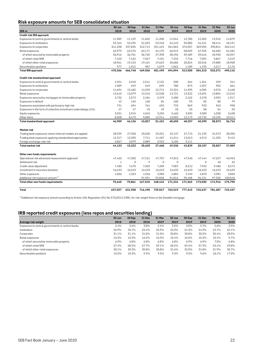#### **Risk exposure amounts for SEB consolidated situation**

|                                                                   | 30 Jun       | 30 Sep      | 31 Dec  | 31 Mar      | 30 Jun      | 30 Sep  | 31 Dec      | 31 Mar  | 30 Jun  |
|-------------------------------------------------------------------|--------------|-------------|---------|-------------|-------------|---------|-------------|---------|---------|
| SEK <sub>m</sub><br>Credit risk IRB approach                      | 2018         | 2018        | 2018    | 2019        | 2019        | 2019    | 2019        | 2020    | 2020    |
| Exposures to central governments or central banks                 | 11.389       | 11,129      | 11,602  | 11,200      | 11.044      | 12.780  | 12,283      | 13.942  | 14,879  |
|                                                                   |              |             | 51,033  | 53,318      | 54,410      | 55,080  |             | 58,414  |         |
| Exposures to institutions                                         | 53,762       | 53,495      |         |             |             |         | 54,421      |         | 48,191  |
| Exposures to corporates                                           | 341,258      | 337,835     | 342,713 | 351,423     | 361,063     | 376,507 | 369,055     | 390,814 | 365,412 |
| Retail exposures                                                  | 62,979       | 63,276      | 63,171  | 64,475      | 66,515      | 68,029  | 67,255      | 66,683  | 64,484  |
| of which secured by immovable property                            | 36,916       | 36,701      | 36,720  | 37,398      | 38,496      | 39,489  | 39,616      | 40,930  | 40,357  |
| of which retail SME                                               | 7,103        | 7,422       | 7,027   | 7,454       | 7,333       | 7,716   | 7,094       | 5,867   | 5,219   |
| of which other retail exposures                                   | 18,961       | 19,153      | 19,424  | 19,623      | 20,686      | 20,824  | 20,546      | 19,885  | 18,908  |
| Securitisation positions                                          | 977          | 1,012       | 987     | 1,079       | 1,062       | 1,189   | 1,195       | 2,217   | 2,176   |
| <b>Total IRB approach</b>                                         | 470,366      | 466,748     | 469,506 | 481,495     | 494,094     | 513,585 | 504,210     | 532,071 | 495,142 |
| Credit risk standardised approach                                 |              |             |         |             |             |         |             |         |         |
| Exposures to central governments or central banks                 | 1,924        | 2,018       | 2,241   | 2,132       | 208         | 264     | 1,361       | 259     | 344     |
| Exposures to institutions                                         | 1,589        | 649         | 649     | 695         | 780         | 873     | 1,057       | 902     | 664     |
| Exposures to corporates                                           | 14,694       | 15,482      | 14,539  | 15,712      | 15,324      | 14,395  | 6,505       | 6,576   | 5,468   |
| Retail exposures                                                  | 13,610       | 13,079      | 13,310  | 13,538      | 13,721      | 13,522  | 13,691      | 13,804  | 13,242  |
| Exposures secured by mortgages on immovable property              | 2,732        | 2,573       | 2,184   | 2,379       | 2,280       | 2,422   | 2,278       | 2,092   | 1,917   |
| Exposures in default                                              | 42           | 165         | 168     | 84          | 100         | 93      | 82          | 80      | 79      |
| Exposures associated with particularly high risk                  | 731          | 694         | 761     | 692         | 733         | 869     | 933         | 963     | 998     |
| Exposures in the form of collective investment undertakings (CIU) | 47           | 47          | 45      | 49          | 48          | 55      | 58          | 54      | 55      |
| Equity exposures                                                  | 3,031        | 2,945       | 4,045   | 3,255       | 3,460       | 3,592   | 3,589       | 4,038   | 3,638   |
| Other items                                                       | 8,508        | 8,473       | 5,885   | 12,914      | 12,002      | 12,173  | 10,735      | 10,105  | 10,311  |
| <b>Total standardised approach</b>                                | 46,909       | 46,126      | 43,827  | 51,451      | 48,655      | 48,257  | 40,290      | 38,873  | 36,716  |
| Market risk                                                       |              |             |         |             |             |         |             |         |         |
| Trading book exposures where internal models are applied          | 28,939       | 27,550      | 25,020  | 23,251      | 32,137      | 27,715  | 21,195      | 24,573  | 28,396  |
| Trading book exposures applying standardised approaches           | 12,317       | 12,595      | 7,711   | 11,487      | 14,214      | 13,013  | 6,913       | 11,255  | 9,412   |
| Foreign exchange rate risk                                        | 2,867        | 3,079       | 2,889   | 2,922       | 3,185       | 3,111   |             |         |         |
| Total market risk                                                 | 44,123       | 43,223      | 35,620  | 37,660      | 49,536      | 43,839  | 28,107      | 35,827  | 37,809  |
|                                                                   |              |             |         |             |             |         |             |         |         |
| Other own funds requirements                                      |              |             |         |             |             |         |             |         |         |
| Operational risk advanced measurement approach                    | 47,465       | 47,205      | 47,151  | 47,707      | 47,813      | 47,540  | 47.444      | 47,227  | 46,963  |
| Settlement risk                                                   | $\mathbf{1}$ | $\mathbf 0$ | 9       | $\mathbf 0$ | $\mathbf 0$ |         | $\mathbf 0$ | 40      | 32      |
| Credit value adjustment                                           | 7.485        | 7.670       | 7,605   | 7,289       | 7,087       | 8,212   | 7,932       | 9,486   | 8,272   |
| Investment in insurance business                                  | 16,633       | 16,633      | 16,633  | 16,633      | 16,633      | 16,633  | 16,633      | 16,633  | 16,633  |
| Other exposures                                                   | 4,056        | 4,353       | 4,556   | 3,985       | 4,884       | 3,769   | 4,870       | 3,981   | 3,850   |
| Additional risk exposure amount <sup>1)</sup>                     |              |             | 91,591  | 92,828      | 94,816      | 95,408  | 96,151      | 97,550  | 100,040 |
| Total other own funds requirements                                | 75,640       | 75,861      | 167,545 | 168,442     | 171,234     | 171,562 | 173,030     | 174,916 | 175,790 |
| Total                                                             | 637,037      | 631,958     | 716,498 | 739,047     | 763,519     | 777,243 | 745,637     | 781,687 | 745,457 |
|                                                                   |              |             |         |             |             |         |             |         |         |

 $1)$ Additional risk exposure amount according to Article 458, Regulation (EU) No 575/2013 (CRR), for risk-weight floors in the Swedish mortgage.

#### **IRB reported credit exposures (less repos and securities lending)**

|                                                   |        |        | --     |        |        |        |        |        |        |
|---------------------------------------------------|--------|--------|--------|--------|--------|--------|--------|--------|--------|
|                                                   | 30 Jun | 30 Sep | 31 Dec | 31 Mar | 30 Jun | 30 Sep | 31 Dec | 31 Mar | 30 Jun |
| Average risk-weight                               | 2018   | 2018   | 2018   | 2019   | 2019   | 2019   | 2019   | 2020   | 2020   |
| Exposures to central governments or central banks | 2.4%   | 2.6%   | 3.0%   | 2.4%   | 3.5%   | 3.0%   | 3.7%   | 2.6%   | 2.5%   |
| Institutions                                      | 25.9%  | 25.7%  | 25.4%  | 25.9%  | 23.3%  | 24.3%  | 24.9%  | 23.7%  | 22.1%  |
| Corporates                                        | 31.1%  | 31.1%  | 31.0%  | 31.0%  | 30.8%  | 30.8%  | 30.2%  | 30.4%  | 28.5%  |
| Retail exposures                                  | 10.3%  | 10.3%  | 10.2%  | 10.3%  | 10.4%  | 10.5%  | 10.3%  | 10.1%  | 9.7%   |
| of which secured by immovable property            | 6.9%   | 6.8%   | 6.8%   | 6.8%   | 6.8%   | 6.9%   | 6.9%   | 7.0%   | 6.8%   |
| of which retail SME                               | 57.4%  | 58.5%  | 57.7%  | 59.1%  | 58.2%  | 59.2%  | 57.3%  | 53.1%  | 49.8%  |
| of which other retail exposures                   | 30.1%  | 30.3%  | 30.8%  | 30.8%  | 31.6%  | 32.0%  | 31.8%  | 31.9%  | 30.7%  |
| Securitisation positions                          | 10.5%  | 10.3%  | 9.3%   | 9.3%   | 9.3%   | 9.5%   | 9.6%   | 18.1%  | 17.0%  |
|                                                   |        |        |        |        |        |        |        |        |        |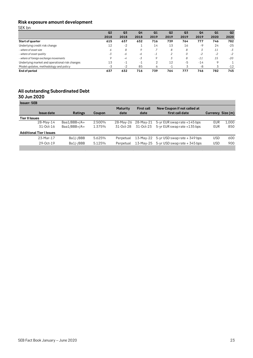### **Risk exposure amount development**

SEK bn

|                                                | Q <sub>2</sub> | Q <sub>3</sub>                       | Q <sub>4</sub>                 | Q <sub>1</sub> | Q <sub>2</sub>           | Q <sub>3</sub> | Q <sub>4</sub> | Q <sub>1</sub> | Q <sub>2</sub> |
|------------------------------------------------|----------------|--------------------------------------|--------------------------------|----------------|--------------------------|----------------|----------------|----------------|----------------|
|                                                | 2018           | 2018                                 | 2018                           | 2019           | 2019                     | 2019           | 2019           | 2020           | 2020           |
| <b>Start of quarter</b>                        | 615            | 637                                  | 632                            | 716            | 739                      | 764            | 777            | 746            | 782            |
| Underlying credit risk change                  | 12             | $-2$                                 |                                | 14             | 13                       | 16             | -9             | 24             | $-25$          |
| - where of asset size                          | Ó              | 8                                    | 9                              |                | 8                        | 8              | 3              | 11             | $-3$           |
| - where of asset quality                       | -3             | -6                                   | -6                             | -1             |                          | 0              | $-2$           | $-2$           | $-2$           |
| - where of foreign exchange movements          | $\circ$        | $-4$                                 | $-3$                           | 9              |                          | 8              | $-11$          | 15             | $-20$          |
| Underlying market and operational risk changes | 13             | $-1$                                 | $\overline{ }$<br>$\mathbf{r}$ |                | 12                       | $-5$           | $-14$          | $\circ$        |                |
| Model updates, methodology and policy          | $-3$           | $\Omega$<br>$\overline{\phantom{a}}$ | 85                             | Ô              | $\overline{\phantom{a}}$ |                | -8             |                | $-12$          |
| End of period                                  | 637            | 632                                  | 716                            | 739            | 764                      | 777            | 746            | 782            | 745            |

#### **All outstanding Subordinated Debt 30 Jun 2020**

|                |               | <b>Maturity</b> | <b>First call</b> | New Coupon if not called at      |                                                                                          |       |
|----------------|---------------|-----------------|-------------------|----------------------------------|------------------------------------------------------------------------------------------|-------|
| <b>Ratings</b> | <b>Coupon</b> | date            | date              | first call date                  | Currency Size (m)                                                                        |       |
|                |               |                 |                   |                                  |                                                                                          |       |
| Baa1/BBB+/A+   | 2.500%        |                 | 28-May-21         | $5$ -yr EUR swap rate $+145$ bps | EUR                                                                                      | 1.000 |
| Baa1/BBB+/A+   | 1.375%        | 31-Oct-28       | 31-Oct-23         | 5-yr EUR swap rate +135 bps      | EUR                                                                                      | 850   |
|                |               |                 |                   |                                  |                                                                                          |       |
| Ba1/-/BBB      | 5.625%        | Perpetual       |                   |                                  | <b>USD</b>                                                                               | 600   |
| Ba1/-/BBB      | 5.125%        | Perpetual       |                   |                                  | <b>USD</b>                                                                               | 900   |
|                |               |                 |                   | 28-May-26                        | 13-May-22 $5$ -yr USD swap rate $+ 349$ bps<br>13-May-25 $5-yr$ USD swap rate $+345$ bps |       |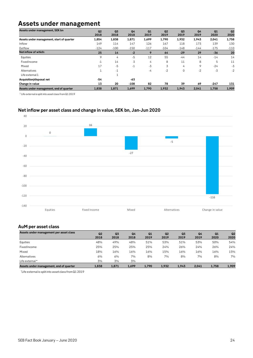### **Assets under management**

| Assets under management, SEK bn           | Q2<br>2018 | Q <sub>3</sub><br>2018 | Q <sub>4</sub><br>2018 | Q1<br>2019 | Q2<br>2019 | Q <sub>3</sub><br>2019 | Q <sub>4</sub><br>2019 | Q1<br>2020 | Q <sub>2</sub><br>2020 |
|-------------------------------------------|------------|------------------------|------------------------|------------|------------|------------------------|------------------------|------------|------------------------|
| Assets under management, start of quarter | 1,854      | 1,838                  | 1,871                  | 1,699      | 1,790      | 1,932                  | 1,943                  | 2,041      | 1,758                  |
| Inflow                                    | 149        | 114                    | 147                    | 126        | 167        | 118                    | 173                    | 139        | 130                    |
| Outflow                                   | $-124$     | $-100$                 | $-150$                 | $-117$     | $-104$     | $-148$                 | $-144$                 | $-175$     | $-110$                 |
| Net inflow of which:                      | 25         | 14                     | $-2$                   | 9          | 64         | $-29$                  | 29                     | $-36$      | 20                     |
| Equities                                  | 9          | 4                      | -5                     | 12         | 55         | $-44$                  | 14                     | $-14$      | 14                     |
| FixedIncome                               | $-1$       | 14                     | 3                      | 4          | 8          | 11                     | 8                      | 5          | 11                     |
| Mixed                                     | 17         | $-5$                   | -1                     | $-3$       | 3          | 4                      | 9                      | $-24$      | -3                     |
| Alternatives                              |            | $-1$                   |                        | -4         | $-2$       | 0                      | $-2$                   | $-3$       | $-2$                   |
| Life external 1                           |            | $\overline{ }$         |                        |            |            |                        |                        |            |                        |
| Acquisition/disposal net                  | -54        |                        | -63                    |            |            |                        |                        |            |                        |
| Change in value                           | 13         | 20                     | $-108$                 | 82         | 78         | 39                     | 69                     | $-247$     | 131                    |
| Assets under management, end of quarter   | 1,838      | 1,871                  | 1,699                  | 1,790      | 1,932      | 1,943                  | 2,041                  | 1,758      | 1,909                  |

 $1$  Life external is split into asset class from Q1 2019

#### **Net inflow per asset class and change in value, SEK bn, Jan-Jun 2020**



#### **AuM per asset class**

| Assets under management per asset class | Q <sub>2</sub><br>2018 | Q <sub>3</sub><br>2018 | Q <sub>4</sub><br>2018 | Q1<br>2019 | Q2<br>2019 | Q <sub>3</sub><br>2019 | Q4<br>2019 | Q1<br>2020 | Q <sub>2</sub><br>2020 |
|-----------------------------------------|------------------------|------------------------|------------------------|------------|------------|------------------------|------------|------------|------------------------|
| Equities                                | 48%                    | 49%                    | 48%                    | 51%        | 53%        | 51%                    | 53%        | 50%        | 54%                    |
| Fixed Income                            | 25%                    | 25%                    | 25%                    | 25%        | 24%        | 26%                    | 24%        | 26%        | 24%                    |
| Mixed                                   | 18%                    | 16%                    | 16%                    | 16%        | 15%        | 16%                    | 16%        | 16%        | 15%                    |
| Alternatives                            | 6%                     | 6%                     | 7%                     | 8%         | 7%         | 8%                     | 7%         | 8%         | 7%                     |
| Life external*                          | 3%                     | 3%                     | 3%                     |            |            |                        |            |            |                        |
| Assets under management, end of quarter | 1.838                  | 1.871                  | 1,699                  | 1.790      | 1.932      | 1.943                  | 2.041      | 1,758      | 1,909                  |

\*Life external is split into asset class from Q1 2019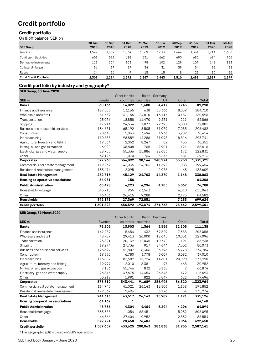## **Credit portfolio**

#### **Credit portfolio**

On & off balance, SEK bn

|                               | 30 Jun | 30 Sep | <b>31 Dec</b> | 31 Mar | 30 Jun | 30 Sep | <b>31 Dec</b> | 31 Mar | 30 Jun |
|-------------------------------|--------|--------|---------------|--------|--------|--------|---------------|--------|--------|
| <b>SEB Group</b>              | 2018   | 2018   | 2018          | 2019   | 2019   | 2019   | 2019          | 2020   | 2020   |
| Lending                       | 1.547  | 1.539  | 1,534         | 1,569  | 1,633  | 1.644  | 1.654         | 1,714  | 1,656  |
| <b>Contingent Liabilities</b> | 601    | 598    | 618           | 651    | 662    | 690    | 680           | 684    | 766    |
| Derivative Instruments        | 111    | 104    | 103           | 98     | 102    | 129    | 107           | 148    | 123    |
| Collateral Margin             | 36     | 37     | 29            | 34     | 31     | 39     | 34            | 32     | 28     |
| Repos                         | 14     | 16     |               | 15     | 15     | 8      | 23            | 10     | 26     |
| <b>Total Credit Portfolio</b> | 2.309  | 2.294  | 2.292         | 2.367  | 2.443  | 2.510  | 2.498         | 2.587  | 2.599  |

#### **Credit portfolio by industry and geography\***

**SEB Group, 30 June 2020**

|                                    |           | <b>Other Nordic</b> | <b>Baltic</b>       | Germany,  |        |           |
|------------------------------------|-----------|---------------------|---------------------|-----------|--------|-----------|
| <b>SEK m</b>                       | Sweden    |                     | countries countries | <b>UK</b> | Other  | Total     |
| <b>Banks</b>                       | 60,136    | 14,822              | 1,680               | 4,417     | 8,243  | 89,298    |
| Finance and insurance              | 127,503   | 13,165              | 638                 | 35,366    | 8,039  | 184,710   |
| Wholesale and retail               | 51,359    | 31,156              | 24,810              | 13,113    | 10,157 | 130,596   |
| Transportation                     | 23,076    | 18,858              | 11,470              | 9,251     | 211    | 62,866    |
| Shipping                           | 17,914    | 24,534              | 1,077               | 22,395    | 6,880  | 72,801    |
| Business and household services    | 134,651   | 65,192              | 8,505               | 81,079    | 7,055  | 296,482   |
| Construction                       | 20,640    | 5,863               | 3,694               | 4,936     | 3,282  | 38,414    |
| Manufacturing                      | 110,685   | 98,859              | 14,286              | 51,095    | 18,816 | 293,741   |
| Agriculture, forestry and fishing  | 19,534    | 2,052               | 8,247               | 82        | 435    | 30,351    |
| Mining, oil and gas extraction     | 6,020     | 48,808              | 765                 | 2,901     | 121    | 58,616    |
| Electricity, gas and water supply  | 28,753    | 55,336              | 15,886              | 22,683    | 172    | 122,831   |
| Other                              | 32,126    | 1,070               | 764                 | 5,373     | 581    | 39,913    |
| <b>Corporates</b>                  | 572,260   | 364,892             | 90,144              | 248,274   | 55,750 | 1,331,321 |
| Commercial real estate management  | 119,239   | 43,035              | 24,703              | 11,392    | 1,085  | 199,454   |
| Residential real estate management | 133,474   | 2,095               |                     | 2,978     | 63     | 138,609   |
| <b>Real Estate Management</b>      | 252,713   | 45,129              | 24,703              | 14,370    | 1,148  | 338,063   |
| Housing co-operative associations  | 64,051    | 156                 |                     |           |        | 64,206    |
| <b>Public Administration</b>       | 60,498    | 4,223               | 4,296               | 4,705     | 3,067  | 76,788    |
| Household mortgage                 | 545,715   | 955                 | 63,563              |           | 4,810  | 615,043   |
| Other                              | 46,456    | 26,415              | 9,288               |           | 2,423  | 84,582    |
| <b>Households</b>                  | 592,171   | 27,369              | 72,851              |           | 7,233  | 699,624   |
| Credit portfolio                   | 1,601,828 | 456,592             | 193,674             | 271,765   | 75,442 | 2,599,301 |

#### **SEB Group, 31 March 2020**

|                                    |           | <b>Other Nordic</b> | <b>Baltic</b> | Germany, |        |           |
|------------------------------------|-----------|---------------------|---------------|----------|--------|-----------|
| SEK <sub>m</sub>                   | Sweden    | countries           | countries     | UK       | Other  | Total     |
| <b>Banks</b>                       | 78,202    | 13,903              | 1,364         | 5,566    | 12,105 | 111,138   |
| Finance and insurance              | 142,289   | 15,454              | 432           | 39,529   | 7,355  | 205,058   |
| Wholesale and retail               | 48,987    | 29,413              | 26,000        | 12,645   | 10,051 | 127,096   |
| Transportation                     | 23,821    | 20,139              | 12,045        | 10,742   | 191    | 66,938    |
| Shipping                           | 19,274    | 27,736              | 917           | 24,644   | 7,502  | 80,073    |
| Business and household services    | 123,697   | 52,807              | 8,306         | 83,196   | 6,778  | 274,784   |
| Construction                       | 19,350    | 6,780               | 3,778         | 6,009    | 3,092  | 39,010    |
| Manufacturing                      | 113,887   | 83,689              | 15,724        | 44,601   | 20,090 | 277,990   |
| Agriculture, forestry and fishing  | 19,999    | 2,010               | 8,381         | 97       | 465    | 30,952    |
| Mining, oil and gas extraction     | 7,156     | 55,746              | 832           | 3,138    | 2      | 66,874    |
| Electricity, gas and water supply  | 26,846    | 47,675              | 14,454        | 26,546   | 172    | 115,693   |
| Other                              | 30,212    | 1,991               | 822           | 5,849    | 622    | 39,496    |
| Corporates                         | 575,519   | 343,441             | 91,689        | 256,996  | 56,320 | 1,323,964 |
| Commercial real estate management  | 114,745   | 41,021              | 26,143        | 12,806   | 1,138  | 195,852   |
| Residential real estate management | 129,567   | 2,496               |               | 3,176    | 34     | 135,274   |
| <b>Real Estate Management</b>      | 244,313   | 43,517              | 26,143        | 15,982   | 1,171  | 331,126   |
| Housing co-operative associations  | 64,167    | 1                   |               |          |        | 64,168    |
| <b>Public Administration</b>       | 45,736    | 4,304               | 4,464         | 5,294    | 4,296  | 64,094    |
| Household mortgage                 | 533,358   | 1,054               | 66,451        |          | 5,232  | 606,095   |
| Other                              | 46,366    | 27,404              | 9,952         |          | 2,832  | 86,554    |
| <b>Households</b>                  | 579,724   | 28,458              | 76,403        |          | 8,064  | 692,650   |
| Credit portfolio                   | 1,587,659 | 433,625             | 200,063       | 283,838  | 81,956 | 2,587,141 |

\*The geographic split is based on SEB's operations.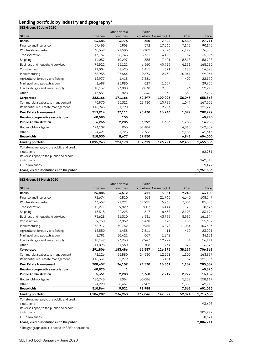### **Lending portfolio by industry and geography\***

| SEB Group, 30 June 2020                     |           |                     |               |                       |        |              |
|---------------------------------------------|-----------|---------------------|---------------|-----------------------|--------|--------------|
|                                             |           | <b>Other Nordic</b> | <b>Baltic</b> |                       |        |              |
| SEK <sub>m</sub>                            | Sweden    | countries           |               | countries Germany, UK | Other  | <b>Total</b> |
| <b>Banks</b>                                | 14,483    | 3,776               | 350           | 2,522                 | 6,580  | 27,711       |
| Finance and insurance                       | 59,455    | 5,908               | 572           | 17,065                | 7,173  | 90,173       |
| Wholesale and retail                        | 30,562    | 21,506              | 15,102        | 3,096                 | 6,122  | 76,388       |
| Transportation                              | 13,157    | 8,743               | 8,731         | 4,425                 | 37     | 35,093       |
| Shipping                                    | 14,057    | 19,297              | 655           | 17,401                | 5,318  | 56,728       |
| Business and household services             | 76,522    | 35,121              | 6,560         | 40,926                | 6,151  | 165,280      |
| Construction                                | 11,004    | 1,626               | 1,411         | 371                   | 185    | 14,598       |
| Manufacturing                               | 38,955    | 27,664              | 9,674         | 12,730                | 10,041 | 99,064       |
| Agriculture, forestry and fishing           | 12,977    | 1,413               | 7,381         |                       | 402    | 22,172       |
| Mining, oil and gas extraction              | 1,689     | 25,980              | 627           | 1,659                 |        | 29,955       |
| Electricity, gas and water supply           | 10,137    | 23,080              | 9,038         | 9,885                 | 76     | 52,215       |
| Other                                       | 13,651    | 828                 | 646           | 1,538                 | 538    | 17,202       |
| Corporates                                  | 282,166   | 171,166             | 60,397        | 109,096               | 36,043 | 658,868      |
| Commercial real estate management           | 96.970    | 35,321              | 23,430        | 10,783                | 1,047  | 167,552      |
| Residential real estate management          | 116,943   | 1,790               |               | 2,963                 | 30     | 121,725      |
| <b>Real Estate Management</b>               | 213,914   | 37,111              | 23,430        | 13,746                | 1,077  | 289,277      |
| Housing co-operative associations           | 60,585    | 155                 |               |                       |        | 60,740       |
| <b>Public Administration</b>                | 6,266     | 2,286               | 3,292         | 1,356                 | 1,788  | 14,988       |
| Household mortgage                          | 494,109   | 955                 | 62,484        |                       | 4,810  | 562,357      |
| Other                                       | 24,421    | 7,723               | 7,366         |                       | 2,133  | 41,643       |
| <b>Households</b>                           | 518,530   | 8,677               | 69,850        |                       | 6,943  | 604,000      |
| Lending portfolio                           | 1,095,943 | 223,170             | 157,319       | 126,721               | 52,430 | 1,655,583    |
| Collateral margin, to the public and credit |           |                     |               |                       |        |              |
| institutions                                |           |                     |               |                       |        | 62,931       |
| Reverse repos, to the public and credit     |           |                     |               |                       |        |              |
| institutions                                |           |                     |               |                       |        | 242,315      |
| <b>ECL</b> allowances                       |           |                     |               |                       |        | $-9,477$     |
| Loans, credit institutions & to the public  |           |                     |               |                       |        | 1,951,353    |

#### **SEB Group, 31 March 2020**

|                                             |           | <b>Other Nordic</b> | <b>Baltic</b> |                       |        |              |
|---------------------------------------------|-----------|---------------------|---------------|-----------------------|--------|--------------|
| SEK <sub>m</sub>                            | Sweden    | countries           |               | countries Germany, UK | Other  | <b>Total</b> |
| <b>Banks</b>                                | 26,885    | 3,512               | 411           | 3,051                 | 9,240  | 43,100       |
| Finance and insurance                       | 72,674    | 6,810               | 363           | 21,760                | 6,640  | 108,247      |
| Wholesale and retail                        | 33,657    | 21,221              | 17,921        | 5,730                 | 7,004  | 85,533       |
| Transportation                              | 12,271    | 9,829               | 9,807         | 6,444                 | 25     | 38,376       |
| Shipping                                    | 15,515    | 22,225              | 617           | 18,638                | 6,198  | 63,194       |
| Business and household services             | 73,628    | 31,310              | 6,531         | 43,766                | 5,939  | 161,174      |
| Construction                                | 9,768     | 3,859               | 1,430         | 398                   | 153    | 15,607       |
| Manufacturing                               | 36,917    | 30,752              | 10,955        | 14,895                | 11,084 | 104,603      |
| Agriculture, forestry and fishing           | 13,550    | 1,438               | 7,611         | 11                    | 410    | 23,021       |
| Mining, oil and gas extraction              | 1,791     | 30,422              | 667           | 1,242                 |        | 34,121       |
| Electricity, gas and water supply           | 10,142    | 23,960              | 9,947         | 12,277                | 84     | 56,411       |
| Other                                       | 11,895    | 1,660               | 708           | 1,734                 | 579    | 16,576       |
| Corporates                                  | 291,806   | 183,486             | 66,557        | 126,895               | 38,117 | 706,863      |
| Commercial real estate management           | 92,126    | 33,880              | 24,530        | 12,201                | 1,100  | 163,837      |
| Residential real estate management          | 116,331   | 2,279               |               | 3,161                 | 32     | 121,803      |
| <b>Real Estate Management</b>               | 208,457   | 36,159              | 24,530        | 15,361                | 1,132  | 285,639      |
| Housing co-operative associations           | 60,825    | 1                   |               |                       |        | 60,826       |
| <b>Public Administration</b>                | 5,351     | 2,288               | 3,360         | 2,219                 | 2,972  | 16,189       |
| Household mortgage                          | 486,745   | 1,054               | 65,086        |                       | 5,232  | 558,117      |
| Other                                       | 24,220    | 8,467               | 7,902         |                       | 2,330  | 42,918       |
| <b>Households</b>                           | 510,964   | 9,521               | 72,988        |                       | 7,562  | 601,035      |
| Lending portfolio                           | 1,104,289 | 234,968             | 167,846       | 147,527               | 59,024 | 1,713,653    |
| Collateral margin, to the public and credit |           |                     |               |                       |        |              |
| institutions                                |           |                     |               |                       |        | 93,608       |
| Reverse repos, to the public and credit     |           |                     |               |                       |        |              |
| institutions                                |           |                     |               |                       |        | 205,772      |
| <b>ECL</b> allowances                       |           |                     |               |                       |        | $-8,321$     |
| Loans, credit institutions & to the public  |           |                     |               |                       |        | 2,004,711    |

\*The geographic split is based on SEB's operations.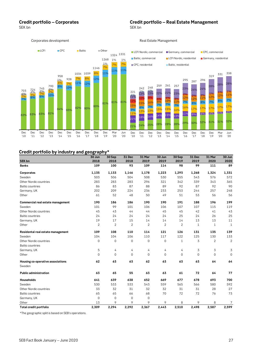SEK bn SEK bn SEK bn SEK bn SEK bn SEK bn SEK bn SEK bn SEK bn SEK bn SEK bn SEK bn SEK bn SEK bn SEK bn SEK bn

8<sub>2%</sub> 83% 83% 81%

Dec '12

Dec '13

Dec '11

 $\frac{7\%}{7\%}$   $\frac{7\%}{8\%}$   $\frac{7\%}{8\%}$   $\frac{10\%}{10\%}$ 

 $\frac{793}{7\%}$   $\frac{2\%}{7\%}$   $\frac{7\%}{8\%}$   $\frac{7\%}{8\%}$   $\frac{10\%}{10\%}$ 

4%

Dec '10

703

#### Corporates development and a settlement of the Real Estate Management  $8\%$  10% 11% <sub>129</sub> 12% 11% 11% 11% 6% 7% 7% 8% 8% 7% 7% 7%  $\frac{724}{2\%}$   $\frac{745}{2\%}$   $\frac{2\%}{7\%}$   $\frac{2\%}{10\%}$   $\frac{10\%}{2\%}$   $\frac{10\%}{2\%}$   $\frac{2\%}{10\%}$ 1% 1% 790 958 928 1034 1039 1146 1268 1324 1331 **LCFI CPC** Baltic **CPC** Dether 1% 1% 23% 24% 24% 28% 28% 28%  $242$   $242$ <br> $221$   $1\%$   $1\%$ <br> $1\%$   $1\%$ <br> $13\%$ <sup>242</sup> <sup>248</sup> <sup>259</sup> <sup>261</sup> <sup>257</sup> <sup>295</sup> <sup>287</sup> <sup>296</sup> <sup>319</sup> <sup>331</sup> <sup>338</sup> ■ LCFI Nordic, commercial ■ Germany, commercial ■ CPC, commercial ■ Baltic, commercial ■ LCFI Nordic, residential ■ Germany, residential CPC, residential Baltic, residential

9%

Dec '10 Dec '11

15%

12%

 $1\frac{1}{2}$ 

#### **Credit portfolio by industry and geography\***

Dec '14

84% 83%

Dec '15 Dec '16 Dec '17

82% 80%

80%

Dec '18 Dec '19

81% 81%

Mar '20 Jun '20

|                                   | o-<br>o<br>---<br>30 Jun | 30 Sep         | 31 Dec         | 31 Mar              | 30 Jun         | 30 Sep       | 31 Dec       | 31 Mar | 30 Jun         |
|-----------------------------------|--------------------------|----------------|----------------|---------------------|----------------|--------------|--------------|--------|----------------|
| <b>SEK bn</b>                     | 2018                     | 2018           | 2018           | 2019                | 2019           | 2019         | 2019         | 2020   | 2020           |
| <b>Banks</b>                      | 109                      | 100            | 93             | 109                 | 114            | 98           | 99           | 111    | 89             |
| Corporates                        | 1,135                    | 1,133          | 1,146          | 1,178               | 1,223          | 1,293        | 1,268        | 1,324  | 1,331          |
| Sweden                            | 503                      | 506            | 504            | 508                 | 530            | 555          | 543          | 576    | 572            |
| Other Nordic countries            | 283                      | 283            | 283            | 296                 | 321            | 342          | 339          | 343    | 365            |
| <b>Baltic countries</b>           | 86                       | 83             | 87             | 88                  | 89             | 92           | 87           | 92     | 90             |
| Germany, UK                       | 202                      | 209            | 224            | 236                 | 233            | 253          | 244          | 257    | 248            |
| Other                             | 61                       | 52             | 48             | 50                  | 49             | 51           | 53           | 56     | 56             |
| Commercial real estate management | 190                      | 186            | 186            | 190                 | 190            | 191          | 188          | 196    | 199            |
| Sweden                            | 101                      | 99             | 101            | 106                 | 106            | 107          | 107          | 115    | 119            |
| Other Nordic countries            | 45                       | 43             | 44             | 44                  | 45             | 45           | 42           | 41     | 43             |
| <b>Baltic countries</b>           | 24                       | 24             | 24             | 24                  | 24             | 25           | 24           | 26     | 25             |
| Germany, UK                       | 19                       | 17             | 15             | 14                  | 14             | 14           | 13           | 13     | 11             |
| Other                             | $\overline{2}$           | $\overline{2}$ | $\overline{2}$ | $\overline{2}$      | $\overline{2}$ | 2            | $\mathbf{1}$ | 1      | $\mathbf{1}$   |
| Residental real estate management | 109                      | 108            | 110            | 114                 | 121            | 126          | 131          | 135    | 139            |
| Sweden                            | 104                      | 104            | 106            | 110                 | 117            | 122          | 125          | 130    | 133            |
| Other Nordic countries            | $\mathbf 0$              | $\mathbf 0$    | $\mathbf 0$    | $\mathsf{O}\xspace$ | 0              | $\mathbf{1}$ | 3            | 2      | $\overline{2}$ |
| <b>Baltic countries</b>           |                          |                |                |                     |                |              |              |        |                |
| Germany, UK                       | 5                        | 4              | 4              | 4                   | 4              | 4            | 3            | 3      | 3              |
| Other                             | $\mathbf 0$              | $\mathbf 0$    | $\mathbf 0$    | $\mathbf 0$         | $\mathbf 0$    | $\mathbf 0$  | $\mathbf 0$  | 0      | $\mathbf 0$    |
| Housing co-operative associations | 62                       | 63             | 63             | 62                  | 63             | 63           | 63           | 64     | 64             |
| Sweden                            |                          |                |                |                     |                |              |              |        |                |
| <b>Public administration</b>      | 63                       | 65             | 55             | 63                  | 63             | 61           | 72           | 64     | 77             |
| <b>Households</b>                 | 641                      | 639            | 638            | 652                 | 669            | 677          | 678          | 693    | 700            |
| Sweden                            | 530                      | 533            | 533            | 543                 | 559            | 565          | 566          | 580    | 592            |
| Other Nordic countries            | 33                       | 32             | 31             | 32                  | 32             | 31           | 31           | 28     | 27             |
| <b>Baltic countries</b>           | 65                       | 65             | 66             | 68                  | 70             | 72           | 72           | 76     | 73             |
| Germany, UK                       | $\mathbf 0$              | $\overline{0}$ | $\mathbf 0$    | $\mathbf 0$         |                |              |              |        |                |
| Other                             | 13                       | 9              | 9              | 9                   | 9              | 8            | 9            | 8      | 7              |
| Total credit portfolio            | 2.309                    | 2.294          | 2,292          | 2.367               | 2.443          | 2,510        | 2,498        | 2,587  | 2,599          |

\*The geographic split is based on SEB's operations.

21% 24% 25% 28% 28% 28% 29% 30% 32% 31% 31% 32%

Dec '16 Dec '17

Dec '18 Dec '19

Mar '20

Jun '20

Dec '15

 $\frac{11\%}{11\%}$   $\frac{13\%}{1.00}$   $\frac{13\%}{1.004}$   $\frac{13\%}{1.004}$   $\frac{13\%}{1.004}$   $\frac{13\%}{1.004}$   $\frac{13\%}{1.004}$   $\frac{13\%}{1.004}$   $\frac{13\%}{1.004}$   $\frac{13\%}{1.004}$ 

<mark>16% <sub>17%</sub> 17% 17% <sup>17% 17%</sup></mark>

7% 8% 8% 7% 8% 7%

 $\frac{2\%}{12\%}$   $\frac{2\%}{11\%}$   $\frac{17\%}{12\%}$   $\frac{12\%}{12\%}$   $\frac{11\%}{12\%}$ 

 $\frac{2\%}{2\%}$   $\frac{2\%}{2\%}$   $\frac{1\%}{12\%}$   $\frac{1\%}{12\%}$  11%

 $\frac{1170}{21\%}$  18%  $\frac{16\%}{8}$   $\frac{14\%}{8}$   $\frac{15\%}{8}$  13%

Dec '12

8% 7%

 $\frac{13\%}{12\%}$   $\frac{13\%}{13\%}$   $\frac{15\%}{15\%}$   $\frac{16\%}{16\%}$ 

Dec '13

 $\frac{15\%}{15\%}$  16%  $\frac{8\%}{7\%}$   $\frac{10\%}{7\%}$  11%

 $10\%$   $8\%$  6%  $4\%$  3%

12% 13% 22% 21% 23%

7% 7% 7%

Dec '14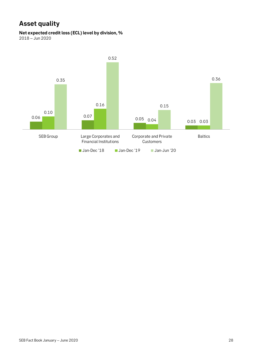## **Asset quality**

**Net expected credit loss (ECL) level by division, %**

2018 – Jun 2020

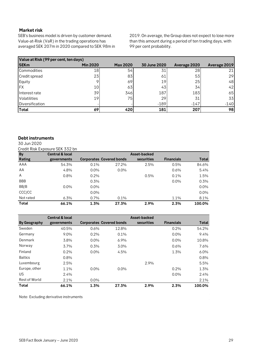#### **Market risk**

SEB's business model is driven by customer demand. Value-at-Risk (VaR) in the trading operations has averaged SEK 207m in 2020 compared to SEK 98m in 2019. On average, the Group does not expect to lose more than this amount during a period of ten trading days, with 99 per cent probability.

|                      | Value at Risk (99 per cent, ten days) |                 |              |              |              |  |  |  |  |  |  |  |
|----------------------|---------------------------------------|-----------------|--------------|--------------|--------------|--|--|--|--|--|--|--|
| <b>SEKm</b>          | <b>Min 2020</b>                       | <b>Max 2020</b> | 30 June 2020 | Average 2020 | Average 2019 |  |  |  |  |  |  |  |
| Commodities          | 18                                    | 54              | 31           | 28           | 21           |  |  |  |  |  |  |  |
| <b>Credit spread</b> | 23                                    | 83              | 61           | 53           | 29           |  |  |  |  |  |  |  |
| Equity               |                                       | 69              | 19           | 25           | 48           |  |  |  |  |  |  |  |
| <b>FX</b>            | 10                                    | 63              | 43           | 34           | 42           |  |  |  |  |  |  |  |
| Interest rate        | 39                                    | 346             | 187          | 183          | 65           |  |  |  |  |  |  |  |
| <b>Volatilities</b>  | 19                                    | 75              | 29           | 31           | 33           |  |  |  |  |  |  |  |
| Diversification      |                                       |                 | $-189$       | $-147$       | $-140$       |  |  |  |  |  |  |  |
| <b>Total</b>         | 69                                    | 420             | 181          | 207          | 98           |  |  |  |  |  |  |  |

#### **Debt instruments**

30 Jun 2020

Credit Risk Exposure SEK 332 bn

| <b>By</b>     | <b>Central &amp; local</b> |         |                                 | Asset-backed |                   |        |
|---------------|----------------------------|---------|---------------------------------|--------------|-------------------|--------|
| <b>Rating</b> | governments                |         | <b>Corporates Covered bonds</b> | securities   | <b>Financials</b> | Total  |
| AAA           | 54.3%                      | 0.1%    | 27.2%                           | 2.5%         | 0.5%              | 84.6%  |
| AA            | 4.8%                       | $0.0\%$ | $0.0\%$                         |              | 0.6%              | 5.4%   |
| A             | 0.8%                       | 0.2%    |                                 | 0.5%         | $0.1\%$           | 1.5%   |
| <b>BBB</b>    |                            | 0.3%    |                                 |              | $0.0\%$           | 0.3%   |
| BB/B          | $0.0\%$                    | $0.0\%$ |                                 |              |                   | 0.0%   |
| CCC/CC        |                            | $0.0\%$ |                                 |              |                   | 0.0%   |
| Not rated     | 6.3%                       | 0.7%    | 0.1%                            |              | 1.1%              | 8.1%   |
| Total         | 66.1%                      | 1.3%    | 27.3%                           | 2.9%         | 2.3%              | 100.0% |

|                | <b>Central &amp; local</b> |         |                                 | Asset-backed |                   |         |
|----------------|----------------------------|---------|---------------------------------|--------------|-------------------|---------|
| By Geography   | governments                |         | <b>Corporates Covered bonds</b> | securities   | <b>Financials</b> | Total   |
| Sweden         | 40.5%                      | 0.6%    | 12.8%                           |              | 0.2%              | 54.2%   |
| Germany        | 9.0%                       | 0.2%    | 0.1%                            |              | $0.0\%$           | 9.4%    |
| Denmark        | 3.8%                       | $0.0\%$ | 6.9%                            |              | $0.0\%$           | 10.8%   |
| Norway         | 3.7%                       | 0.3%    | 3.0%                            |              | 0.6%              | 7.6%    |
| Finland        | $0.2\%$                    | $0.0\%$ | 4.5%                            |              | 1.3%              | $6.0\%$ |
| <b>Baltics</b> | 0.8%                       |         |                                 |              |                   | 0.8%    |
| Luxembourg     | 2.5%                       |         |                                 | 2.9%         |                   | 5.5%    |
| Europe, other  | 1.1%                       | $0.0\%$ | $0.0\%$                         |              | 0.2%              | 1.3%    |
| <b>US</b>      | 2.4%                       |         |                                 |              | $0.0\%$           | 2.4%    |
| Rest of World  | 2.1%                       | $0.0\%$ |                                 |              |                   | 2.1%    |
| Total          | 66.1%                      | 1.3%    | 27.3%                           | 2.9%         | 2.3%              | 100.0%  |

Note: Excluding derivative instruments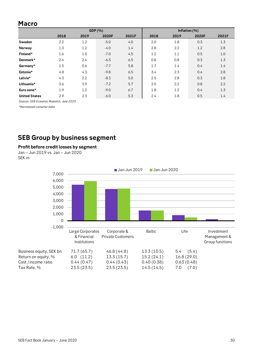### **Macro**

|                      |      |      | GDP (%) |       |      |      | Inflation (%) |       |
|----------------------|------|------|---------|-------|------|------|---------------|-------|
|                      | 2018 | 2019 | 2020F   | 2021F | 2018 | 2019 | 2020F         | 2021F |
| Sweden               | 2.2  | 1.2  | $-5.0$  | 4.0   | 2.0  | 1.8  | 0.3           | 1.3   |
| Norway               | 1.3  | 1.2  | $-4.0$  | 1.4   | 2.8  | 2.2  | 1.2           | 2.8   |
| Finland*             | 1.6  | 1.0  | $-7.0$  | 4.5   | 1.2  | 1.1  | 0.5           | 1.0   |
| Denmark*             | 2.4  | 2.4  | $-6.5$  | 6.5   | 0.8  | 0.8  | 0.3           | 1.3   |
| Germany*             | 1.5  | 0.6  | $-7.7$  | 5.8   | 1.7  | 1.4  | 0.4           | 1.4   |
| Estonia*             | 4.8  | 4.3  | $-9.8$  | 6.5   | 3.4  | 2.3  | 0.4           | 2.8   |
| Latvia*              | 4.3  | 2.2  | $-8.3$  | 5.0   | 2.5  | 2.8  | 0.3           | 1.8   |
| Lithuania*           | 3.6  | 3.9  | $-7.2$  | 5.7   | 2.5  | 2.2  | 0.8           | 2.2   |
| Euro zone*           | 1.9  | 1.2  | $-9.0$  | 6.7   | 1.8  | 1.2  | 0.4           | 1.3   |
| <b>United States</b> | 2.9  | 2.3  | $-6.0$  | 5.3   | 2.4  | 1.8  | 0.5           | 1.4   |

*Sources: SEB Economic Research, June 2020*

*\*Harmonised consumer index*

### **SEB Group by business segment**

#### **Profit before credit losses by segment**

Jan – Jun 2019 vs. Jan – Jun 2020 SEK m

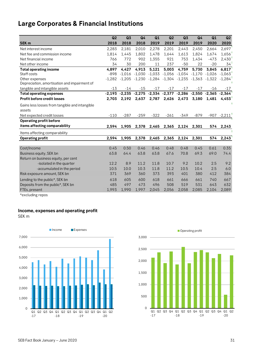## **Large Corporates & Financial Institutions**

|                                                | Q <sub>2</sub> | Q <sub>3</sub>                                                 | Q <sub>4</sub>                                        | Q1     | Q <sub>2</sub>    | Q3       | Q <sub>4</sub> | Q1       | Q2            |
|------------------------------------------------|----------------|----------------------------------------------------------------|-------------------------------------------------------|--------|-------------------|----------|----------------|----------|---------------|
| <b>SEK m</b>                                   | 2018           | 2018                                                           | 2018                                                  | 2019   | 2019              | 2019     | 2019           | 2020     | 2020          |
| Net interest income                            | 2,283          | 2,181                                                          | 2,010                                                 | 2,278  | 2,201             | 2,443    | 2,450          | 2,664    | 2,697         |
| Net fee and commission income                  | 1,814          | 1,445                                                          | 1,802                                                 | 1,478  | 1,644             | 1,613    | 1,824          | 1,674    | 1,656         |
| Net financial income                           | 766            | 772                                                            | 902                                                   | 1,355  | 921               | 753      | 1.434          | $-473$   | 2,430         |
| Net other income                               | 34             | 30                                                             | 200                                                   | 11     | 237               | $-50$    | 22             | $-20$    | 34            |
| <b>Total operating income</b>                  | 4,897          | 4,427                                                          | 4,913                                                 | 5,121  | 5,003             | 4,759    | 5,730          | 3,845    | 6,817         |
| Staff costs                                    | $-898$         | $-1,016$                                                       | -1,030                                                |        | $-1,033$ $-1,056$ | $-1,034$ | $-1,170$       | $-1,026$ | $-1,063$      |
| Other expenses                                 | $-1,282$       |                                                                | $-1,205$ $-1,230$ $-1,284$ $-1,304$ $-1,235$ $-1,363$ |        |                   |          |                | $-1,322$ | $-1,284$      |
| Depreciation, amortisation and impairment of   |                |                                                                |                                                       |        |                   |          |                |          |               |
| tangible and intangible assets                 | $-13$          | $-14$                                                          | $-15$                                                 | $-17$  | $-17$             | $-17$    | $-17$          | $-16$    | $-17$         |
| <b>Total operating expenses</b>                |                | $-2,193$ $-2,235$ $-2,275$ $-2,334$ $-2,377$ $-2,286$ $-2,550$ |                                                       |        |                   |          |                | $-2,365$ | $-2,364$      |
| <b>Profit before credit losses</b>             | 2,703          | 2,192                                                          | 2,637                                                 | 2,787  | 2,626             | 2,473    | 3,180          | 1,481    | 4,453         |
| Gains less losses from tangible and intangible |                |                                                                |                                                       |        |                   |          |                |          |               |
| assets                                         |                |                                                                |                                                       |        |                   |          |                |          |               |
| Net expected credit losses                     | $-110$         | $-287$                                                         | $-259$                                                | $-322$ | $-261$            | $-349$   | $-879$         |          | $-907 -2,211$ |
| <b>Operating profit before</b>                 |                |                                                                |                                                       |        |                   |          |                |          |               |
| items affecting comparability                  | 2,594          | 1,905                                                          | 2,378                                                 | 2,465  | 2,365             | 2,124    | 2,301          | 574      | 2,243         |
| Items affecting comparability                  |                |                                                                |                                                       |        |                   |          |                |          |               |
| <b>Operating profit</b>                        | 2,594          | 1,905                                                          | 2,378                                                 | 2,465  | 2,365             | 2,124    | 2,301          | 574      | 2,243         |
|                                                |                |                                                                |                                                       |        |                   |          |                |          |               |
| Cost/Income                                    | 0.45           | 0.50                                                           | 0.46                                                  | 0.46   | 0.48              | 0.48     | 0.45           | 0.61     | 0.35          |
| Business equity, SEK bn                        | 63.8           | 64.4                                                           | 63.8                                                  | 63.8   | 67.6              | 70.8     | 69.3           | 69.0     | 74.4          |
| Return on business equity, per cent            |                |                                                                |                                                       |        |                   |          |                |          |               |
| -isolated in the quarter                       | 12.2           | 8.9                                                            | 11.2                                                  | 11.8   | 10.7              | 9.2      | 10.2           | 2.5      | 9.2           |
| -accumulated in the period                     | 10.5           | 10.0                                                           | 10.3                                                  | 11.8   | 11.2              | 10.5     | 10.4           | 2.5      | 6.0           |
| Risk exposure amount, SEK bn                   | 371            | 369                                                            | 360                                                   | 373    | 393               | 401      | 380            | 412      | 384           |
| Lending to the public*, SEK bn                 | 618            | 605                                                            | 600                                                   | 618    | 661               | 666      | 661            | 740      | 667           |
| Deposits from the public*, SEK bn              | 485            | 497                                                            | 473                                                   | 496    | 508               | 519      | 531            | 643      | 632           |
| FTEs, present                                  | 1,993          | 1,990                                                          | 1,997                                                 | 2,045  | 2,056             | 2,058    | 2,085          | 2,104    | 2,089         |

\*excluding repos

#### **Income, expenses and operating profit**

SEK m



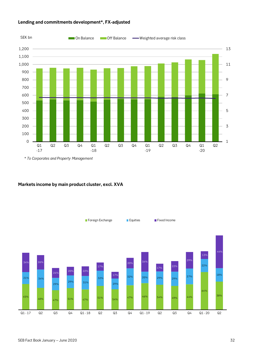

#### **Lending and commitments development\*, FX-adjusted**

\* *To Corporates and Property Management*

#### **Markets income by main product cluster, excl. XVA**

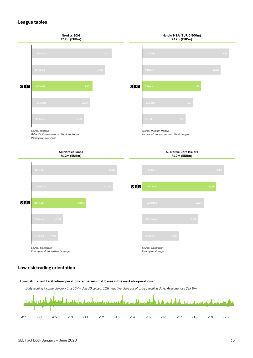#### **League tables**



#### **Low risk trading orientation**

#### **Low-risk in client facilitation operations render minimal losses in the markets operations**

*Daily trading income January 1, 2007 – Jun 30, 2020. 128 negative days out of 3,383 trading days. Average loss SEK 9m.*

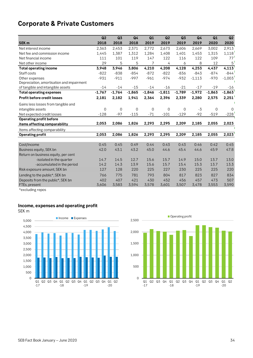## **Corporate & Private Customers**

|                                           | Q2       | Q <sub>3</sub> | Q4       | Q1       | Q <sub>2</sub> | Q3       | Q4       | Q1          | Q2       |
|-------------------------------------------|----------|----------------|----------|----------|----------------|----------|----------|-------------|----------|
| SEK <sub>m</sub>                          | 2018     | 2018           | 2018     | 2019     | 2019           | 2019     | 2019     | 2020        | 2020     |
| Net interest income                       | 2,363    | 2,453          | 2,371    | 2,772    | 2,673          | 2,606    | 2,669    | 3,002       | 2,913    |
| Net fee and commission income             | 1,445    | 1,387          | 1,312    | 1,284    | 1,408          | 1,401    | 1,453    | 1,315       | 1,118    |
| Net financial income                      | 111      | 101            | 119      | 147      | 122            | 116      | 122      | 109         | 77'      |
| Net other income                          | 29       | 5              | 5        | 7        | 4              | 6        | 8        | 12          | 5        |
| <b>Total operating income</b>             | 3,948    | 3,946          | 3,806    | 4,210    | 4,208          | 4,128    | 4,253    | 4,437       | 4,113    |
| Staff costs                               | $-822$   | $-838$         | $-854$   | $-872$   | $-822$         | $-836$   | $-843$   | $-874$      | $-844$   |
| Other expenses                            | $-931$   | $-911$         | $-997$   | $-961$   | $-974$         | $-932$   | $-1,113$ | $-970$      | $-1,003$ |
| Depreciation, amortisation and impairment |          |                |          |          |                |          |          |             |          |
| of tangible and intangible assets         | $-14$    | $-14$          | $-15$    | $-14$    | $-16$          | $-21$    | $-17$    | $-19$       | -16      |
| <b>Total operating expenses</b>           | $-1,767$ | $-1,764$       | $-1,865$ | $-1,846$ | $-1,811$       | $-1,789$ | $-1,972$ | $-1,863$    | $-1,863$ |
| <b>Profit before credit losses</b>        | 2,181    | 2,182          | 1,941    | 2,364    | 2,396          | 2,339    | 2,280    | 2,575       | 2,251    |
| Gains less losses from tangible and       |          |                |          |          |                |          |          |             |          |
| intangible assets                         | 0        | 0              | $\Omega$ | 0        | $\Omega$       | 0        | $-3$     | $\mathbf 0$ | 0        |
| Net expected credit losses                | $-128$   | $-97$          | $-115$   | $-71$    | $-101$         | $-129$   | $-92$    | $-519$      | $-228$   |
| <b>Operating profit before</b>            |          |                |          |          |                |          |          |             |          |
| items affecting comparability             | 2,053    | 2,086          | 1,826    | 2,293    | 2,295          | 2,209    | 2,185    | 2,055       | 2,023    |
| Items affecting comparability             |          |                |          |          |                |          |          |             |          |
| <b>Operating profit</b>                   | 2,053    | 2,086          | 1,826    | 2,293    | 2,295          | 2,209    | 2,185    | 2,055       | 2,023    |
|                                           |          |                |          |          |                |          |          |             |          |
| Cost/Income                               | 0.45     | 0.45           | 0.49     | 0.44     | 0.43           | 0.43     | 0.46     | 0.42        | 0.45     |
| Business equity, SEK bn                   | 42.0     | 43.1           | 43.2     | 45.0     | 44.6           | 45.4     | 44.6     | 45.9        | 47.8     |
| Return on business equity, per cent       |          |                |          |          |                |          |          |             |          |
| -isolated in the quarter                  | 14.7     | 14.5           | 12.7     | 15.6     | 15.7           | 14.9     | 15.0     | 13.7        | 13.0     |
| -accumulated in the period                | 14.2     | 14.3           | 13.9     | 15.6     | 15.7           | 15.4     | 15.3     | 13.7        | 13.3     |
| Risk exposure amount, SEK bn              | 127      | 128            | 220      | 225      | 227            | 230      | 225      | 225         | 220      |
| Lending to the public*, SEK bn            | 766      | 775            | 781      | 793      | 804            | 817      | 823      | 827         | 834      |
| Deposits from the public*, SEK bn         | 402      | 407            | 421      | 430      | 452            | 456      | 457      | 473         | 507      |
| FTEs, present                             | 3,606    | 3,583          | 3,594    | 3,578    | 3,601          | 3,507    | 3,478    | 3,553       | 3,590    |

\*excluding repos

#### **Income, expenses and operating profit**

SEK m



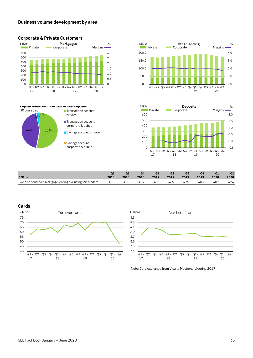#### **Business volume development by area**



■ Transaction account

**Transaction account** corporate & public Savings account private

Savings account corporate & public

private

#### **Corporate & Private Customers**





|                                                           | Q <sub>2</sub> | Q <sub>3</sub> |      | Q1   | Q <sub>2</sub> | Q <sub>3</sub> | Q4   | Q1   | Q <sub>2</sub> |
|-----------------------------------------------------------|----------------|----------------|------|------|----------------|----------------|------|------|----------------|
| <b>SEK bn</b>                                             | 2018           | 2018           | 2018 | 2019 | 2019           | 2019           | 2019 | 2020 | 2020           |
| Swedish household mortgage lending excluding sole traders | 455            | 456            | 459  | 462  | 469            | 475            | 483  | 487  | 494            |

#### **Cards**

44% 53%

0% 3%

30 Jun 2020

**Deposit breakdown, Per cent of total deposits**





Note: Card exchange from Visa to Mastercard during 2017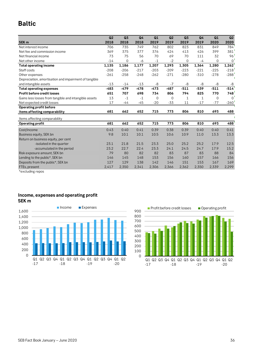### **Baltic**

|                                                       | Q2     | Q3          | Q <sub>4</sub> | Q1          | Q <sub>2</sub> | Q <sub>3</sub> | Q <sub>4</sub> | Q1          | Q2          |
|-------------------------------------------------------|--------|-------------|----------------|-------------|----------------|----------------|----------------|-------------|-------------|
| SEK <sub>m</sub>                                      | 2018   | 2018        | 2018           | 2019        | 2019           | 2019           | 2019           | 2020        | 2020        |
| Net interest income                                   | 706    | 735         | 749            | 762         | 802            | 823            | 831            | 849         | 784         |
| Net fee and commission income                         | 369    | 375         | 377            | 376         | 424            | 413            | 426            | 399         | 381         |
| Net financial income                                  | 73     | 75          | 56             | 70          | 69             | 70             | 111            | 32          | 96          |
| Net other income                                      | $-14$  | $\mathbf 0$ | -6             | $-1$        | $-2$           | $\mathbf 0$    | -4             | $\Omega$    | $\mathbf 0$ |
| <b>Total operating income</b>                         | 1,135  | 1,186       | 1,177          | 1,207       | 1,293          | 1,305          | 1,364          | 1,280       | 1,262       |
| Staff costs                                           | $-208$ | $-206$      | $-217$         | $-203$      | $-209$         | $-223$         | $-221$         | $-225$      | $-218$      |
| Other expenses                                        | $-261$ | $-258$      | $-248$         | $-262$      | $-271$         | $-280$         | $-310$         | $-278$      | $-288$      |
| Depreciation, amortisation and impairment of tangible |        |             |                |             |                |                |                |             |             |
| and intangible assets                                 | $-13$  | $-14$       | $-13$          | -8          | $-7$           | -8             | -8             | -8          | -8          |
| <b>Total operating expenses</b>                       | $-483$ | $-479$      | $-478$         | $-473$      | $-487$         | $-511$         | $-539$         | $-511$      | $-514$      |
| Profit before credit losses                           | 651    | 707         | 698            | 734         | 806            | 794            | 825            | 770         | 748         |
| Gains less losses from tangible and intangible assets | 13     | $-1$        | $-1$           | $\mathbf 0$ | $\mathbf 0$    | 1              | 1              | $\mathbf 0$ | $\Omega$    |
| Net expected credit losses                            | 17     | $-44$       | $-45$          | $-20$       | $-33$          | 11             | $-17$          | $-77$       | $-260$      |
| <b>Operating profit before</b>                        |        |             |                |             |                |                |                |             |             |
| items affecting comparability                         | 681    | 662         | 652            | 715         | 773            | 806            | 810            | 693         | 488         |
| Items affecting comparability                         |        |             |                |             |                |                |                |             |             |
| <b>Operating profit</b>                               | 681    | 662         | 652            | 715         | 773            | 806            | 810            | 693         | 488         |
| Cost/Income                                           | 0.43   | 0.40        | 0.41           | 0.39        | 0.38           | 0.39           | 0.40           | 0.40        | 0.41        |
| Business equity, SEK bn                               | 9.8    | 10.1        | 10.1           | 10.5        | 10.6           | 10.9           | 11.0           | 13.3        | 13.3        |
| Return on business equity, per cent                   |        |             |                |             |                |                |                |             |             |
| -isolated in the quarter                              | 23.1   | 21.8        | 21.5           | 23.3        | 25.0           | 25.2           | 25.2           | 17.9        | 12.5        |
| -accumulated in the period                            | 23.2   | 22.7        | 22.4           | 23.3        | 24.1           | 24.5           | 24.7           | 17.9        | 15.2        |
| Risk exposure amount, SEK bn                          | 79     | 80          | 82             | 82          | 83             | 87             | 83             | 88          | 84          |
| Lending to the public*, SEK bn                        | 146    | 145         | 148            | 153         | 156            | 160            | 157            | 166         | 156         |
| Deposits from the public*, SEK bn                     | 127    | 129         | 138            | 142         | 146            | 151            | 153            | 167         | 169         |
| FTEs, present                                         | 2,417  | 2,350       | 2,341          | 2,306       | 2,366          | 2,362          | 2,350          | 2,339       | 2,299       |
| *excluding repos                                      |        |             |                |             |                |                |                |             |             |

#### **Income, expenses and operating profit SEK m**



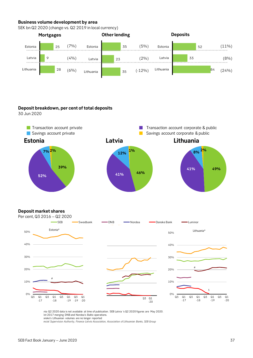#### **Business volume development by area**

SEK bn Q2 2020 (change vs. Q2 2019 in local currency)



#### **Deposit breakdown, per cent of total deposits**

30 Jun 2020



#### **Deposit market shares**



nia Q2 2020 data is not available at time of publication. SEB Latvia 's Q2 2020 figures are May 2020. Ict 2017 merging DNB and Nordea's Baltic operations. anske's Lithuanian volumes are no longer reported

*ancial Supervision Authority, Finance Latvia Association, Association of Lithuanian Banks, SEB Group*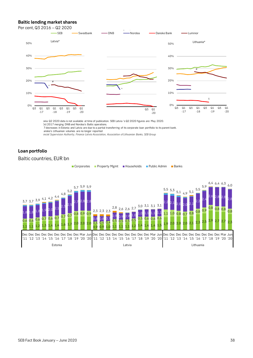#### **Baltic lending market shares**

#### Per cent, Q3 2016 – Q2 2020



ania Q2 2020 data is not available at time of publication. SEB Latvia 's Q2 2020 figures are May 2020. Oct 2017 merging DNB and Nordea's Baltic operations.

 7 decreases in Estonia and Latvia are due to a partial transferring of its corporate loan portfolio to its parent bank. anske's Lithuanian volumes are no longer reported

*ancial Supervision Authority, Finance Latvia Association, Association of Lithuanian Banks, SEB Group*

#### **Loan portfolio**

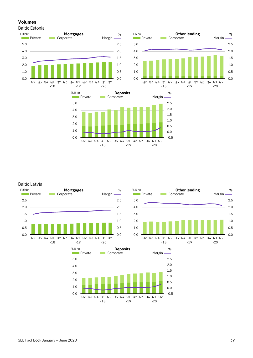#### **Volumes**

Baltic Estonia







#### Baltic Latvia





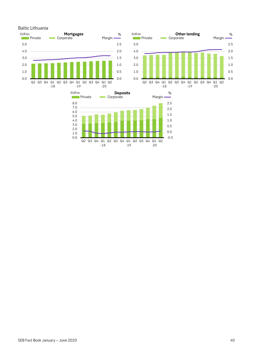





#### Baltic Lithuania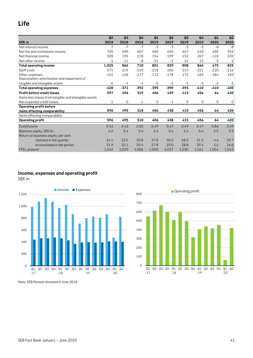### **Life**

|                                                       | Q <sub>2</sub> | Q <sub>3</sub> | Q <sub>4</sub> | Q1     | Q <sub>2</sub> | Q <sub>3</sub> | Q <sub>4</sub> | Q1          | Q2     |
|-------------------------------------------------------|----------------|----------------|----------------|--------|----------------|----------------|----------------|-------------|--------|
| SEK <sub>m</sub>                                      | 2018           | 2018           | 2018           | 2019   | 2019           | 2019           | 2019           | 2020        | 2020   |
| Net interest income                                   | $-7$           | $-7$           | $-7$           | $-3$   | $-3$           | $-5$           | $-5$           | -8          | $-8$   |
| Net fee and commission income                         | 705            | 690            | 607            | 600    | 635            | 647            | 648            | 605         | 593    |
| Net financial income                                  | 328            | 195            | 118            | 154    | 199            | 152            | 207            | $-118$      | 235    |
| Net other income                                      | $-1$           | $-11$          | $-8$           | 51     | $-2$           | 14             | 15             | $-5$        | 6      |
| <b>Total operating income</b>                         | 1,025          | 866            | 710            | 801    | 829            | 808            | 866            | 475         | 825    |
| Staff costs                                           | $-271$         | $-219$         | $-210$         | $-218$ | $-206$         | $-215$         | $-221$         | $-220$      | $-216$ |
| Other expenses                                        | $-152$         | $-148$         | $-177$         | $-172$ | $-178$         | $-172$         | $-183$         | $-184$      | $-183$ |
| Depreciation, amortisation and impairment of          |                |                |                |        |                |                |                |             |        |
| tangible and intangible assets                        | -6             | -4             | $-4$           | -5     | $-5$           | $-5$           | $-5$           | -6          | $-5$   |
| <b>Total operating expenses</b>                       | $-428$         | $-371$         | $-392$         | $-395$ | -390           | $-393$         | $-410$         | $-410$      | $-405$ |
| Profit before credit losses                           | 597            | 496            | 319            | 406    | 439            | 415            | 456            | 64          | 420    |
| Gains less losses from tangible and intangible assets |                |                |                |        |                |                |                |             |        |
| Net expected credit losses                            | $-1$           | 0              | $-1$           | 0      | $-1$           | $\mathbf 0$    | $\mathbf 0$    | $\mathbf 0$ | 0      |
| <b>Operating profit before</b>                        |                |                |                |        |                |                |                |             |        |
| items affecting comparability                         | 596            | 495            | 318            | 406    | 438            | 415            | 456            | 64          | 420    |
| Items affecting comparability                         |                |                |                |        |                |                |                |             |        |
| <b>Operating profit</b>                               | 596            | 495            | 318            | 406    | 438            | 415            | 456            | 64          | 420    |
| Cost/Income                                           | 0.42           | 0.43           | 0.55           | 0.49   | 0.47           | 0.49           | 0.47           | 0.86        | 0.49   |
| Business equity, SEK bn                               | 6.2            | 5.4            | 5.4            | 5.4    | 5.4            | 5.4            | 5.4            | 5.5         | 5.3    |
| Return on business equity, per cent                   |                |                |                |        |                |                |                |             |        |
| -isolated in the quarter                              | 34.1           | 32.5           | 20.8           | 27.8   | 30.2           | 28.5           | 31.2           | 4.4         | 29.7   |
| -accumulated in the period                            | 31.9           | 32.1           | 29.4           | 27.8   | 29.0           | 28.8           | 29.4           | 4.4         | 16.8   |
| FTEs, present                                         | 1,042          | 1,020          | 1,056          | 1,050  | 1,037          | 1,030          | 1,061          | 1,054       | 1,043  |

#### **Income, expenses and operating profit**

SEK m





Note: SEB Pension divested in June 2018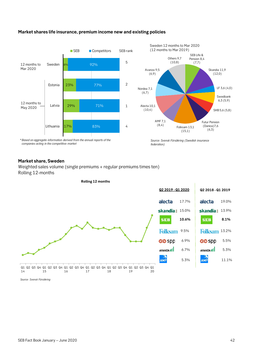

#### **Market shares life insurance, premium income new and existing policies**

#### **Market share, Sweden**

Weighted sales volume (single premiums + regular premiums times ten) Rolling 12-months

**Rolling 12 months**



| Q2 2018 - Q1 2019 |       |
|-------------------|-------|
| alecta            | 19.0% |
| skandia: 13.9%    |       |
| SEB               | 8.1%  |
| Folksam 13.2%     |       |
| ලක Spp            | 5.5%  |
| AVANZA II         | 5.3%  |
|                   | 11.1% |

6.9%

6.7%

17.7%

**10.6%**

5.3%

*Source: Svensk Försäkring*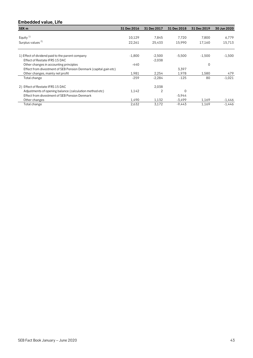#### **Embedded value, Life**

| SEK <sub>m</sub>                                                 | 31 Dec 2016 | 31 Dec 2017    | 31 Dec 2018 | 31 Dec 2019 | 30 Jun 2020 |
|------------------------------------------------------------------|-------------|----------------|-------------|-------------|-------------|
|                                                                  |             |                |             |             |             |
| Equity <sup>1)</sup>                                             | 10,129      | 7,845          | 7.720       | 7,800       | 6,779       |
| Surplus values <sup>2)</sup>                                     | 22,261      | 25.433         | 15.990      | 17.160      | 15,713      |
|                                                                  |             |                |             |             |             |
| 1) Effect of dividend paid to the parent company                 | $-1,800$    | $-2,500$       | $-5,500$    | $-1,500$    | $-1,500$    |
| Effect of Restate IFRS 15 DAC                                    |             | $-2,038$       |             |             |             |
| Other changes in accounting principles                           | $-440$      |                |             | 0           |             |
| Effect from divestment of SEB Pension Denmark (capital gain etc) |             |                | 3,397       |             |             |
| Other changes, mainly net profit                                 | 1,981       | 2,254          | 1,978       | 1,580       | 479         |
| Total change                                                     | $-259$      | $-2,284$       | $-125$      | 80          | $-1,021$    |
| 2) Effect of Restate IFRS 15 DAC                                 |             | 2,038          |             |             |             |
| Adjustments of opening balance (calculation method etc)          | 1,142       | $\overline{2}$ | 0           |             |             |
| Effect from divestment of SEB Pension Denmark                    |             |                | $-5,944$    |             |             |
| Other changes                                                    | 1,490       | 1,132          | $-3,499$    | 1,169       | -1,446      |
| Total change                                                     | 2,632       | 3,172          | $-9,443$    | 1,169       | $-1,446$    |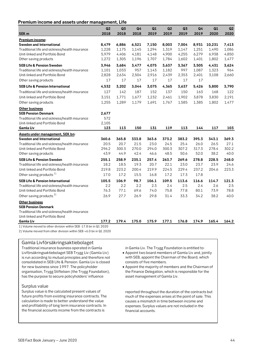#### **Premium income and assets under management, Life**

|                                                                  | Q2    | Q <sub>3</sub> | Q <sub>4</sub> | Q1    | Q2    | Q <sub>3</sub> | Q4    | Q1     | Q2    |
|------------------------------------------------------------------|-------|----------------|----------------|-------|-------|----------------|-------|--------|-------|
| SEK <sub>m</sub>                                                 | 2018  | 2018           | 2018           | 2019  | 2019  | 2019           | 2019  | 2020   | 2020  |
| Premium income:                                                  |       |                |                |       |       |                |       |        |       |
| <b>Sweden and International</b>                                  | 8,479 | 6,886          | 6,521          | 7,150 | 8,003 | 7,004          | 8,931 | 10,231 | 7,413 |
| Traditional life and sickness/health insurance                   | 1,228 | 1,175          | 1,145          | 1,294 | 1,319 | 1,147          | 1,251 | 1,490  | 1,086 |
| Unit-linked and Portfolio Bond                                   | 5,979 | 4,406          | 4,181          | 4,148 | 4,900 | 4,255          | 6,279 | 6,938  | 4,850 |
| Other saving products                                            | 1,272 | 1,305          | 1,196          | 1,707 | 1,784 | 1,602          | 1,401 | 1,802  | 1,477 |
| <b>SEB Life &amp; Pension Sweden</b>                             | 3,946 | 3,684          | 3,477          | 4,075 | 3,637 | 3,367          | 3,505 | 4,431  | 3,624 |
| Traditional life and sickness/health insurance                   | 1,101 | 1,033          | 957            | 1,143 | 1,182 | 997            | 1,087 | 1,323  | 964   |
| Unit-linked and Portfolio Bond                                   | 2,828 | 2,634          | 2,504          | 2,916 | 2,439 | 2,353          | 2,401 | 3,108  | 2,660 |
| Other saving products                                            | 17    | 17             | 17             | 17    | 17    | 17             | 17    |        |       |
| <b>SEB Life &amp; Pension International</b>                      | 4,532 | 3,202          | 3,044          | 3,075 | 4,365 | 3,637          | 5,426 | 5,800  | 3,790 |
| Traditional life and sickness/health insurance                   | 127   | 142            | 187            | 152   | 137   | 150            | 163   | 168    | 122   |
| Unit-linked and Portfolio Bond                                   | 3,151 | 1,771          | 1,677          | 1,232 | 2,461 | 1,902          | 3,878 | 3,830  | 2,191 |
| Other saving products                                            | 1,255 | 1,289          | 1,179          | 1,691 | 1,767 | 1,585          | 1,385 | 1,802  | 1,477 |
| <b>Other business</b>                                            |       |                |                |       |       |                |       |        |       |
| <b>SEB Pension Denmark</b>                                       | 2,677 |                |                |       |       |                |       |        |       |
| Traditional life and sickness/health insurance                   | 572   |                |                |       |       |                |       |        |       |
| Unit-linked and Portfolio Bond                                   | 2,105 |                |                |       |       |                |       |        |       |
| Gamla Liv                                                        | 123   | 113            | 150            | 131   | 119   | 113            | 144   | 117    | 103   |
| <b>Assets under management, SEK bn:</b>                          |       |                |                |       |       |                |       |        |       |
| <b>Sweden and International</b>                                  | 360.6 | 365.8          | 333.8          | 363.6 | 373.2 | 383.2          | 395.3 | 343.1  | 369.3 |
| Traditional life and sickness/health insurance                   | 20.5  | 20.7           | 21.5           | 23.0  | 24.5  | 25.4           | 26.0  | 26.5   | 27.1  |
| Unit-linked and Portfolio Bond                                   | 296.2 | 300.3          | 270.0          | 294.0 | 300.3 | 307.2          | 317.3 | 278.4  | 302.2 |
| Other saving products                                            | 43.9  | 44.9           | 42.4           | 46.6  | 48.5  | 50.6           | 52.0  | 38.2   | 40.0  |
| <b>SEB Life &amp; Pension Sweden</b>                             | 255.1 | 258.9          | 235.1          | 257.4 | 263.7 | 269.6          | 278.8 | 228.5  | 248.0 |
| Traditional life and sickness/health insurance                   | 18.2  | 18.5           | 19.3           | 20.7  | 22.1  | 23.0           | 23.7  | 23.9   | 24.6  |
| Unit-linked and Portfolio Bond                                   | 219.8 | 223.2          | 200.4          | 219.9 | 224.5 | 229.4          | 237.2 | 204.6  | 223.3 |
| Other saving products $1)$                                       | 17.0  | 17.2           | 15.5           | 16.8  | 17.2  | 17.3           | 17.8  |        |       |
| <b>SEB Life &amp; Pension International</b>                      | 105.5 | 106.9          | 98.7           | 106.1 | 109.5 | 113.6          | 116.6 | 114.7  | 121.3 |
| Traditional life and sickness/health insurance                   | 2.2   | 2.2            | 2.2            | 2.3   | 2.4   | 2.5            | 2.4   | 2.6    | 2.5   |
| Unit-linked and Portfolio Bond                                   | 76.3  | 77.1           | 69.6           | 74.0  | 75.8  | 77.8           | 80.1  | 73.9   | 78.8  |
| Other saving products <sup>2)</sup>                              | 26.9  | 27.7           | 26.9           | 29.8  | 31.4  | 33.3           | 34.2  | 38.2   | 40.0  |
| <b>Other business</b>                                            |       |                |                |       |       |                |       |        |       |
| <b>SEB Pension Denmark</b>                                       |       |                |                |       |       |                |       |        |       |
| Traditional life and sickness/health insurance                   |       |                |                |       |       |                |       |        |       |
| Unit-linked and Portfolio Bond                                   |       |                |                |       |       |                |       |        |       |
| <b>Gamla Liv</b>                                                 | 177.2 | 179.4          | 175.0          | 175.9 | 177.1 | 176.8          | 174.9 | 165.4  | 164.2 |
| 1) Volume moved to other division within SEB -17.8 bn in Q1 2020 |       |                |                |       |       |                |       |        |       |

2) Volume moved from other division within SEB +6.0 bn in Q1 2020

#### Gamla Livförsäkringsaktiebolaget

Traditional insurance business operated in Gamla Livförsäkringsaktiebolaget SEB Trygg Liv (Gamla Liv) is run according to mutual principles and therefore not consolidated in SEB Life & Pension. Gamla Liv is closed for new business since 1997. The policyholder organisation, Trygg Stiftelsen (the Trygg Foundation), has the purpose to secure policyholders' influence

#### Surplus value

Surplus value is the calculated present values of future profits from existing insurance contracts. The calculation is made to better understand the value and profitability of long term insurance contracts. In the financial accounts income from the contracts is

in Gamla Liv. The Trygg Foundation is entitled to:

• Appoint two board members of Gamla Liv and, jointly with SEB, appoint the Chairman of the Board, which consists of five members.

• Appoint the majority of members and the Chairman of the Finance Delegation, which is responsible for the asset management of Gamla Liv.

reported throughout the duration of the contracts but much of the expenses arises at the point of sale. This causes a mismatch in time between income and expenses. Surplus values are not included in the financial accounts.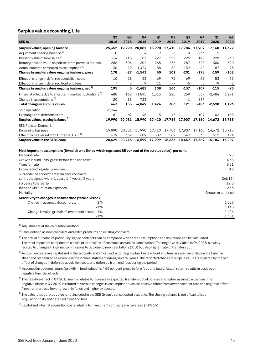#### **Surplus value accounting, Life**

|                                                              | Q2       | Q <sub>3</sub> | Q4<br>2018 | Q1<br>2019 | Q <sub>2</sub><br>2019 | Q <sub>3</sub> | Q4     | Q1       | Q2     |
|--------------------------------------------------------------|----------|----------------|------------|------------|------------------------|----------------|--------|----------|--------|
| SEK <sub>m</sub>                                             | 2018     | 2018           |            |            |                        | 2019           | 2019   | 2020     | 2020   |
| Surplus values, opening balance                              | 25,352   | 19,990         | 20,081     | 15,990     | 17,410                 | 17,786         | 17,907 | 17,160   | 14,672 |
| Adjustment opening balance 1)                                | 0        |                | 4          | $-9$       | 6                      | $\Omega$       | $-233$ | 9        |        |
| Present value of new sales <sup>2)</sup>                     | 334      | 248            | 183        | 227        | 325                    | 225            | 190    | 228      | 260    |
| Return/realised value on policies from previous periods      | $-286$   | $-304$         | $-302$     | $-265$     | $-276$                 | $-287$         | $-328$ | $-300$   | $-320$ |
| Actual outcome compared to assumptions <sup>3)</sup>         | 130      | 29             | $-1,424$   | 88         | 52                     | $-139$         | $-40$  | $-87$    | $-93$  |
| Change in surplus values ongoing business, gross             | 178      | $-27$          | $-1,543$   | 50         | 101                    | $-201$         | -178   | $-159$   | $-152$ |
| Effect of change in deferred acquisition costs               | 10       | 28             | 53         | 69         | 72                     | 69             | 68     | 53       | 59     |
| Effect of change in deferred front end fees                  | 7        | 3              | 9          | $-11$      | $-7$                   | $-5$           | 3      | $-9$     | $-2$   |
| Change in surplus values ongoing business, net <sup>4)</sup> | 195      | 3              | $-1,481$   | 108        | 166                    | $-137$         | $-107$ | $-115$   | $-95$  |
| Financial effects due to short term market fluctuations b)   | 488      | 162            | $-1,845$   | 1,316      | 220                    | 259            | 539    | $-2,484$ | 1,291  |
| Change in assumptions <sup>6)</sup>                          | $-20$    | $-13$          | $-723$     |            |                        | $-1$           | $-837$ |          |        |
| Total change in surplus values                               | 663      | 153            | $-4,049$   | 1,424      | 386                    | 121            | -406   | $-2,598$ | 1,196  |
| Sold operation                                               | $-5,944$ |                |            |            |                        |                |        |          |        |
| Exchange rate differences etc                                | -81      | $-62$          | $-45$      | 5.         | $-15$                  | $-1$           | $-109$ | 102      | $-155$ |
| Surplus values, closing balance <sup>7)</sup>                | 19.990   | 20.081         | 15,990     | 17,410     | 17,786                 | 17,907         | 17,160 | 14,672   | 15,713 |
| <b>SEB Pension Denmark</b>                                   |          |                |            |            |                        |                |        |          |        |
| Remaining business                                           | 19.990   | 20,081         | 15.990     | 17,410     | 17,786                 | 17,907         | 17,160 | 14,672   | 15,713 |
| Effect from reversal of SEB internal DAC <sup>8)</sup>       | 639      | 632            | 609        | 589        | 569                    | 549            | 530    | 512      | 494    |
| Surplus value in the SEB Group                               | 20,629   | 20,713         | 16,599     | 17,999     | 18,356                 | 18,457         | 17,689 | 15,184   | 16,207 |

**Most important assumptions (Swedish unit-linked which represent 85 per cent of the surplus value), per cent.**

| Discount rate                                           |        | 6.5               |
|---------------------------------------------------------|--------|-------------------|
| Growth in fund units, gross before fees and taxes       |        | 4.65              |
| Transfer rate                                           |        | 3.81              |
| Lapse rate of regular premiums                          |        | 8.2               |
| Surrender of endowment insurance contracts:             |        |                   |
| contracts signed within 1 year / 1-4 years / 5 years    |        | 2/6/13/           |
| / 6 years / thereafter                                  |        | 12/8              |
| Inflation CPI / Inflation expenses                      |        | 2/3               |
| Mortality                                               |        | Groups experience |
| Sensitivity to changes in assumptions (total division). |        |                   |
| Change in assumed discount rate                         | $+1\%$ | -1.026            |
|                                                         | $-1\%$ | 1.140             |
| Change in value growth of investment assets $+1\%$      |        | 1,426             |
|                                                         | $-1%$  | $-1.301$          |

<sup>1)</sup> Adjustments of the calculation method.

 $2)$  Sales defined as new contracts and extra premiums on existing contracts.

<sup>3)</sup> The actual outcome of previously signed contracts can be compared with earlier assumptions and deviations can be calculated. The most important components consist of extensions of contracts as well as cancellations.The negative deviation in Q4 2018 is mainly related to changes in internal commissions to SEB due to new regulations (IDD) but also higher rate of transfers out.

<sup>4)</sup> Acquisition costs are capitalised in the accounts and amortised according to plan. Certain front end fees are also recorded on the balance sheet and recognized as revenue in the income statement during several years. The reported change in surplus values is adjusted by the net effect of changes in deferred acquisition costs and deferred front end fees during the period.

<sup>5)</sup> Assumed investment return (growth in fund values) is 4.65 per cent gross before fees and taxes. Actual return results in positive or negative financial effects.

 $6$ ) The negative effect in Q4 2018 mainly relates to increase in expected transfers out of policies and higher assumed expenses. The negative effect in Q4 2019 is related to various changes in assumptions such as: positive effect from lower discount rate and negative effect from transfers out, lower growth in funds and higher expenses.

 $7$  The calculated surplus value is not included in the SEB Group's consolidated accounts. The closing balance is net of capitalised acquisition costs and deferred front end fees.

 $8)$  Capitalised internal acquisition costs relating to investment contracts are reversed (IFRS 15).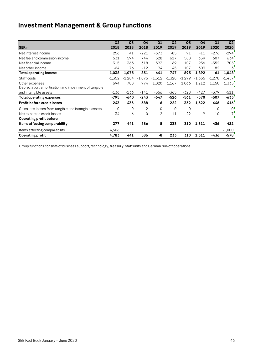## **Investment Management & Group functions**

|                                                       | Q2       | Q3       | Q <sub>4</sub> | Q1       | Q <sub>2</sub> | Q <sub>3</sub> | Q4       | Q1       | Q <sub>2</sub> |
|-------------------------------------------------------|----------|----------|----------------|----------|----------------|----------------|----------|----------|----------------|
| SEK <sub>m</sub>                                      | 2018     | 2018     | 2018           | 2019     | 2019           | 2019           | 2019     | 2020     | 2020           |
| Net interest income                                   | 256      | 41       | $-221$         | $-373$   | $-85$          | 91             | $-11$    | $-276$   | $-294$         |
| Net fee and commission income                         | 531      | 594      | 744            | 528      | 617            | 588            | 659      | 607      | 634            |
| Net financial income                                  | 315      | 363      | 318            | 393      | 169            | 107            | 936      | $-352$   | 705            |
| Net other income                                      | -64      | 76       | $-12$          | 94       | 45             | 107            | 309      | 82       | 3              |
| <b>Total operating income</b>                         | 1,038    | 1,075    | 831            | 641      | 747            | 893            | 1,892    | 61       | 1,048          |
| Staff costs                                           | $-1,352$ | $-1.284$ | $-1,075$       | $-1,312$ | $-1,328$       | $-1,299$       | $-1,355$ | $-1,278$ | $-1,457$       |
| Other expenses                                        | 694      | 780      | 974            | 1,020    | 1,167          | 1,066          | 1,212    | 1,150    | 1,335          |
| Depreciation, amortisation and impairment of tangible |          |          |                |          |                |                |          |          |                |
| and intangible assets                                 | $-136$   | $-136$   | $-141$         | $-356$   | $-365$         | $-328$         | $-427$   | $-379$   | $-511$         |
| <b>Total operating expenses</b>                       | -795     | -640     | $-243$         | $-647$   | $-526$         | $-561$         | $-570$   | $-507$   | $-633$         |
| <b>Profit before credit losses</b>                    | 243      | 435      | 588            | -6       | 222            | 332            | 1,322    | -446     | 416            |
| Gains less losses from tangible and intangible assets | 0        | 0        | $-2$           | $\Omega$ | $\mathbf 0$    | $\Omega$       | $-1$     | $\Omega$ | $\Omega$       |
| Net expected credit losses                            | 34       | 6        | $\Omega$       | $-2$     | 11             | $-22$          | $-9$     | 10       | 7              |
| <b>Operating profit before</b>                        |          |          |                |          |                |                |          |          |                |
| items affecting comparability                         | 277      | 441      | 586            | -8       | 233            | 310            | 1,311    | -436     | 422            |
| Items affecting comparability                         | 4,506    |          |                |          |                |                |          |          | $-1,000$       |
| <b>Operating profit</b>                               | 4,783    | 441      | 586            | -8       | 233            | 310            | 1,311    | -436     | $-578$         |

Group functions consists of business support, technology, treasury, staff units and German run-off operations.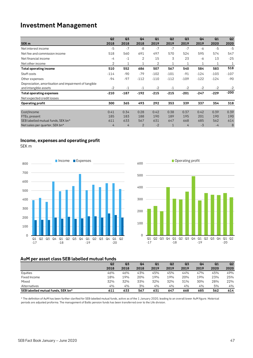### **Investment Management**

|                                                       | Q2             | Q <sub>3</sub> | Q <sub>4</sub> | Q1     | Q2           | Q <sub>3</sub> | Q <sub>4</sub> | Q1     | Q2     |
|-------------------------------------------------------|----------------|----------------|----------------|--------|--------------|----------------|----------------|--------|--------|
| SEK <sub>m</sub>                                      | 2018           | 2018           | 2018           | 2019   | 2019         | 2019           | 2019           | 2020   | 2020   |
| Net interest income                                   | -5             | $-7$           | -8             | $-7$   | $-7$         | $-7$           | -6             | $-5$   | $-5$   |
| Net fee and commission income                         | 518            | 560            | 691            | 497    | 570          | 524            | 595            | 574    | 547    |
| Net financial income                                  | $-4$           | $-1$           | 2              | 15     | 3            | 23             | -6             | 13     | $-25$  |
| Net other income                                      | 2              | 1              | $\mathbf{1}$   | 2      | 1            | $\mathbf{1}$   | 1              | 1      | 1      |
| <b>Total operating income</b>                         | 510            | 552            | 686            | 507    | 567          | 540            | 584            | 583    | 518    |
| Staff costs                                           | $-114$         | -90            | $-79$          | $-102$ | $-101$       | $-91$          | $-124$         | $-103$ | $-107$ |
| Other expenses                                        | $-94$          | $-97$          | $-112$         | $-110$ | $-112$       | $-109$         | $-122$         | $-124$ | $-90$  |
| Depreciation, amortisation and impairment of tangible |                |                |                |        |              |                |                |        |        |
| and intangible assets                                 | $-2$           | $-1$           | $-1$           | $-2$   | $-1$         | $-2$           | $-2$           | $-2$   | $-2$   |
| <b>Total operating expenses</b>                       | $-210$         | $-187$         | $-192$         | $-215$ | $-215$       | $-201$         | $-247$         | $-229$ | $-200$ |
| Net expected credit losses                            |                |                |                |        |              |                |                |        |        |
| Operating profit                                      | 300            | 365            | 493            | 292    | 353          | 339            | 337            | 354    | 318    |
|                                                       |                |                |                |        |              |                |                |        |        |
| Cost/Income                                           | 0.41           | 0.34           | 0.28           | 0.42   | 0.38         | 0.37           | 0.42           | 0.39   | 0.39   |
| FTEs, present                                         | 185            | 183            | 188            | 190    | 189          | 195            | 201            | 190    | 190    |
| SEB labelled mutual funds, SEK bn*                    | 611            | 633            | 567            | 631    | 647          | 668            | 685            | 562    | 614    |
| Net sales per quarter, SEK bn*                        | $\overline{4}$ | 4              | $\overline{2}$ | $-2$   | $\mathbf{1}$ | 4              | $-3$           | $-4$   | 8      |

#### **Income, expenses and operating profit**

SEK m





#### **AuM per asset class SEB labelled mutual funds**

|                                    | Q2   | Q <sub>3</sub> | Q4   | Q <sub>1</sub> | Q <sub>2</sub> | Q <sub>3</sub> | Q4   | Q1   | Q <sub>2</sub> |
|------------------------------------|------|----------------|------|----------------|----------------|----------------|------|------|----------------|
|                                    | 2018 | 2018           | 2018 | 2019           | 2019           | 2019           | 2019 | 2020 | 2020           |
| Equities                           | 46%  | 46%            | 43%  | 45%            | 45%            | 44%            | 47%  | 45%  | 49%            |
| Fixed Income                       | 18%  | 19%            | 20%  | 19%            | 19%            | 20%            | 19%  | 23%  | 25%            |
| Mixed                              | 32%  | 32%            | 33%  | 32%            | 32%            | 31%            | 30%  | 28%  | 22%            |
| Alternatives                       | 4%   | 4%             | 3%   | 4%             | 4%             | 4%             | 4%   | 5%   | 4%             |
| SEB labelled mutual funds. SEK bn* | 611  | 633            | 567  | 631            | 647            | 668            | 685  | 562  | 614            |

\* The definition of AuM has been further clarified for SEB-labelled mutual funds, active as of the 1 January 2020, leading to an overall lower AuM figure. Historical periods are adjusted proforma. The management of Baltic pension funds has been transferred over to the Life division.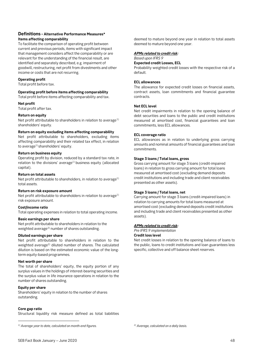#### **Definitions - Alternative Performance Measures\* Items affecting comparability**

To facilitate the comparison of operating profit between current and previous periods, items with significant impact that management considers affect the comparability or are relevant for the understanding of the financial result, are identified and separately described, e.g. impairment of goodwill, restructuring, net profit from divestments and other income or costs that are not recurring.

#### **Operating profit**

Total profit before tax.

#### **Operating profit before items affecting comparability**

Total profit before items affecting comparability and tax.

#### **Net profit**

Total profit after tax.

#### **Return on equity**

Net profit attributable to shareholders in relation to average<sup>[1\)](#page-47-0)</sup> shareholders' equity.

#### **Return on equity excluding items affecting comparability**

Net profit attributable to shareholders, excluding items affecting comparability and their related tax effect, in relation to average<sup>1)</sup> shareholders' equity.

#### **Return on business equity**

Operating profit by division, reduced by a standard tax rate, in relation to the divisions' average<sup>1)</sup> business equity (allocated capital).

#### **Return on total assets**

Net profit attributable to shareholders, in relation to average<sup>1)</sup> total assets.

#### **Return on risk exposure amount**

Net profit attributable to shareholders in relation to average $1$ ) risk exposure amount.

#### **Cost/income ratio**

Total operating expenses in relation to total operating income.

#### **Basic earnings per share**

Net profit attributable to shareholders in relation to the weighted average<sup>[2](#page-47-0))</sup> number of shares outstanding.

#### **Diluted earnings per share**

Net profit attributable to shareholders in relation to the weighted average2) diluted number of shares. The calculated dilution is based on the estimated economic value of the longterm equity-based programmes.

#### **Net worth per share**

The total of shareholders' equity, the equity portion of any surplus values in the holdings of interest-bearing securities and the surplus value in life insurance operations in relation to the number of shares outstanding.

#### **Equity per share**

Shareholders' equity in relation to the number of shares outstanding.

#### **Core gap ratio**

l

Structural liquidity risk measure defined as total liabilities

deemed to mature beyond one year in relation to total assets deemed to mature beyond one year.

#### *APMs related to credit risk:*

#### *Based upon IFRS 9* **Expected credit Losses, ECL**

Probability weighted credit losses with the respective risk of a default.

#### **ECL allowances**

The allowance for expected credit losses on financial assets, contract assets, loan commitments and financial guarantee contracts.

#### **Net ECL level**

Net credit impairments in relation to the opening balance of debt securities and loans to the public and credit institutions measured at amortised cost, financial guarantees and loan commitments, less ECL allowances.

#### **ECL coverage ratio**

ECL allowances as in relation to underlying gross carrying amounts and nominal amounts of financial guarantees and loan commitments.

#### **Stage 3 loans / Total loans, gross**

Gross carrying amount for stage 3 loans (credit-impaired loans) in relation to gross carrying amount for total loans measured at amortised cost (excluding demand deposits credit institutions and including trade and client receivables presented as other assets).

#### **Stage 3 loans / Total loans, net**

Carrying amount for stage 3 loans (credit-impaired loans) in relation to carrying amounts for total loans measured at amortised cost (excluding demand deposits credit institutions and including trade and client receivables presented as other assets).

#### *APMs related to credit risk:*

#### *Pre IFRS 9 implementation*

**Credit loss level**

Net credit losses in relation to the opening balance of loans to the public, loans to credit institutions and loan guarantees less specific, collective and off balance sheet reserves.

*2) Average, calculated on a daily basis.*

<span id="page-47-0"></span>*<sup>1)</sup> Average year to date, calculated on month-end figures.*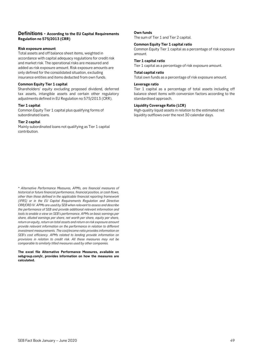#### **Definitions - According to the EU Capital Requirements Regulation no 575/2013 (CRR)**

#### **Risk exposure amount**

Total assets and off balance sheet items, weighted in accordance with capital adequacy regulations for credit risk and market risk. The operational risks are measured and added as risk exposure amount. Risk exposure amounts are only defined for the consolidated situation, excluding insurance entities and items deducted from own funds.

#### **Common Equity Tier 1 capital**

Shareholders' equity excluding proposed dividend, deferred tax assets, intangible assets and certain other regulatory adjustments defined in EU Regulation no 575/2013 (CRR).

#### **Tier 1 capital**

Common Equity Tier 1 capital plus qualifying forms of subordinated loans.

#### **Tier 2 capital**

Mainly subordinated loans not qualifying as Tier 1 capital contribution.

#### **Own funds**

The sum of Tier 1 and Tier 2 capital.

#### **Common Equity Tier 1 capital ratio**

Common Equity Tier 1 capital as a percentage of risk exposure amount.

#### **Tier 1 capital ratio**

Tier 1 capital as a percentage of risk exposure amount.

### **Total capital ratio**

Total own funds as a percentage of risk exposure amount.

#### **Leverage ratio**

Tier 1 capital as a percentage of total assets including off balance sheet items with conversion factors according to the standardised approach.

#### **Liquidity Coverage Ratio (LCR)**

High-quality liquid assets in relation to the estimated net liquidity outflows over the next 30 calendar days.

\* *Alternative Performance Measures, APMs, are financial measures of historical or future financial performance, financial position, or cash flows, other than those defined in the applicable financial reporting framework (IFRS) or in the EU Capital Requirements Regulation and Directive CRR/CRD IV. APMs are used by SEB when relevant to assess and describe the performance of SEB and provide additional relevant information and tools to enable a view on SEB's performance. APMs on basic earnings per share, diluted earnings per share, net worth per share, equity per share, return on equity, return on total assets and return on risk exposure amount provide relevant information on the performance in relation to different investment measurements. The cost/income ratio provides information on SEB's cost efficiency. APMs related to lending provide information on provisions in relation to credit risk. All these measures may not be comparable to similarly titled measures used by other companies.* 

**The excel file Alternative Performance Measures, available on sebgroup.com/ir, provides information on how the measures are calculated.**